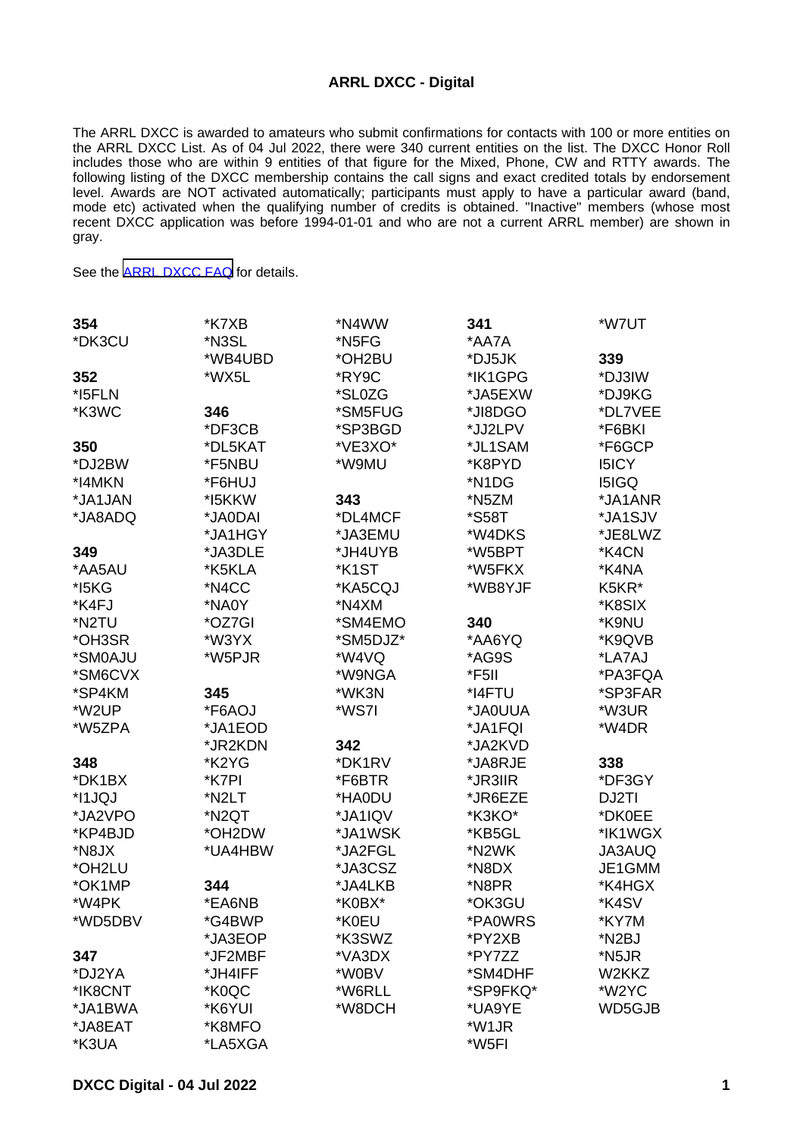## **ARRL DXCC - Digital**

The ARRL DXCC is awarded to amateurs who submit confirmations for contacts with 100 or more entities on the ARRL DXCC List. As of 04 Jul 2022, there were 340 current entities on the list. The DXCC Honor Roll includes those who are within 9 entities of that figure for the Mixed, Phone, CW and RTTY awards. The following listing of the DXCC membership contains the call signs and exact credited totals by endorsement level. Awards are NOT activated automatically; participants must apply to have a particular award (band, mode etc) activated when the qualifying number of credits is obtained. "Inactive" members (whose most recent DXCC application was before 1994-01-01 and who are not a current ARRL member) are shown in gray.

See the [ARRL DXCC FAQ](http://www.arrl.org/dxcc-faq/) for details.

| 354     | *K7XB   | *N4WW    | 341                | *W7UT              |
|---------|---------|----------|--------------------|--------------------|
| *DK3CU  | *N3SL   | *N5FG    | *AA7A              |                    |
|         | *WB4UBD | *OH2BU   | *DJ5JK             | 339                |
| 352     | *WX5L   | *RY9C    | *IK1GPG            | *DJ3IW             |
| *I5FLN  |         | *SL0ZG   | *JA5EXW            | *DJ9KG             |
| *K3WC   | 346     | *SM5FUG  | *JI8DGO            | *DL7VEE            |
|         | *DF3CB  | *SP3BGD  | *JJ2LPV            | *F6BKI             |
| 350     | *DL5KAT | *VE3XO*  | *JL1SAM            | *F6GCP             |
| *DJ2BW  | *F5NBU  | *W9MU    | *K8PYD             | <b>I5ICY</b>       |
| *I4MKN  | *F6HUJ  |          | *N1DG              | <b>I5IGQ</b>       |
| *JA1JAN | *I5KKW  | 343      | *N5ZM              | *JA1ANR            |
| *JA8ADQ | *JA0DAI | *DL4MCF  | *S58T              | *JA1SJV            |
|         | *JA1HGY | *JA3EMU  | *W4DKS             | *JE8LWZ            |
| 349     | *JA3DLE | *JH4UYB  | *W5BPT             | *K4CN              |
| *AA5AU  | *K5KLA  | *K1ST    | *W5FKX             | *K4NA              |
| *I5KG   | *N4CC   | *KA5CQJ  | *WB8YJF            | K5KR*              |
| *K4FJ   | *NA0Y   | *N4XM    |                    | *K8SIX             |
| *N2TU   | *OZ7GI  | *SM4EMO  | 340                | *K9NU              |
| *OH3SR  | *W3YX   | *SM5DJZ* | *AA6YQ             | *K9QVB             |
| *SM0AJU | *W5PJR  | *W4VQ    | *AG9S              | *LA7AJ             |
| *SM6CVX |         | *W9NGA   | *F5II              | *PA3FQA            |
| *SP4KM  | 345     | *WK3N    | *I4FTU             | *SP3FAR            |
| *W2UP   | *F6AOJ  | *WS7I    | *JA0UUA            | *W3UR              |
| *W5ZPA  | *JA1EOD |          | *JA1FQI            | *W4DR              |
|         | *JR2KDN | 342      | *JA2KVD            |                    |
| 348     | *K2YG   | *DK1RV   | *JA8RJE            | 338                |
| *DK1BX  | *K7PI   | *F6BTR   | *JR3IIR            | *DF3GY             |
| *I1JQJ  | *N2LT   | *HA0DU   | *JR6EZE            | DJ2TI              |
| *JA2VPO | *N2QT   | *JA1IQV  | *K3KO*             | *DK0EE             |
| *KP4BJD | *OH2DW  | *JA1WSK  | *KB5GL             | *IK1WGX            |
| *N8JX   | *UA4HBW | *JA2FGL  | *N2WK              | JA3AUQ             |
| *OH2LU  |         | *JA3CSZ  | *N8DX              | JE1GMM             |
| *OK1MP  | 344     | *JA4LKB  | *N8PR              | *K4HGX             |
| *W4PK   | *EA6NB  | *K0BX*   | *OK3GU             | *K4SV              |
| *WD5DBV | *G4BWP  | *K0EU    | *PA0WRS            | *KY7M              |
|         | *JA3EOP | *K3SWZ   | *PY2XB             | *N <sub>2</sub> BJ |
| 347     | *JF2MBF | *VA3DX   | *PY7ZZ             | *N5JR              |
| *DJ2YA  | *JH4IFF | *W0BV    | *SM4DHF            | W2KKZ              |
| *IK8CNT | *K0QC   | *W6RLL   | *SP9FKQ*           | *W2YC              |
| *JA1BWA | *K6YUI  | *W8DCH   | *UA9YE             | WD5GJB             |
| *JA8EAT | *K8MFO  |          | *W <sub>1</sub> JR |                    |
| *K3UA   | *LA5XGA |          | *W5FI              |                    |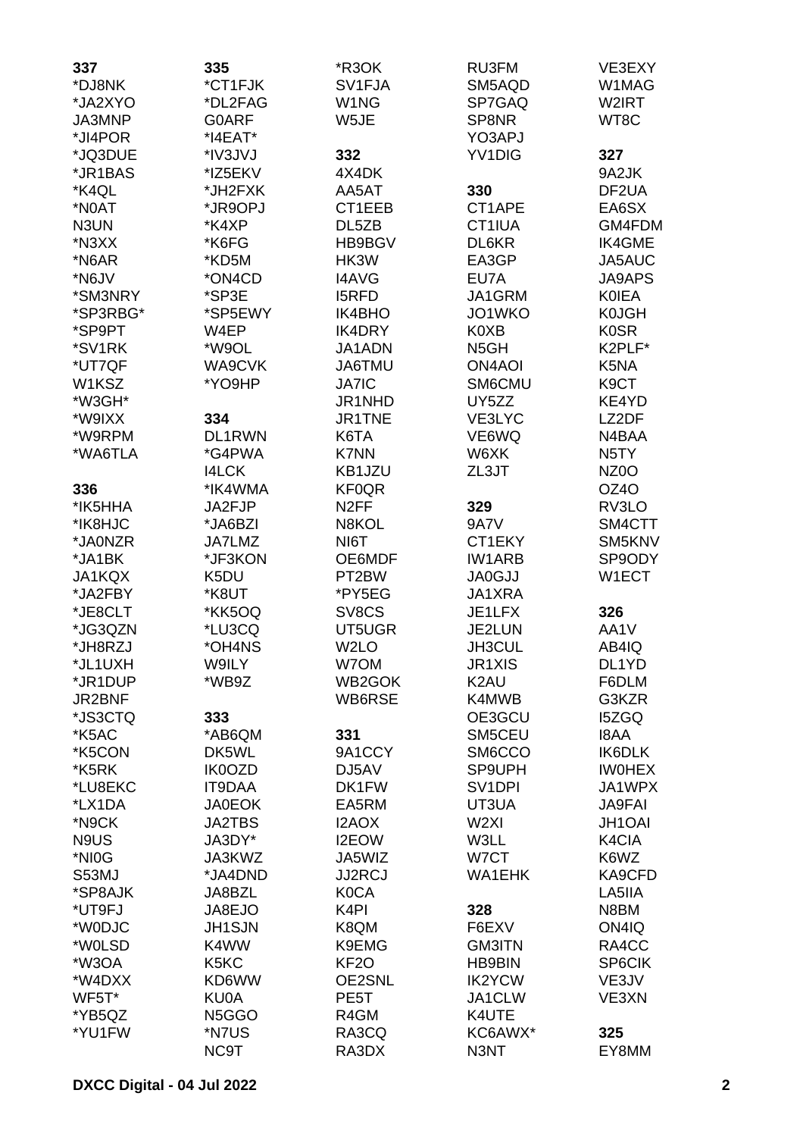| 337              | 335                             | *R3OK              | RU3FM                         | VE3EXY                  |
|------------------|---------------------------------|--------------------|-------------------------------|-------------------------|
| *DJ8NK           | *CT1FJK                         | SV1FJA             | SM5AQD                        | W1MAG                   |
| *JA2XYO          | *DL2FAG                         | W <sub>1</sub> NG  | SP7GAQ                        | W2IRT                   |
| JA3MNP           | <b>GOARF</b>                    | W5JE               | SP8NR                         | WT8C                    |
| *JI4POR          | $*$ I4EAT $*$                   |                    | YO3APJ                        |                         |
| *JQ3DUE          | *IV3JVJ                         | 332                | YV1DIG                        | 327                     |
| *JR1BAS          | *IZ5EKV                         | 4X4DK              |                               | 9A2JK                   |
| *K4QL            | *JH2FXK                         | AA5AT              | 330                           | DF <sub>2</sub> UA      |
| *N0AT            | *JR9OPJ                         | CT1EEB             | CT1APE                        | EA6SX                   |
| N3UN             | *K4XP                           | DL5ZB              | CT1IUA                        | GM4FDM                  |
| *N3XX            | *K6FG                           | HB9BGV             | DL6KR                         | IK4GME                  |
| *N6AR            | *KD5M                           | HK3W               | EA3GP                         | JA5AUC                  |
| *N6JV            | *ON4CD                          | <b>I4AVG</b>       | EU7A                          | <b>JA9APS</b>           |
| *SM3NRY          | *SP3E                           | <b>I5RFD</b>       | JA1GRM                        | <b>KOIEA</b>            |
| *SP3RBG*         | *SP5EWY                         | IK4BHO             | JO1WKO                        | <b>K0JGH</b>            |
| *SP9PT           | W4EP                            | <b>IK4DRY</b>      | K0XB                          | <b>K0SR</b>             |
| *SV1RK           | *W9OL                           | JA1ADN             | N <sub>5</sub> GH             | K2PLF*                  |
| *UT7QF           | WA9CVK                          | <b>JA6TMU</b>      | <b>ON4AOI</b>                 | K5NA                    |
| W1KSZ            | *YO9HP                          | <b>JA7IC</b>       | SM6CMU                        | K9CT                    |
| *W3GH*           |                                 | JR1NHD             | UY5ZZ                         | KE4YD                   |
| *W9IXX           | 334                             | JR1TNE             | VE3LYC                        | LZ2DF                   |
| *W9RPM           | DL1RWN                          | K6TA               | VE6WQ                         | N4BAA                   |
| *WA6TLA          | *G4PWA                          | <b>K7NN</b>        | W6XK                          | N <sub>5</sub> TY       |
|                  | <b>I4LCK</b>                    | KB1JZU             | ZL3JT                         | NZ <sub>0</sub> O       |
| 336              | *IK4WMA                         | <b>KF0QR</b>       |                               | OZ4O                    |
| *IK5HHA          | JA2FJP                          | N <sub>2</sub> FF  | 329                           | RV3LO                   |
| *IK8HJC          | *JA6BZI                         | N8KOL              | 9A7V                          | SM4CTT                  |
| *JA0NZR          | <b>JA7LMZ</b>                   | NI6T               | CT1EKY                        | SM5KNV                  |
| *JA1BK           | *JF3KON                         | OE6MDF             | <b>IW1ARB</b>                 | SP9ODY                  |
| JA1KQX           | K5DU                            | PT <sub>2</sub> BW | <b>JA0GJJ</b>                 | W1ECT                   |
| *JA2FBY          | *K8UT                           | *PY5EG             | JA1XRA                        |                         |
| *JE8CLT          | *KK5OQ                          | SV8CS              | JE1LFX                        | 326                     |
| *JG3QZN          | *LU3CQ                          | UT5UGR             | JE2LUN                        | AA1V                    |
| *JH8RZJ          | *OH4NS                          | W <sub>2</sub> LO  | <b>JH3CUL</b>                 | AB4IQ                   |
| *JL1UXH          | W9ILY                           | W7OM               | JR1XIS                        | DL1YD                   |
| *JR1DUP          | *WB9Z                           | WB2GOK             | K <sub>2</sub> AU             | F6DLM                   |
| JR2BNF           |                                 | WB6RSE             | K4MWB                         | G3KZR                   |
| *JS3CTQ          | 333                             |                    | OE3GCU                        | <b>I5ZGQ</b>            |
| *K5AC            | *AB6QM                          | 331                | SM5CEU                        | <b>I8AA</b>             |
| *K5CON           | DK5WL                           | 9A1CCY             | SM6CCO                        | IK6DLK                  |
| *K5RK<br>*LU8EKC | IK0OZD<br><b>IT9DAA</b>         | DJ5AV<br>DK1FW     | SP9UPH<br>SV <sub>1</sub> DPI | <b>IWOHEX</b><br>JA1WPX |
| *LX1DA           | <b>JA0EOK</b>                   | EA5RM              | UT3UA                         | <b>JA9FAI</b>           |
| *N9CK            | <b>JA2TBS</b>                   | I2AOX              | W <sub>2XI</sub>              | <b>JH1OAI</b>           |
| N9US             | JA3DY*                          | <b>I2EOW</b>       | W3LL                          | K4CIA                   |
| *NI0G            | JA3KWZ                          | JA5WIZ             | W7CT                          | K6WZ                    |
| S53MJ            | *JA4DND                         | <b>JJ2RCJ</b>      | <b>WA1EHK</b>                 | KA9CFD                  |
| *SP8AJK          | JA8BZL                          | <b>K0CA</b>        |                               | LA5IIA                  |
| *UT9FJ           | JA8EJO                          | K <sub>4</sub> PI  | 328                           | N8BM                    |
| *W0DJC           | <b>JH1SJN</b>                   | K8QM               | F6EXV                         | ON4IQ                   |
| *W0LSD           | K4WW                            | K9EMG              | <b>GM3ITN</b>                 | RA4CC                   |
| *W3OA            | K <sub>5</sub> K <sub>C</sub>   | KF <sub>2</sub> O  | <b>HB9BIN</b>                 | SP6CIK                  |
| *W4DXX           | KD6WW                           | OE2SNL             | <b>IK2YCW</b>                 | VE3JV                   |
| WF5T*            | KU0A                            | PE5T               | JA1CLW                        | VE3XN                   |
| *YB5QZ           | N <sub>5</sub> G <sub>G</sub> O | R4GM               | K4UTE                         |                         |
| *YU1FW           | *N7US                           | RA3CQ              | KC6AWX*                       | 325                     |
|                  | NC9T                            | RA3DX              | N3NT                          | EY8MM                   |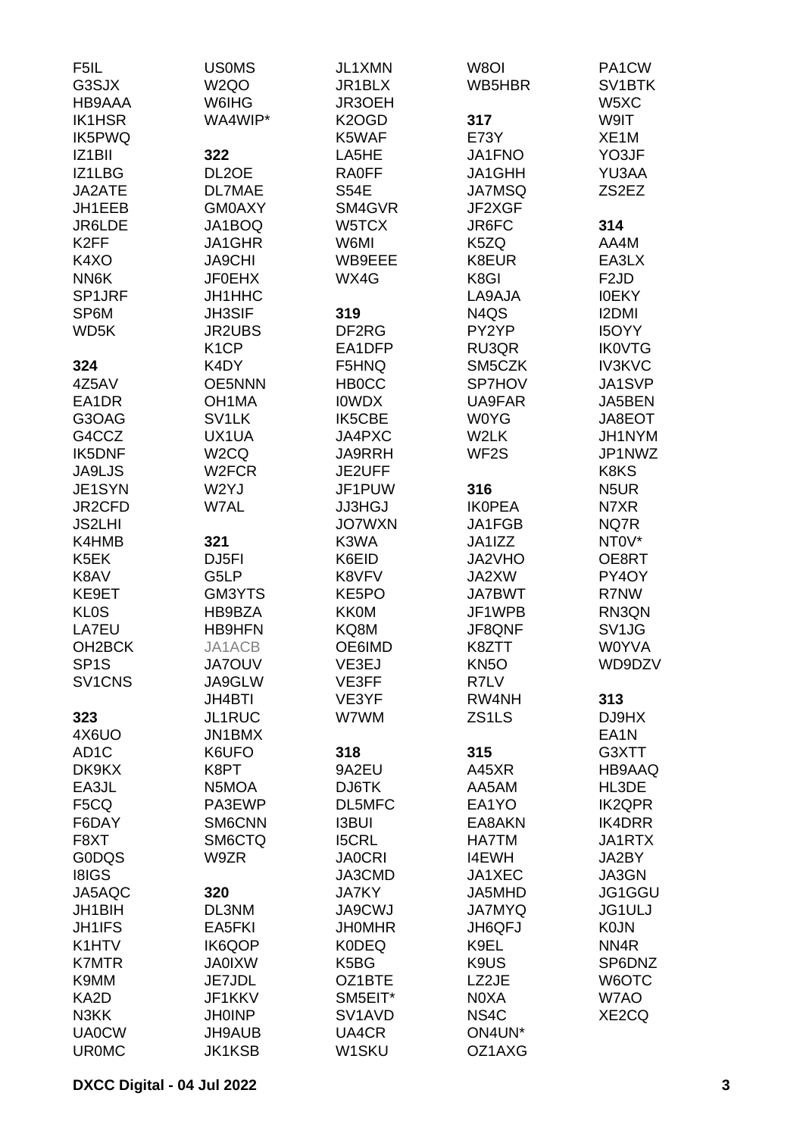| F5IL                            | <b>USOMS</b>                        | JL1XMN                                  | W8OI              | PA1CW                   |
|---------------------------------|-------------------------------------|-----------------------------------------|-------------------|-------------------------|
| G3SJX                           | W <sub>2Q</sub> O                   | JR1BLX                                  | WB5HBR            | SV <sub>1</sub> BTK     |
| HB9AAA                          | W6IHG                               | JR3OEH                                  |                   | W <sub>5</sub> XC       |
| <b>IK1HSR</b>                   | WA4WIP*                             | K <sub>2</sub> OGD                      | 317               | W9IT                    |
| IK5PWQ                          |                                     | K5WAF                                   | E73Y              | XE <sub>1</sub> M       |
| IZ <sub>1</sub> BII             | 322                                 | LA5HE                                   | JA1FNO            | YO3JF                   |
| IZ1LBG                          | DL <sub>2</sub> OE                  | <b>RA0FF</b>                            | JA1GHH            | YU3AA                   |
| JA2ATE                          | DL7MAE                              | <b>S54E</b>                             | <b>JA7MSQ</b>     | ZS2EZ                   |
| JH1EEB                          | <b>GM0AXY</b>                       | SM4GVR                                  | JF2XGF            |                         |
| JR6LDE                          | JA1BOQ                              | W5TCX                                   | JR6FC             | 314                     |
| K <sub>2</sub> FF               | JA1GHR                              | W6MI                                    | K5ZQ              | AA4M                    |
| K4XO                            | <b>JA9CHI</b>                       | WB9EEE                                  | K8EUR             | EA3LX                   |
| NN6K                            | <b>JF0EHX</b>                       | WX4G                                    | K8GI              | F <sub>2</sub> JD       |
| SP1JRF                          | JH1HHC                              |                                         | LA9AJA            | <b>IOEKY</b>            |
| SP6M                            | <b>JH3SIF</b>                       | 319                                     | N4QS              | I2DMI                   |
| WD <sub>5</sub> K               | <b>JR2UBS</b>                       | DF <sub>2RG</sub>                       | PY2YP             | <b>I5OYY</b>            |
|                                 | K <sub>1</sub> CP                   | EA1DFP                                  | RU3QR             | <b>IK0VTG</b>           |
| 324                             | K4DY                                | F5HNQ                                   | SM5CZK            | <b>IV3KVC</b><br>JA1SVP |
| 4Z5AV                           | <b>OE5NNN</b><br>OH <sub>1</sub> MA | <b>HB0CC</b>                            | SP7HOV<br>UA9FAR  |                         |
| EA1DR<br>G3OAG                  | SV <sub>1</sub> LK                  | <b>IOWDX</b><br>IK5CBE                  | <b>W0YG</b>       | JA5BEN<br>JA8EOT        |
| G4CCZ                           | UX1UA                               | JA4PXC                                  | W <sub>2</sub> LK | JH1NYM                  |
| IK5DNF                          | W <sub>2</sub> CQ                   | <b>JA9RRH</b>                           | WF <sub>2</sub> S | JP1NWZ                  |
| JA9LJS                          | W <sub>2</sub> FCR                  | JE2UFF                                  |                   | K8KS                    |
| JE1SYN                          | W2YJ                                | JF1PUW                                  | 316               | N <sub>5</sub> UR       |
| JR2CFD                          | W7AL                                | <b>JJ3HGJ</b>                           | <b>IKOPEA</b>     | N7XR                    |
| <b>JS2LHI</b>                   |                                     | <b>JO7WXN</b>                           | JA1FGB            | NQ7R                    |
| K4HMB                           | 321                                 | K3WA                                    | JA1IZZ            | NTOV*                   |
| K5EK                            | DJ5FI                               | K6EID                                   | JA2VHO            | OE8RT                   |
| K8AV                            | G5LP                                | K8VFV                                   | JA2XW             | PY4OY                   |
| KE9ET                           | GM3YTS                              | KE5PO                                   | <b>JA7BWT</b>     | R7NW                    |
| <b>KL0S</b>                     | HB9BZA                              | <b>KK0M</b>                             | JF1WPB            | RN3QN                   |
| LA7EU                           | <b>HB9HFN</b>                       | KQ8M                                    | JF8QNF            | SV <sub>1JG</sub>       |
| OH <sub>2</sub> BCK             | JA1ACB                              | OE6IMD                                  | K8ZTT             | <b>W0YVA</b>            |
| SP <sub>1</sub> S               | <b>JA7OUV</b>                       | VE3EJ                                   | KN <sub>5</sub> O | WD9DZV                  |
| SV <sub>1</sub> CN <sub>S</sub> | JA9GLW                              | VE3FF                                   | R7LV              |                         |
|                                 | <b>JH4BTI</b>                       | VE3YF                                   | RW4NH             | 313                     |
| 323                             | JL1RUC                              | W7WM                                    | ZS1LS             | DJ9HX                   |
| 4X6UO                           | JN1BMX                              |                                         |                   | EA1N                    |
| AD <sub>1</sub> C               | K6UFO                               | 318                                     | 315               | G3XTT                   |
| DK9KX                           | K8PT                                | 9A2EU                                   | A45XR             | HB9AAQ                  |
| EA3JL                           | N5MOA                               | DJ6TK                                   | AA5AM             | HL3DE                   |
| F5CQ                            | PA3EWP                              | DL5MFC                                  | EA1YO             | <b>IK2QPR</b>           |
| F6DAY                           | SM6CNN                              | <b>I3BUI</b>                            | EA8AKN            | IK4DRR                  |
| F8XT                            | SM6CTQ                              | <b>I5CRL</b>                            | <b>HA7TM</b>      | JA1RTX                  |
| <b>G0DQS</b>                    | W9ZR                                | <b>JA0CRI</b>                           | <b>I4EWH</b>      | JA2BY                   |
| <b>I8IGS</b>                    |                                     | JA3CMD                                  | JA1XEC            | JA3GN                   |
| JA5AQC                          | 320                                 | <b>JA7KY</b>                            | JA5MHD            | JG1GGU                  |
| JH1BIH                          | DL3NM                               | <b>JA9CWJ</b>                           | <b>JA7MYQ</b>     | <b>JG1ULJ</b>           |
| <b>JH1IFS</b>                   | EA5FKI                              | <b>JHOMHR</b>                           | JH6QFJ            | <b>K0JN</b>             |
| K1HTV                           | <b>IK6QOP</b>                       | <b>K0DEQ</b>                            | K9EL              | NN <sub>4</sub> R       |
| <b>K7MTR</b><br>K9MM            | <b>JA0IXW</b><br>JE7JDL             | K <sub>5</sub> B <sub>G</sub><br>OZ1BTE | K9US<br>LZ2JE     | SP6DNZ<br>W6OTC         |
| KA2D                            | JF1KKV                              | SM5EIT*                                 | N0XA              | W7AO                    |
| N3KK                            | <b>JH0INP</b>                       | SV <sub>1</sub> AV <sub>D</sub>         | NS4C              | XE2CQ                   |
| <b>UA0CW</b>                    | JH9AUB                              | UA4CR                                   | ON4UN*            |                         |
| <b>UR0MC</b>                    | <b>JK1KSB</b>                       | W1SKU                                   | OZ1AXG            |                         |
|                                 |                                     |                                         |                   |                         |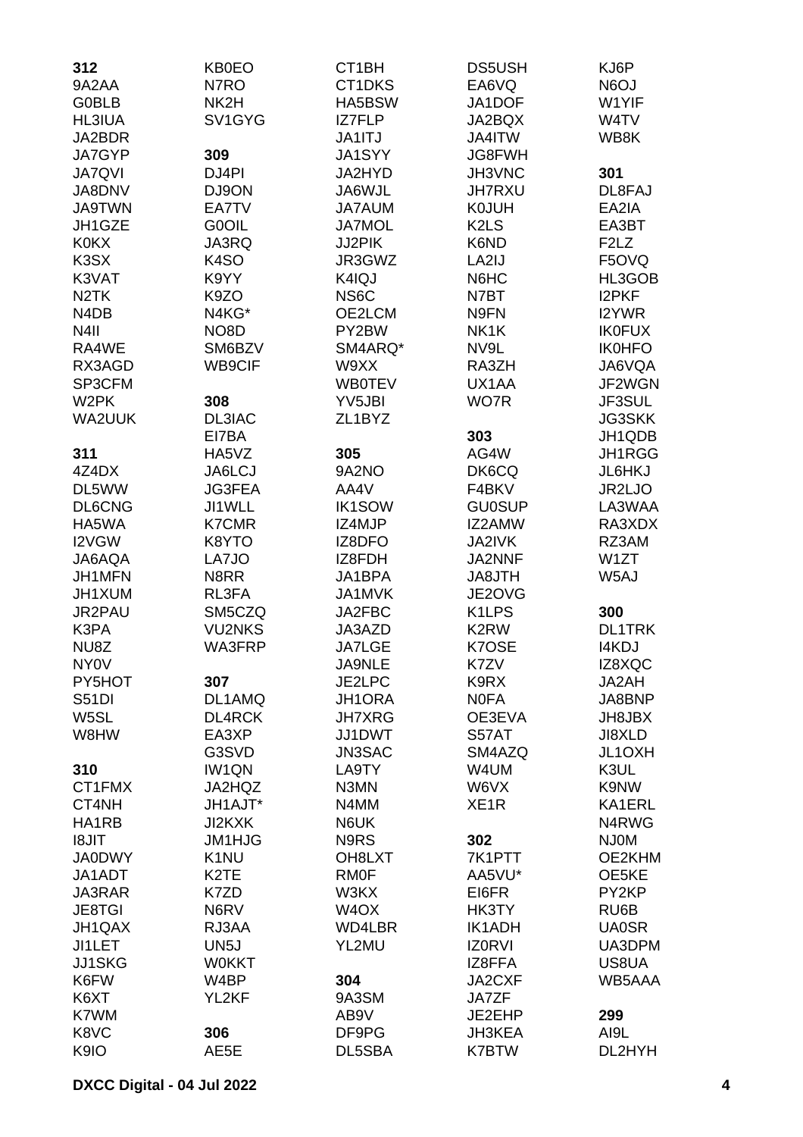| 312                           | <b>KB0EO</b>      | CT1BH               | <b>DS5USH</b>                 | KJ6P                          |
|-------------------------------|-------------------|---------------------|-------------------------------|-------------------------------|
| 9A2AA                         | N7RO              | CT1DKS              | EA6VQ                         | <b>N6OJ</b>                   |
| <b>G0BLB</b>                  | NK2H              | HA5BSW              | JA1DOF                        | W1YIF                         |
| <b>HL3IUA</b>                 | SV1GYG            | IZ7FLP              | JA2BQX                        | W4TV                          |
| JA2BDR                        |                   | <b>JA1ITJ</b>       | JA4ITW                        | WB8K                          |
| JA7GYP                        | 309               | <b>JA1SYY</b>       | JG8FWH                        |                               |
| <b>JA7QVI</b>                 | DJ4PI             | JA2HYD              | JH3VNC                        | 301                           |
| JA8DNV                        | DJ9ON             | JA6WJL              | <b>JH7RXU</b>                 | DL8FAJ                        |
| <b>JA9TWN</b>                 | EA7TV             | <b>JA7AUM</b>       | <b>K0JUH</b>                  | EA2IA                         |
|                               |                   |                     |                               |                               |
| JH1GZE                        | <b>GOOIL</b>      | <b>JA7MOL</b>       | K <sub>2</sub> L <sub>S</sub> | EA3BT                         |
| <b>K0KX</b>                   | JA3RQ             | JJ2PIK              | K6ND                          | F <sub>2</sub> L <sub>Z</sub> |
| K <sub>3</sub> SX             | K <sub>4</sub> SO | JR3GWZ              | LA2IJ                         | F5OVQ                         |
| K3VAT                         | K9YY              | K4IQJ               | N6HC                          | HL3GOB                        |
| N <sub>2</sub> TK             | K9ZO              | NS6C                | N7BT                          | <b>I2PKF</b>                  |
| N <sub>4</sub> D <sub>B</sub> | N4KG*             | OE2LCM              | N9FN                          | I2YWR                         |
| N <sub>4</sub> II             | NO <sub>8</sub> D | PY2BW               | NK1K                          | <b>IK0FUX</b>                 |
| RA4WE                         | SM6BZV            | SM4ARQ*             | NV9L                          | <b>IK0HFO</b>                 |
| RX3AGD                        | WB9CIF            | W9XX                | RA3ZH                         | JA6VQA                        |
| SP3CFM                        |                   | <b>WB0TEV</b>       | UX1AA                         | JF2WGN                        |
| W <sub>2</sub> PK             | 308               | YV5JBI              | WO7R                          | JF3SUL                        |
| <b>WA2UUK</b>                 | <b>DL3IAC</b>     | ZL <sub>1</sub> BYZ |                               | <b>JG3SKK</b>                 |
|                               | EI7BA             |                     | 303                           | JH1QDB                        |
| 311                           | HA5VZ             | 305                 | AG4W                          | JH1RGG                        |
| 4Z4DX                         | JA6LCJ            | 9A2NO               | DK6CQ                         | JL6HKJ                        |
| DL5WW                         | <b>JG3FEA</b>     | AA4V                | F4BKV                         | JR2LJO                        |
| DL6CNG                        | JI1WLL            | <b>IK1SOW</b>       | <b>GU0SUP</b>                 | LA3WAA                        |
| HA5WA                         | <b>K7CMR</b>      | IZ4MJP              | IZ2AMW                        | RA3XDX                        |
| I2VGW                         | K8YTO             | IZ8DFO              | JA2IVK                        | RZ3AM                         |
| JA6AQA                        | LA7JO             | IZ8FDH              | JA2NNF                        | W1ZT                          |
| JH1MFN                        | N8RR              | JA1BPA              | JA8JTH                        | W5AJ                          |
| JH1XUM                        | RL3FA             | <b>JA1MVK</b>       | JE2OVG                        |                               |
| JR2PAU                        | SM5CZQ            | JA2FBC              | K1LPS                         | 300                           |
| K3PA                          | <b>VU2NKS</b>     | JA3AZD              | K <sub>2</sub> RW             | <b>DL1TRK</b>                 |
| NU8Z                          | WA3FRP            | <b>JA7LGE</b>       | K7OSE                         | <b>I4KDJ</b>                  |
| <b>NY0V</b>                   |                   | JA9NLE              | K7ZV                          | IZ8XQC                        |
| PY5HOT                        | 307               |                     | K9RX                          | JA2AH                         |
| <b>S51DI</b>                  |                   | JE2LPC              |                               |                               |
|                               | DL1AMQ            | JH1ORA              | <b>NOFA</b>                   | JA8BNP                        |
| W5SL                          | <b>DL4RCK</b>     | <b>JH7XRG</b>       | OE3EVA                        | JH8JBX                        |
| W8HW                          | EA3XP             | JJ1DWT              | S57AT                         | JI8XLD                        |
|                               | G3SVD             | <b>JN3SAC</b>       | SM4AZQ                        | JL1OXH                        |
| 310                           | IW1QN             | LA9TY               | W4UM                          | K3UL                          |
| CT1FMX                        | JA2HQZ            | N3MN                | W6VX                          | K9NW                          |
| CT4NH                         | JH1AJT*           | N4MM                | XE <sub>1</sub> R             | KA1ERL                        |
| HA1RB                         | <b>JI2KXK</b>     | N6UK                |                               | N4RWG                         |
| <b>TIL8I</b>                  | JM1HJG            | N9RS                | 302                           | <b>NJOM</b>                   |
| <b>JA0DWY</b>                 | K <sub>1</sub> NU | OH8LXT              | 7K1PTT                        | OE2KHM                        |
| JA1ADT                        | K <sub>2</sub> TE | <b>RMOF</b>         | AA5VU*                        | OE5KE                         |
| JA3RAR                        | K7ZD              | W3KX                | EI6FR                         | PY2KP                         |
| <b>JE8TGI</b>                 | N6RV              | W <sub>4</sub> OX   | HK3TY                         | RU6B                          |
| JH1QAX                        | RJ3AA             | WD4LBR              | <b>IK1ADH</b>                 | <b>UA0SR</b>                  |
| JI1LET                        | UN <sub>5</sub> J | YL2MU               | <b>IZORVI</b>                 | UA3DPM                        |
| <b>JJ1SKG</b>                 | <b>WOKKT</b>      |                     | IZ8FFA                        | US8UA                         |
| K6FW                          | W4BP              | 304                 | JA2CXF                        | WB5AAA                        |
| K6XT                          | YL2KF             | 9A3SM               | <b>JA7ZF</b>                  |                               |
| K7WM                          |                   | AB9V                | JE2EHP                        | 299                           |
| K8VC                          | 306               | DF9PG               | <b>JH3KEA</b>                 | AI9L                          |
| K9IO                          | AE5E              | DL5SBA              | <b>K7BTW</b>                  | DL2HYH                        |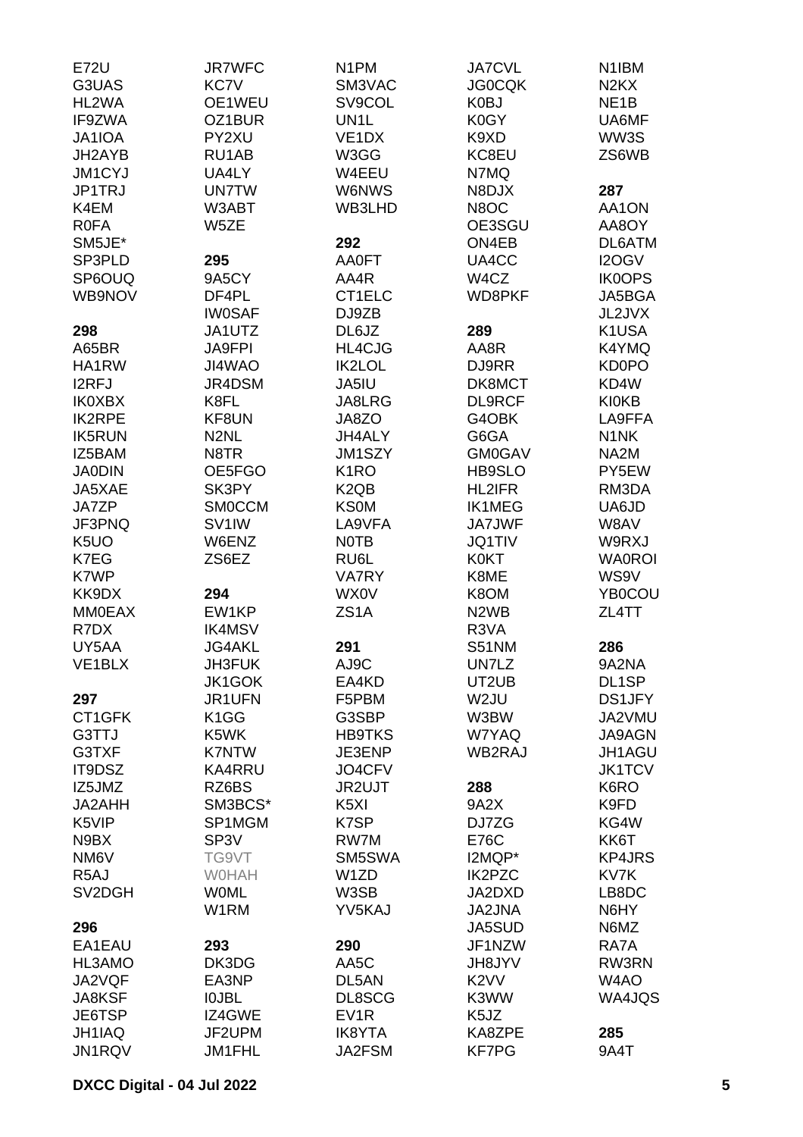| <b>E72U</b>       | <b>JR7WFC</b>        | N <sub>1</sub> PM             | <b>JA7CVL</b>                 | N <sub>1</sub> IBM            |
|-------------------|----------------------|-------------------------------|-------------------------------|-------------------------------|
| G3UAS             | <b>KC7V</b>          | SM3VAC                        | <b>JG0CQK</b>                 | N <sub>2</sub> K <sub>X</sub> |
| HL2WA             | OE1WEU               | SV9COL                        | K0BJ                          | NE <sub>1</sub> B             |
| IF9ZWA            | OZ1BUR               | UN <sub>1</sub> L             | K0GY                          | UA6MF                         |
| JA1IOA            | PY2XU                | VE <sub>1</sub> DX            | K9XD                          | WW3S                          |
| JH2AYB            | RU1AB                | W3GG                          | KC8EU                         | ZS6WB                         |
| <b>JM1CYJ</b>     | UA4LY                | W4EEU                         | N7MQ                          |                               |
| JP1TRJ            | <b>UN7TW</b>         | W6NWS                         | N8DJX                         | 287                           |
| K4EM              | W3ABT                | WB3LHD                        | N8OC                          | AA1ON                         |
| <b>R0FA</b>       | W5ZE                 |                               | OE3SGU                        | AA8OY                         |
| SM5JE*            |                      | 292                           | ON4EB                         | DL6ATM                        |
| SP3PLD            | 295                  | <b>AA0FT</b>                  | UA4CC                         | I2OGV                         |
| SP6OUQ            | 9A5CY                | AA4R                          | W4CZ                          | <b>IK0OPS</b>                 |
| WB9NOV            | DF4PL                | CT1ELC                        | WD8PKF                        | JA5BGA                        |
|                   | <b>IW0SAF</b>        | DJ9ZB                         |                               | JL2JVX                        |
| 298               | JA1UTZ               | DL6JZ                         | 289                           | K1USA                         |
| A65BR             | <b>JA9FPI</b>        | HL4CJG                        | AA8R                          | K4YMQ                         |
| HA1RW             | JI4WAO               | IK2LOL                        | DJ9RR                         | <b>KD0PO</b>                  |
| I2RFJ             | JR4DSM               | JA5IU                         | DK8MCT                        | KD4W                          |
| <b>IK0XBX</b>     | K8FL                 | JA8LRG                        | <b>DL9RCF</b>                 | <b>KI0KB</b>                  |
| <b>IK2RPE</b>     | KF8UN                | JA8ZO                         | G4OBK                         | LA9FFA                        |
| <b>IK5RUN</b>     | N <sub>2</sub> NL    | JH4ALY                        | G6GA                          | N <sub>1</sub> NK             |
| IZ5BAM            | N8TR                 | JM1SZY                        | <b>GM0GAV</b>                 | NA <sub>2</sub> M             |
| <b>JA0DIN</b>     | OE5FGO               | K <sub>1</sub> RO             | HB9SLO                        | PY5EW                         |
| JA5XAE            | SK3PY                | K <sub>2</sub> Q <sub>B</sub> | HL2IFR                        | RM3DA                         |
| JA7ZP             | <b>SMOCCM</b>        | <b>KS0M</b>                   | <b>IK1MEG</b>                 | UA6JD                         |
| JF3PNQ            | SV <sub>1</sub> IW   | LA9VFA                        | <b>JA7JWF</b>                 | W8AV                          |
| K <sub>5</sub> UO | W6ENZ                | <b>NOTB</b>                   | <b>JQ1TIV</b>                 | W9RXJ                         |
| K7EG              | ZS6EZ                | RU6L                          | <b>K0KT</b>                   | <b>WA0ROI</b>                 |
| K7WP              |                      | VA7RY                         | K8ME                          | WS9V                          |
| KK9DX             | 294                  | WX0V                          | K8OM                          | <b>YB0COU</b>                 |
| <b>MM0EAX</b>     | EW1KP                | ZS <sub>1</sub> A             | N <sub>2</sub> W <sub>B</sub> | ZL4TT                         |
| R7DX              | <b>IK4MSV</b>        |                               | R3VA                          |                               |
| UY5AA             | <b>JG4AKL</b>        | 291                           | S51NM                         | 286                           |
| VE1BLX            | JH3FUK               | AJ9C                          | UN7LZ                         | 9A2NA                         |
|                   | <b>JK1GOK</b>        | EA4KD                         | UT2UB                         | DL1SP                         |
| 297               | JR1UFN               | F5PBM                         | W2JU                          | <b>DS1JFY</b>                 |
| CT1GFK            | K <sub>1</sub> GG    | G3SBP                         | W3BW                          | JA2VMU                        |
|                   |                      |                               |                               | JA9AGN                        |
| G3TTJ             | K5WK<br><b>K7NTW</b> | <b>HB9TKS</b>                 | W7YAQ<br>WB2RAJ               | JH1AGU                        |
| G3TXF             |                      | JE3ENP                        |                               |                               |
| IT9DSZ            | <b>KA4RRU</b>        | JO4CFV                        |                               | <b>JK1TCV</b>                 |
| IZ5JMZ            | RZ6BS                | JR2UJT                        | 288                           | K6RO                          |
| JA2AHH            | SM3BCS*              | K <sub>5</sub> XI             | 9A2X                          | K9FD                          |
| K5VIP             | SP1MGM               | K7SP                          | DJ7ZG                         | KG4W                          |
| N9BX              | SP <sub>3</sub> V    | RW7M                          | <b>E76C</b>                   | KK6T                          |
| NM <sub>6</sub> V | TG9VT                | SM5SWA                        | I2MQP*                        | <b>KP4JRS</b>                 |
| R <sub>5</sub> AJ | <b>WOHAH</b>         | W1ZD                          | IK2PZC                        | KV7K                          |
| SV2DGH            | <b>WOML</b>          | W3SB                          | JA2DXD                        | LB8DC                         |
|                   | W1RM                 | YV5KAJ                        | <b>JA2JNA</b>                 | N6HY                          |
| 296               |                      |                               | JA5SUD                        | N6MZ                          |
| EA1EAU            | 293                  | 290                           | JF1NZW                        | RA7A                          |
| HL3AMO            | DK3DG                | AA5C                          | <b>JH8JYV</b>                 | RW3RN                         |
| JA2VQF            | EA3NP                | DL5AN                         | K <sub>2</sub> VV             | W4AO                          |
| <b>JA8KSF</b>     | <b>IOJBL</b>         | DL8SCG                        | K3WW                          | WA4JQS                        |
| JE6TSP            | IZ4GWE               | EV <sub>1</sub> R             | K5JZ                          |                               |
| JH1IAQ            | JF2UPM               | <b>IK8YTA</b>                 | KA8ZPE                        | 285                           |
| JN1RQV            | JM1FHL               | JA2FSM                        | <b>KF7PG</b>                  | 9A4T                          |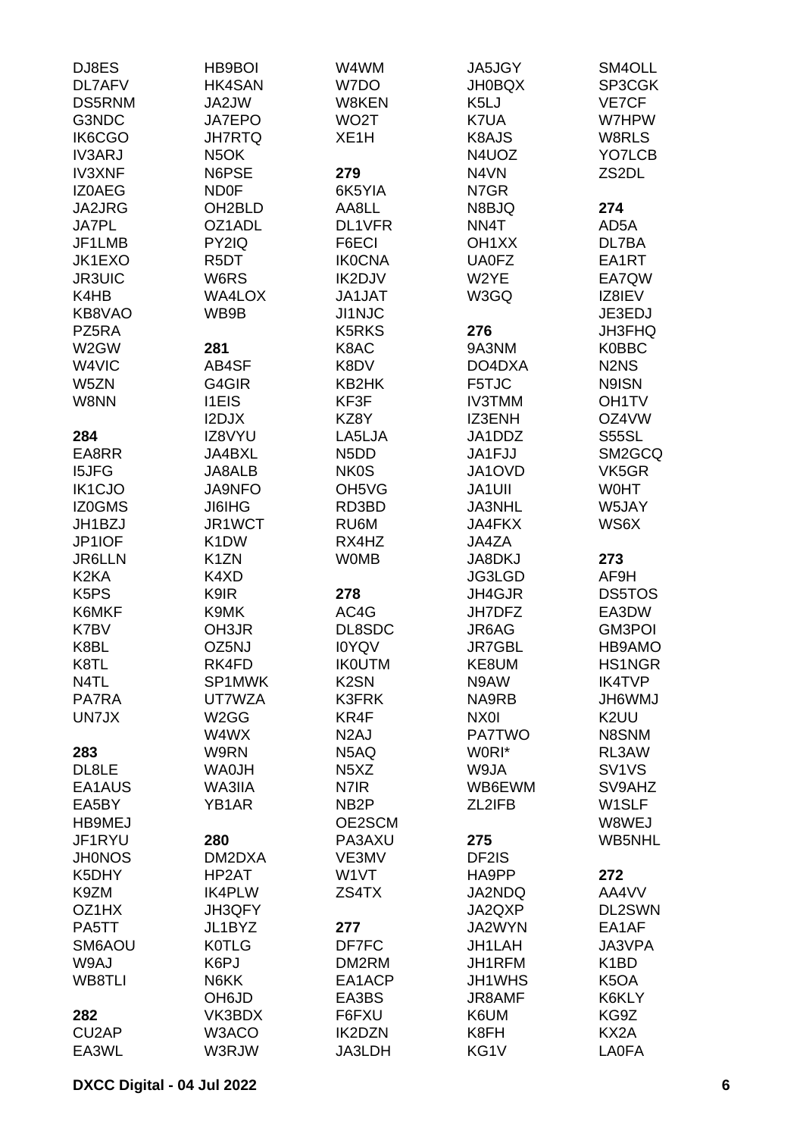| DJ8ES                         | <b>HB9BOI</b>       | W4WM                           | JA5JGY             | SM4OLL                         |
|-------------------------------|---------------------|--------------------------------|--------------------|--------------------------------|
| DL7AFV                        | HK4SAN              | W7DO                           | <b>JH0BQX</b>      | SP3CGK                         |
| <b>DS5RNM</b>                 | JA2JW               | W8KEN                          | K <sub>5L</sub> J  | VE7CF                          |
| G3NDC                         | <b>JA7EPO</b>       | WO <sub>2</sub> T              | K7UA               | W7HPW                          |
| IK6CGO                        | <b>JH7RTQ</b>       | XE <sub>1</sub> H              | K8AJS              | W8RLS                          |
| <b>IV3ARJ</b>                 | N <sub>5</sub> OK   |                                | N4UOZ              | YO7LCB                         |
| <b>IV3XNF</b>                 | N6PSE               | 279                            | N4VN               | ZS2DL                          |
| IZ0AEG                        | <b>ND0F</b>         | 6K5YIA                         | N7GR               |                                |
| JA2JRG                        | OH <sub>2</sub> BLD | AA8LL                          | N8BJQ              | 274                            |
| <b>JA7PL</b>                  | OZ1ADL              | DL1VFR                         | NN4T               | AD5A                           |
| JF1LMB                        | PY2IQ               | F6ECI                          | OH <sub>1</sub> XX | DL7BA                          |
| JK1EXO                        | R <sub>5</sub> DT   | <b>IK0CNA</b>                  | <b>UA0FZ</b>       | EA1RT                          |
| <b>JR3UIC</b>                 | W6RS                | IK2DJV                         | W2YE               | EA7QW                          |
| K4HB                          | <b>WA4LOX</b>       | <b>JA1JAT</b>                  | W3GQ               | IZ8IEV                         |
| KB8VAO                        | WB9B                | <b>JI1NJC</b>                  |                    | JE3EDJ                         |
| PZ5RA                         |                     | <b>K5RKS</b>                   | 276                | JH3FHQ                         |
| W2GW                          | 281                 | K8AC                           | 9A3NM              | <b>K0BBC</b>                   |
|                               |                     |                                |                    |                                |
| W4VIC                         | AB4SF               | K8DV                           | DO4DXA             | N <sub>2</sub> N <sub>S</sub>  |
| W5ZN                          | G4GIR               | KB2HK                          | F5TJC              | N9ISN                          |
| W8NN                          | <b>I1EIS</b>        | KF3F                           | <b>IV3TMM</b>      | OH1TV                          |
|                               | I2DJX               | KZ8Y                           | IZ3ENH             | OZ4VW                          |
| 284                           | IZ8VYU              | LA5LJA                         | JA1DDZ             | S55SL                          |
| EA8RR                         | <b>JA4BXL</b>       | N <sub>5</sub> D <sub>D</sub>  | JA1FJJ             | SM2GCQ                         |
| <b>I5JFG</b>                  | <b>JA8ALB</b>       | <b>NK0S</b>                    | JA1OVD             | VK5GR                          |
| IK1CJO                        | <b>JA9NFO</b>       | OH <sub>5</sub> V <sub>G</sub> | JA1UII             | <b>WOHT</b>                    |
| IZ0GMS                        | <b>JI6IHG</b>       | RD3BD                          | <b>JA3NHL</b>      | W5JAY                          |
| JH1BZJ                        | JR1WCT              | RU6M                           | JA4FKX             | WS6X                           |
| JP1IOF                        | K <sub>1</sub> DW   | RX4HZ                          | JA4ZA              |                                |
| <b>JR6LLN</b>                 | K <sub>1</sub> ZN   | <b>WOMB</b>                    | JA8DKJ             | 273                            |
| K <sub>2</sub> KA             | K4XD                |                                | JG3LGD             | AF9H                           |
| K <sub>5</sub> P <sub>S</sub> | K9IR                | 278                            | JH4GJR             | <b>DS5TOS</b>                  |
| K6MKF                         | K9MK                | AC4G                           | JH7DFZ             | EA3DW                          |
| K7BV                          | OH3JR               | DL8SDC                         | JR6AG              | GM3POI                         |
| K8BL                          | OZ5NJ               | <b>IOYQV</b>                   | <b>JR7GBL</b>      | HB9AMO                         |
| K8TL                          | RK4FD               | <b>IKOUTM</b>                  | KE8UM              | <b>HS1NGR</b>                  |
| N4TL                          | SP1MWK              | K <sub>2</sub> SN              | N9AW               | <b>IK4TVP</b>                  |
| <b>PA7RA</b>                  | UT7WZA              | K3FRK                          | NA9RB              | <b>JH6WMJ</b>                  |
| UN7JX                         | W <sub>2</sub> GG   | KR4F                           | NX0I               | K <sub>2</sub> UU              |
|                               | W4WX                | N <sub>2</sub> AJ              | <b>PA7TWO</b>      | N8SNM                          |
| 283                           | W9RN                | N5AQ                           | W0RI*              | RL3AW                          |
| DL8LE                         | <b>WA0JH</b>        | N <sub>5</sub> X <sub>Z</sub>  | W9JA               | SV <sub>1</sub> V <sub>S</sub> |
| EA1AUS                        | WA3IIA              | N7IR                           | WB6EWM             | SV9AHZ                         |
| EA5BY                         | YB1AR               | NB <sub>2</sub> P              | ZL2IFB             | W <sub>1</sub> SLF             |
| HB9MEJ                        |                     | OE2SCM                         |                    | W8WEJ                          |
| JF1RYU                        | 280                 | PA3AXU                         | 275                | WB5NHL                         |
| <b>JH0NOS</b>                 | DM2DXA              | VE3MV                          | DF2IS              |                                |
| K5DHY                         | HP2AT               | W1VT                           | HA9PP              | 272                            |
| K9ZM                          | <b>IK4PLW</b>       | ZS4TX                          | JA2NDQ             | AA4VV                          |
| OZ1HX                         | JH3QFY              |                                | JA2QXP             | DL2SWN                         |
| PA5TT                         | JL1BYZ              | 277                            | JA2WYN             | EA1AF                          |
| SM6AOU                        | <b>K0TLG</b>        | DF7FC                          | JH1LAH             | JA3VPA                         |
| W9AJ                          | K6PJ                | DM2RM                          | JH1RFM             | K <sub>1</sub> BD              |
| WB8TLI                        | N6KK                | EA1ACP                         | JH1WHS             | K <sub>5</sub> OA              |
|                               | OH6JD               | EA3BS                          | JR8AMF             | K6KLY                          |
| 282                           | VK3BDX              | F6FXU                          | K6UM               | KG9Z                           |
| CU2AP                         | W3ACO               | IK2DZN                         | K8FH               | KX2A                           |
| EA3WL                         | W3RJW               | JA3LDH                         | KG1V               | <b>LA0FA</b>                   |
|                               |                     |                                |                    |                                |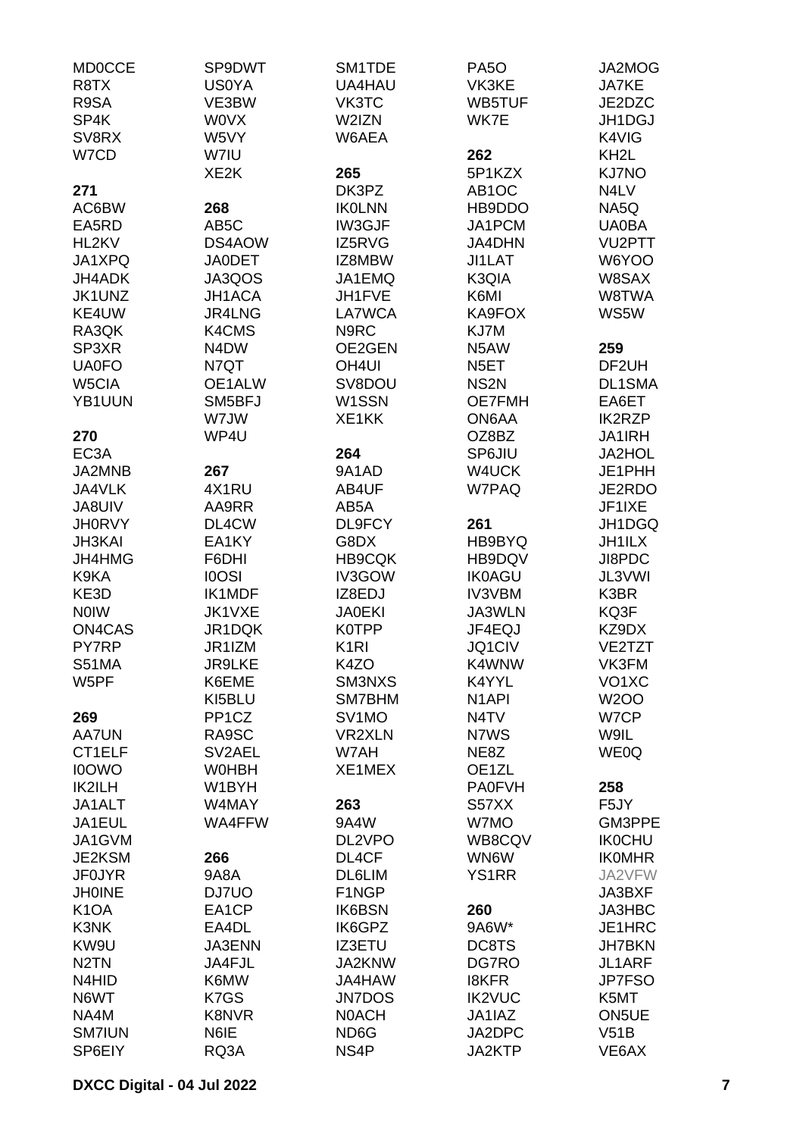| <b>MD0CCE</b>     | SP9DWT             | SM1TDE             | <b>PA50</b>        | JA2MOG             |
|-------------------|--------------------|--------------------|--------------------|--------------------|
| R8TX              | <b>US0YA</b>       | UA4HAU             | VK3KE              | <b>JA7KE</b>       |
| R9SA              | VE3BW              | VK3TC              | WB5TUF             | JE2DZC             |
| SP4K              | <b>WOVX</b>        | W2IZN              | WK7E               | JH1DGJ             |
| SV8RX             | W5VY               | W6AEA              |                    | K4VIG              |
| W7CD              | W7IU               |                    | 262                | KH <sub>2</sub> L  |
|                   | XE <sub>2</sub> K  | 265                | 5P1KZX             | <b>KJ7NO</b>       |
| 271               |                    | DK3PZ              | AB <sub>1</sub> OC | N4LV               |
| AC6BW             | 268                | <b>IKOLNN</b>      | HB9DDO             | NA5Q               |
| EA5RD             | AB <sub>5</sub> C  | IW3GJF             | JA1PCM             | <b>UA0BA</b>       |
|                   |                    |                    |                    |                    |
| HL2KV             | DS4AOW             | IZ5RVG             | JA4DHN             | <b>VU2PTT</b>      |
| JA1XPQ            | <b>JA0DET</b>      | IZ8MBW             | JI1LAT             | W6YOO              |
| JH4ADK            | JA3QOS             | JA1EMQ             | K3QIA              | W8SAX              |
| JK1UNZ            | <b>JH1ACA</b>      | JH1FVE             | K6MI               | W8TWA              |
| KE4UW             | <b>JR4LNG</b>      | LA7WCA             | KA9FOX             | WS5W               |
| RA3QK             | K4CMS              | N9RC               | KJ7M               |                    |
| SP3XR             | N4DW               | OE2GEN             | N5AW               | 259                |
| <b>UA0FO</b>      | N7QT               | OH <sub>4UI</sub>  | N <sub>5</sub> ET  | DF <sub>2UH</sub>  |
| W5CIA             | OE1ALW             | SV8DOU             | NS <sub>2N</sub>   | <b>DL1SMA</b>      |
| YB1UUN            | SM5BFJ             | W1SSN              | <b>OE7FMH</b>      | EA6ET              |
|                   | W7JW               | XE1KK              | ON6AA              | <b>IK2RZP</b>      |
| 270               | WP4U               |                    | OZ8BZ              | <b>JA1IRH</b>      |
| EC <sub>3</sub> A |                    | 264                | SP6JIU             | JA2HOL             |
| JA2MNB            | 267                | 9A1AD              | W4UCK              | JE1PHH             |
| JA4VLK            | 4X1RU              | AB4UF              | W7PAQ              | JE2RDO             |
|                   |                    |                    |                    |                    |
| JA8UIV            | AA9RR              | AB5A               |                    | JF1IXE             |
| <b>JH0RVY</b>     | DL4CW              | DL9FCY             | 261                | JH1DGQ             |
| <b>JH3KAI</b>     | EA1KY              | G8DX               | HB9BYQ             | <b>JH1ILX</b>      |
| JH4HMG            | F6DHI              | <b>HB9CQK</b>      | HB9DQV             | JI8PDC             |
| K9KA              | <b>IOOSI</b>       | IV3GOW             | <b>IK0AGU</b>      | JL3VWI             |
| KE3D              | <b>IK1MDF</b>      | IZ8EDJ             | <b>IV3VBM</b>      | K3BR               |
| <b>NOIW</b>       | JK1VXE             | <b>JA0EKI</b>      | JA3WLN             | KQ3F               |
| ON4CAS            | JR1DQK             | <b>K0TPP</b>       | JF4EQJ             | KZ9DX              |
| <b>PY7RP</b>      | JR1IZM             | K <sub>1</sub> RI  | JQ1CIV             | VE2TZT             |
| <b>S51MA</b>      | <b>JR9LKE</b>      | K4ZO               | K4WNW              | VK3FM              |
| W5PF              | K6EME              | SM3NXS             | K4YYL              | VO <sub>1</sub> XC |
|                   | KI5BLU             | SM7BHM             | N <sub>1</sub> API | <b>W2OO</b>        |
| 269               | PP <sub>1</sub> CZ | SV <sub>1</sub> MO | N4TV               | W7CP               |
| <b>AA7UN</b>      | RA9SC              | <b>VR2XLN</b>      | N7WS               | W9IL               |
| CT1ELF            | SV2AEL             | W7AH               | NE8Z               | WE0Q               |
| <b>I0OWO</b>      | <b>WOHBH</b>       | XE1MEX             | OE1ZL              |                    |
| IK2ILH            | W1BYH              |                    | <b>PA0FVH</b>      | 258                |
| JA1ALT            | W4MAY              | 263                | S57XX              | F <sub>5</sub> JY  |
| JA1EUL            | WA4FFW             | 9A4W               | W7MO               | GM3PPE             |
|                   |                    |                    |                    |                    |
| JA1GVM            |                    | DL2VPO             | WB8CQV             | <b>IK0CHU</b>      |
| JE2KSM            | 266                | DL4CF              | WN6W               | <b>IKOMHR</b>      |
| <b>JF0JYR</b>     | 9A8A               | DL6LIM             | <b>YS1RR</b>       | JA2VFW             |
| <b>JH0INE</b>     | DJ7UO              | F1NGP              |                    | JA3BXF             |
| K <sub>1</sub> OA | EA1CP              | <b>IK6BSN</b>      | 260                | JA3HBC             |
| K3NK              | EA4DL              | IK6GPZ             | 9A6W*              | JE1HRC             |
| KW9U              | <b>JA3ENN</b>      | <b>IZ3ETU</b>      | DC8TS              | <b>JH7BKN</b>      |
| N <sub>2</sub> TN | JA4FJL             | JA2KNW             | DG7RO              | JL1ARF             |
| N4HID             | K6MW               | JA4HAW             | <b>I8KFR</b>       | <b>JP7FSO</b>      |
| N6WT              | K7GS               | <b>JN7DOS</b>      | <b>IK2VUC</b>      | K5MT               |
| NA4M              | K8NVR              | <b>NOACH</b>       | JA1IAZ             | ON5UE              |
| <b>SM7IUN</b>     | N6IE               | ND6G               | JA2DPC             | V51B               |
| SP6EIY            | RQ3A               | NS4P               | JA2KTP             | VE6AX              |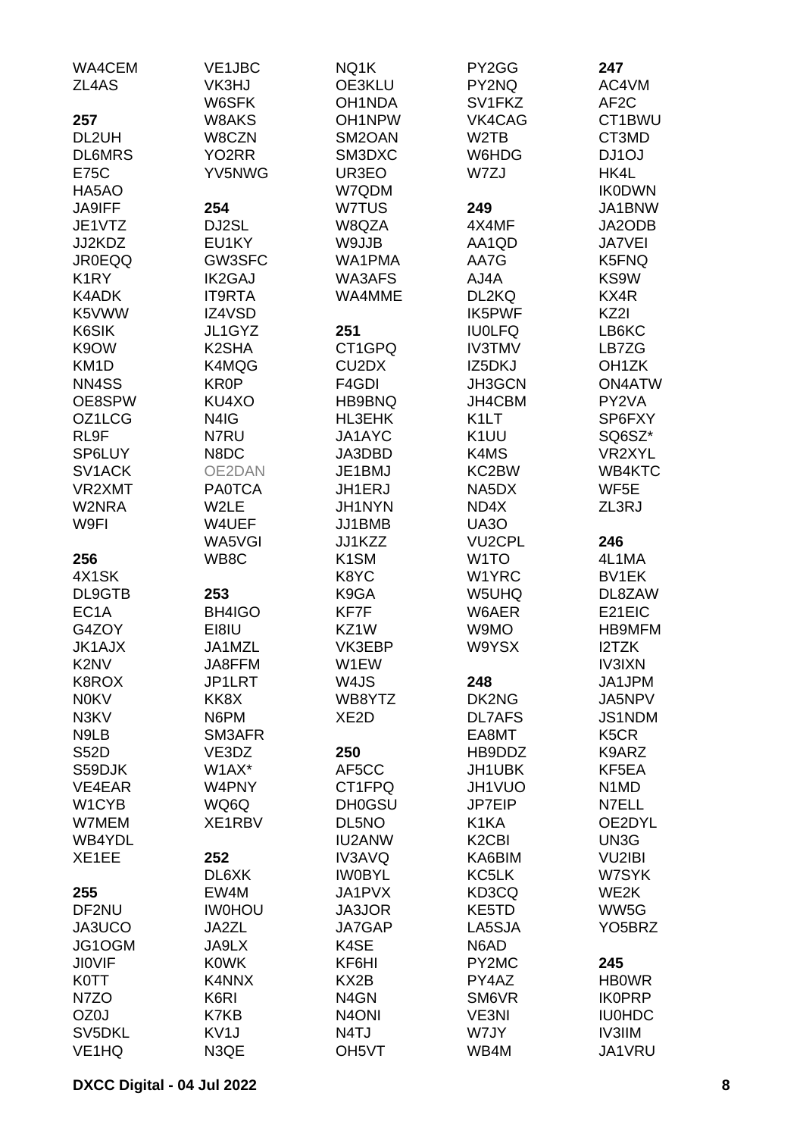| WA4CEM              | VE1JBC             | NQ1K                           | PY2GG                          | 247                           |
|---------------------|--------------------|--------------------------------|--------------------------------|-------------------------------|
| ZL4AS               | VK3HJ              | OE3KLU                         | PY2NQ                          | AC4VM                         |
|                     | W6SFK              | OH1NDA                         | SV1FKZ                         | AF <sub>2</sub> C             |
| 257                 | W8AKS              | OH1NPW                         | VK4CAG                         | CT1BWU                        |
| DL2UH               | W8CZN              | SM2OAN                         | W <sub>2</sub> TB              | CT3MD                         |
| <b>DL6MRS</b>       | YO <sub>2</sub> RR | SM3DXC                         | W6HDG                          | DJ1OJ                         |
| <b>E75C</b>         | YV5NWG             | UR3EO                          | W7ZJ                           | HK4L                          |
| HA5AO               |                    | W7QDM                          |                                | <b>IK0DWN</b>                 |
| <b>JA9IFF</b>       | 254                | W7TUS                          | 249                            | JA1BNW                        |
| JE1VTZ              | DJ2SL              | W8QZA                          | 4X4MF                          | JA2ODB                        |
| JJ2KDZ              | EU1KY              | W9JJB                          | AA1QD                          | <b>JA7VEI</b>                 |
| <b>JR0EQQ</b>       | GW3SFC             | WA1PMA                         | AA7G                           | K5FNQ                         |
| K <sub>1</sub> RY   | <b>IK2GAJ</b>      | WA3AFS                         | AJ4A                           | KS9W                          |
| K4ADK               | <b>IT9RTA</b>      | WA4MME                         | DL2KQ                          | KX4R                          |
| K5VWW               | IZ4VSD             |                                | IK5PWF                         | KZ2I                          |
| K6SIK               | JL1GYZ             | 251                            | <b>IU0LFQ</b>                  | LB6KC                         |
| K9OW                | K <sub>2</sub> SHA | CT1GPQ                         | <b>IV3TMV</b>                  | LB7ZG                         |
| KM <sub>1</sub> D   | K4MQG              | CU <sub>2</sub> D <sub>X</sub> | IZ5DKJ                         | OH <sub>1</sub> ZK            |
| NN4SS               | <b>KR0P</b>        | F4GDI                          | JH3GCN                         | <b>ON4ATW</b>                 |
| OE8SPW              | KU4XO              | HB9BNQ                         | JH4CBM                         | PY2VA                         |
| OZ1LCG              | N4IG               | HL3EHK                         | K <sub>1</sub> LT              | SP6FXY                        |
| RL9F                | N7RU               | JA1AYC                         | K <sub>1</sub> UU              | SQ6SZ*                        |
| SP6LUY              | N8DC               | JA3DBD                         | K4MS                           | VR2XYL                        |
| SV <sub>1</sub> ACK | OE2DAN             | JE1BMJ                         | KC2BW                          | WB4KTC                        |
| VR2XMT              | <b>PA0TCA</b>      | JH1ERJ                         | NA5DX                          | WF5E                          |
| W2NRA               | W2LE               | JH1NYN                         | ND4X                           | ZL3RJ                         |
| W9FI                | W4UEF              | JJ1BMB                         | <b>UA30</b>                    |                               |
|                     | WA5VGI             | JJ1KZZ                         | <b>VU2CPL</b>                  | 246                           |
| 256                 | WB8C               | K <sub>1</sub> SM              | W <sub>1</sub> TO              | 4L1MA                         |
| 4X1SK               |                    | K8YC                           | W1YRC                          | BV1EK                         |
| DL9GTB              | 253                | K9GA                           | W5UHQ                          | DL8ZAW                        |
| EC <sub>1</sub> A   | BH4IGO             | KF7F                           | W6AER                          | E21EIC                        |
| G4ZOY               | EI8IU              | KZ1W                           | W9MO                           | <b>HB9MFM</b>                 |
| <b>JK1AJX</b>       | JA1MZL             | VK3EBP                         | W9YSX                          | I2TZK                         |
| K2NV                | JA8FFM             | W1EW                           |                                | <b>IV3IXN</b>                 |
| K8ROX               | JP1LRT             | W4JS                           | 248                            | JA1JPM                        |
| <b>NOKV</b>         | KK8X               | WB8YTZ                         | DK2NG                          | JA5NPV                        |
| N3KV                | N6PM               | XE <sub>2</sub> D              | <b>DL7AFS</b>                  | JS1NDM                        |
| N9LB                | SM3AFR             |                                | EA8MT                          | K <sub>5</sub> CR             |
| <b>S52D</b>         | VE3DZ              | 250                            | HB9DDZ                         | K9ARZ                         |
| S59DJK              | W1AX*              | AF5CC                          | JH1UBK                         | KF5EA                         |
| VE4EAR              | W4PNY              | CT1FPQ                         | JH1VUO                         | N <sub>1</sub> M <sub>D</sub> |
| W1CYB               | WQ6Q               | <b>DH0GSU</b>                  | JP7EIP                         | N7ELL                         |
| W7MEM               | XE1RBV             | DL5NO                          | K <sub>1</sub> KA              | OE2DYL                        |
| WB4YDL              |                    | <b>IU2ANW</b>                  | K <sub>2</sub> C <sub>BI</sub> | UN3G                          |
| XE1EE               | 252                | IV3AVQ                         | KA6BIM                         | <b>VU2IBI</b>                 |
|                     | DL6XK              | <b>IWOBYL</b>                  | KC5LK                          | W7SYK                         |
| 255                 | EW4M               | JA1PVX                         | KD3CQ                          | WE2K                          |
| DF2NU               | <b>IWOHOU</b>      | JA3JOR                         | KE5TD                          | WW5G                          |
| JA3UCO              | JA2ZL              | JA7GAP                         | LA5SJA                         | YO <sub>5</sub> BRZ           |
| JG1OGM              | JA9LX              | K4SE                           | N6AD                           |                               |
| <b>JIOVIF</b>       | <b>K0WK</b>        | KF6HI                          | PY2MC                          | 245                           |
| <b>K0TT</b>         | K4NNX              | KX2B                           | PY4AZ                          | <b>HB0WR</b>                  |
| N7ZO                | K6RI               | N <sub>4</sub> GN              | SM6VR                          | <b>IK0PRP</b>                 |
| OZ0J                | K7KB               | N <sub>4</sub> ONI             | VE3NI                          | <b>IU0HDC</b>                 |
| SV5DKL              | KV <sub>1</sub> J  | N4TJ                           | W7JY                           | <b>IV3IIM</b>                 |
| VE <sub>1</sub> HQ  | N3QE               | OH <sub>5</sub> VT             | WB4M                           | JA1VRU                        |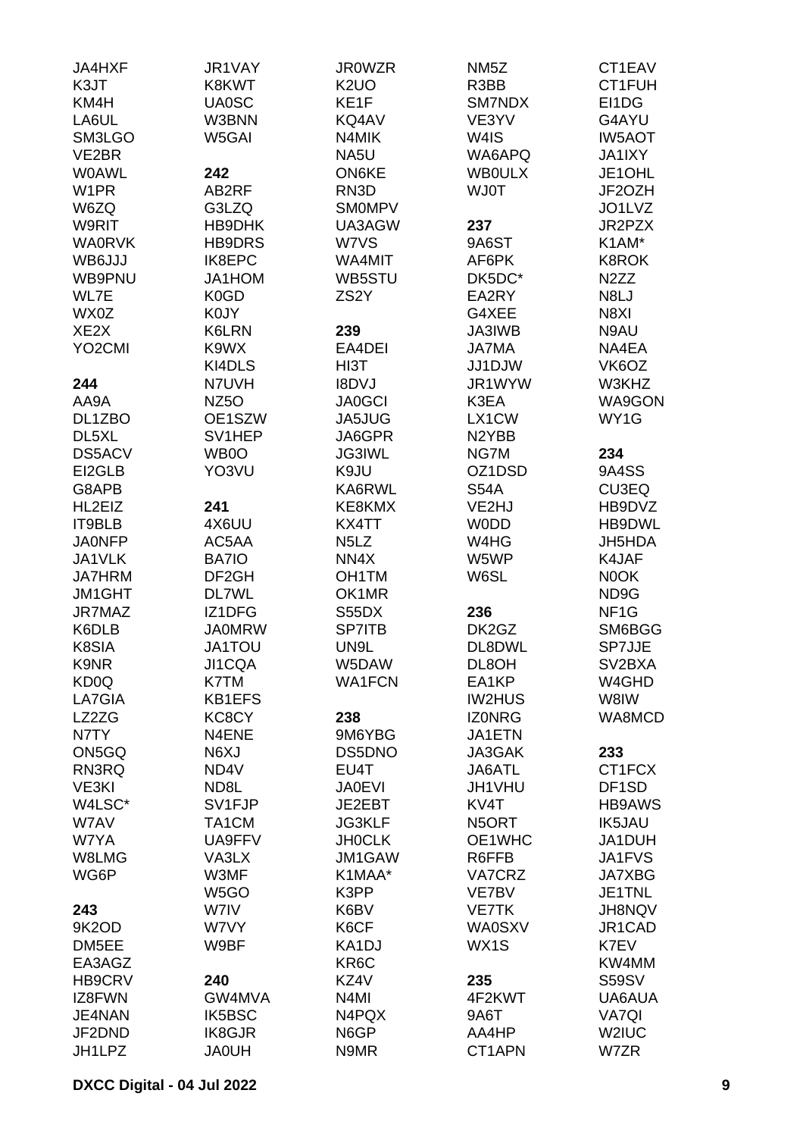| <b>JA4HXF</b>       | JR1VAY            | <b>JR0WZR</b>                 | NM <sub>5</sub> Z  | CT1EAV             |
|---------------------|-------------------|-------------------------------|--------------------|--------------------|
| K3JT                | K8KWT             | K <sub>2</sub> UO             | R3BB               | CT1FUH             |
| KM4H                | <b>UA0SC</b>      | KE1F                          | SM7NDX             | EI1DG              |
|                     | W3BNN             |                               | VE3YV              | G4AYU              |
| LA6UL               |                   | KQ4AV                         |                    |                    |
| SM3LGO              | W5GAI             | N4MIK                         | W4IS               | <b>IW5AOT</b>      |
| VE2BR               |                   | NA5U                          | WA6APQ             | <b>JA1IXY</b>      |
| <b>WOAWL</b>        | 242               | <b>ON6KE</b>                  | <b>WBOULX</b>      | JE1OHL             |
| W <sub>1</sub> PR   | AB2RF             | RN3D                          | <b>WJ0T</b>        | JF2OZH             |
| W6ZQ                | G3LZQ             | <b>SMOMPV</b>                 |                    | JO1LVZ             |
| <b>W9RIT</b>        | HB9DHK            | UA3AGW                        | 237                | JR2PZX             |
| <b>WA0RVK</b>       | <b>HB9DRS</b>     | W7VS                          | 9A6ST              | K1AM*              |
| WB6JJJ              | IK8EPC            | WA4MIT                        | AF6PK              | <b>K8ROK</b>       |
| WB9PNU              | JA1HOM            | WB5STU                        | DK5DC*             | N <sub>2</sub> ZZ  |
| WL7E                | K0GD              | ZS <sub>2</sub> Y             | EA2RY              | N8LJ               |
| WX0Z                | K0JY              |                               | G4XEE              | N8XI               |
| XE <sub>2</sub> X   | K6LRN             | 239                           | JA3IWB             | N9AU               |
| YO <sub>2</sub> CMI |                   | EA4DEI                        |                    | NA4EA              |
|                     | K9WX              |                               | <b>JA7MA</b>       |                    |
|                     | KI4DLS            | HI3T                          | JJ1DJW             | VK6OZ              |
| 244                 | N7UVH             | <b>I8DVJ</b>                  | JR1WYW             | W3KHZ              |
| AA9A                | NZ <sub>50</sub>  | <b>JA0GCI</b>                 | K3EA               | <b>WA9GON</b>      |
| DL1ZBO              | OE1SZW            | JA5JUG                        | LX1CW              | WY1G               |
| DL5XL               | SV1HEP            | JA6GPR                        | N <sub>2</sub> YBB |                    |
| <b>DS5ACV</b>       | WB0O              | <b>JG3IWL</b>                 | NG7M               | 234                |
| EI2GLB              | YO3VU             | K9JU                          | OZ1DSD             | 9A4SS              |
| G8APB               |                   | KA6RWL                        | <b>S54A</b>        | CU3EQ              |
| HL2EIZ              | 241               | KE8KMX                        | VE2HJ              | HB9DVZ             |
| IT9BLB              | 4X6UU             | KX4TT                         | <b>WODD</b>        | HB9DWL             |
| <b>JA0NFP</b>       | AC5AA             | N <sub>5</sub> L <sub>Z</sub> | W4HG               | JH5HDA             |
| JA1VLK              | BA7IO             | NN4X                          | W5WP               | K4JAF              |
| <b>JA7HRM</b>       | DF <sub>2GH</sub> | OH <sub>1</sub> TM            | W6SL               | N0OK               |
| JM1GHT              | DL7WL             | OK1MR                         |                    | ND9G               |
|                     |                   |                               |                    |                    |
| <b>JR7MAZ</b>       | IZ1DFG            | S55DX                         | 236                | NF <sub>1</sub> G  |
| K6DLB               | <b>JA0MRW</b>     | <b>SP7ITB</b>                 | DK2GZ              | SM6BGG             |
| K8SIA               | <b>JA1TOU</b>     | UN9L                          | DL8DWL             | SP7JJE             |
| K9NR                | JI1CQA            | W5DAW                         | DL8OH              | SV2BXA             |
| KD <sub>0</sub> Q   | K7TM              | <b>WA1FCN</b>                 | EA1KP              | W4GHD              |
| LA7GIA              | <b>KB1EFS</b>     |                               | <b>IW2HUS</b>      | W8IW               |
| LZ2ZG               | KC8CY             | 238                           | <b>IZONRG</b>      | WA8MCD             |
| N7TY                | N4ENE             | 9M6YBG                        | JA1ETN             |                    |
| ON5GQ               | N6XJ              | DS5DNO                        | JA3GAK             | 233                |
| RN3RQ               | ND4V              | EU4T                          | JA6ATL             | CT1FCX             |
| VE3KI               | ND <sub>8</sub> L | <b>JA0EVI</b>                 | JH1VHU             | DF <sub>1</sub> SD |
| W4LSC*              | SV1FJP            | JE2EBT                        | KV4T               | <b>HB9AWS</b>      |
| W7AV                | TA1CM             | <b>JG3KLF</b>                 | N5ORT              | <b>IK5JAU</b>      |
| W7YA                | UA9FFV            | <b>JHOCLK</b>                 | OE1WHC             | JA1DUH             |
| W8LMG               | VA3LX             | JM1GAW                        | R6FFB              | <b>JA1FVS</b>      |
| WG6P                | W3MF              | K1MAA*                        | VA7CRZ             | <b>JA7XBG</b>      |
|                     | W <sub>5</sub> GO | K3PP                          | VE7BV              | JE1TNL             |
| 243                 | W7IV              | K6BV                          | <b>VE7TK</b>       | JH8NQV             |
|                     | W7VY              |                               |                    |                    |
| 9K2OD               |                   | K6CF                          | <b>WA0SXV</b>      | JR1CAD             |
| DM5EE               | W9BF              | KA1DJ                         | WX1S               | K7EV               |
| EA3AGZ              |                   | KR <sub>6</sub> C             |                    | KW4MM              |
| <b>HB9CRV</b>       | 240               | KZ4V                          | 235                | <b>S59SV</b>       |
| IZ8FWN              | GW4MVA            | N <sub>4</sub> MI             | 4F2KWT             | UA6AUA             |
| JE4NAN              | <b>IK5BSC</b>     | N4PQX                         | 9A6T               | VA7QI              |
| JF2DND              | IK8GJR            | N6GP                          | AA4HP              | W2IUC              |
| JH1LPZ              | <b>JA0UH</b>      | N9MR                          | CT1APN             | W7ZR               |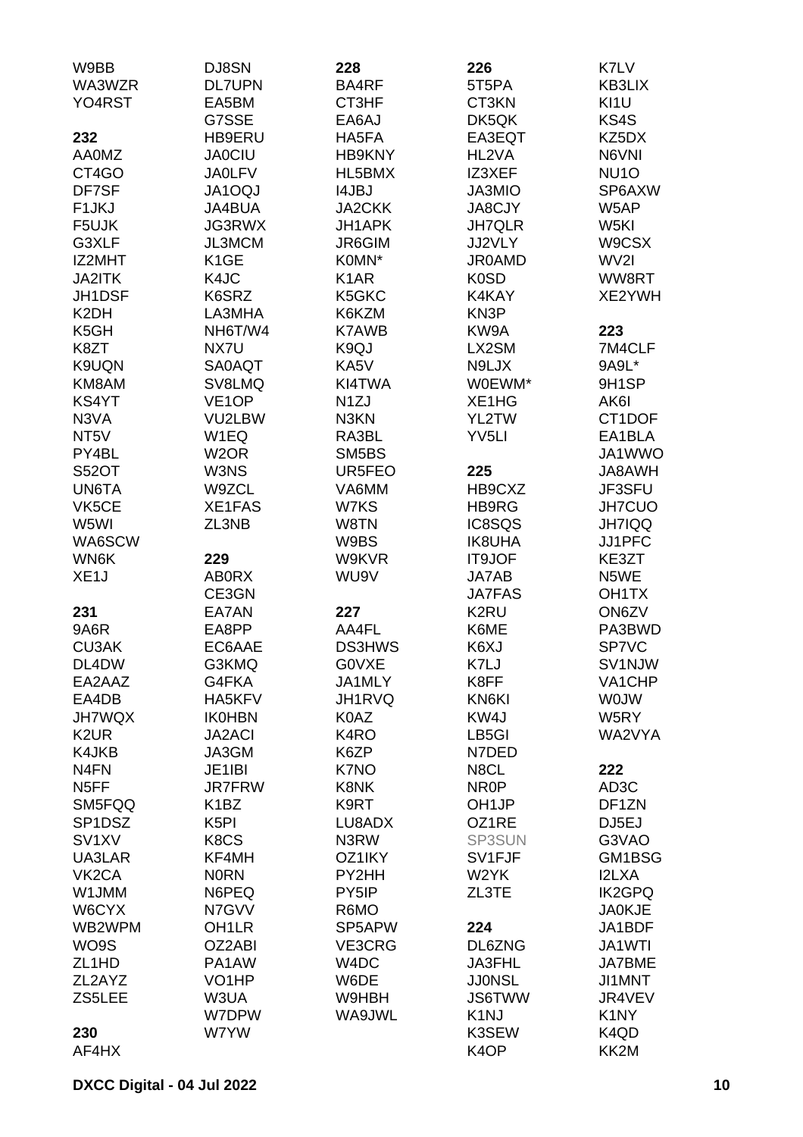| W9BB                | DJ8SN                         | 228               | 226                | K7LV               |
|---------------------|-------------------------------|-------------------|--------------------|--------------------|
| WA3WZR              | <b>DL7UPN</b>                 | BA4RF             | 5T5PA              | KB3LIX             |
| YO4RST              | EA5BM                         | CT3HF             | CT3KN              | KI1U               |
|                     | G7SSE                         | EA6AJ             | DK5QK              | KS4S               |
| 232                 | HB9ERU                        | HA5FA             | EA3EQT             | KZ5DX              |
| <b>AA0MZ</b>        | <b>JA0CIU</b>                 | <b>HB9KNY</b>     | HL2VA              | N6VNI              |
| CT4GO               | <b>JA0LFV</b>                 | HL5BMX            | IZ3XEF             | NU <sub>10</sub>   |
| DF7SF               | <b>JA1OQJ</b>                 | <b>I4JBJ</b>      | JA3MIO             | SP6AXW             |
| F <sub>1</sub> JKJ  | JA4BUA                        | <b>JA2CKK</b>     | <b>JA8CJY</b>      | W5AP               |
| F5UJK               | <b>JG3RWX</b>                 | <b>JH1APK</b>     | <b>JH7QLR</b>      | W5KI               |
| G3XLF               | JL3MCM                        | JR6GIM            | JJ2VLY             | W9CSX              |
| IZ2MHT              | K <sub>1</sub> GE             | K0MN*             | <b>JR0AMD</b>      | WV2I               |
| <b>JA2ITK</b>       | K4JC                          | K <sub>1</sub> AR | K <sub>0</sub> SD  | WW8RT              |
| JH1DSF              | K6SRZ                         | K5GKC             | K4KAY              | XE2YWH             |
| K <sub>2</sub> DH   | LA3MHA                        | K6KZM             | KN3P               |                    |
| K <sub>5</sub> GH   | NH6T/W4                       | <b>K7AWB</b>      | KW9A               | 223                |
| K8ZT                | NX7U                          | K9QJ              | LX2SM              | 7M4CLF             |
| K9UQN               | <b>SA0AQT</b>                 | KA5V              | N9LJX              | 9A9L*              |
| KM8AM               | SV8LMQ                        | KI4TWA            | W0EWM*             | 9H1SP              |
| KS4YT               | VE <sub>1</sub> OP            | N <sub>1</sub> ZJ | XE1HG              | AK6I               |
| N3VA                | VU2LBW                        | N3KN              | YL2TW              | CT1DOF             |
| NT <sub>5</sub> V   | W1EQ                          | RA3BL             | YV <sub>5LI</sub>  | EA1BLA             |
| PY4BL               | W <sub>2</sub> OR             | SM5BS             |                    | JA1WWO             |
| <b>S52OT</b>        | W3NS                          | UR5FEO            | 225                | <b>HWA8AU</b>      |
| UN6TA               | W9ZCL                         | VA6MM             | HB9CXZ             | JF3SFU             |
| VK5CE               | XE1FAS                        | W7KS              | HB9RG              | JH7CUO             |
| W5WI                | ZL3NB                         | W8TN              | IC8SQS             | <b>JH7IQQ</b>      |
| WA6SCW              |                               | W9BS              | <b>IK8UHA</b>      | JJ1PFC             |
| WN6K                | 229                           | W9KVR             | IT9JOF             | KE3ZT              |
| XE <sub>1</sub> J   | <b>ABORX</b>                  | WU9V              | JA7AB              | N5WE               |
|                     | CE3GN                         |                   | <b>JA7FAS</b>      | OH <sub>1</sub> TX |
| 231                 | EA7AN                         | 227               | K2RU               | ON6ZV              |
| 9A6R                | EA8PP                         | AA4FL             | K6ME               | PA3BWD             |
| <b>CU3AK</b>        | EC6AAE                        | <b>DS3HWS</b>     | K6XJ               | SP7VC              |
| DL4DW               | G3KMQ                         | <b>GOVXE</b>      | K7LJ               | SV1NJW             |
| EA2AAZ              | G4FKA                         | JA1MLY            | K8FF               | VA1CHP             |
| EA4DB               | HA5KFV                        | JH1RVQ            | KN6KI              | <b>WOJW</b>        |
| <b>JH7WQX</b>       | <b>IK0HBN</b>                 | K0AZ              | KW4J               | W5RY               |
| K <sub>2</sub> UR   | <b>JA2ACI</b>                 | K4RO              | LB5GI              | WA2VYA             |
| K4JKB               | JA3GM                         | K6ZP              | N7DED              |                    |
| N <sub>4</sub> FN   | JE1IBI                        | K7NO              | N8CL               | 222                |
| N <sub>5</sub> FF   | <b>JR7FRW</b>                 | K8NK              | NR <sub>0</sub> P  | AD <sub>3</sub> C  |
| SM5FQQ              | K <sub>1</sub> BZ             | K9RT              | OH <sub>1</sub> JP | DF1ZN              |
| SP <sub>1</sub> DSZ | K <sub>5</sub> PI             | LU8ADX            | OZ1RE              | DJ5EJ              |
| SV <sub>1</sub> XV  | K <sub>8</sub> C <sub>S</sub> | N3RW              | SP3SUN             | G3VAO              |
| UA3LAR              | KF4MH                         | OZ1IKY            | SV1FJF             | GM1BSG             |
| VK <sub>2</sub> CA  | <b>NORN</b>                   | PY2HH             | W2YK               | <b>I2LXA</b>       |
| W1JMM               | N6PEQ                         | PY5IP             | ZL3TE              | <b>IK2GPQ</b>      |
| W6CYX               | N7GVV                         | R6MO              |                    | <b>JA0KJE</b>      |
| WB2WPM              | OH <sub>1</sub> LR            | SP5APW            | 224                | JA1BDF             |
| WO9S                | OZ2ABI                        | VE3CRG            | DL6ZNG             | JA1WTI             |
| ZL <sub>1</sub> HD  | PA1AW                         | W4DC              | JA3FHL             | <b>JA7BME</b>      |
| ZL2AYZ              | VO <sub>1</sub> HP            | W6DE              | <b>JJONSL</b>      | JI1MNT             |
| ZS5LEE              | W3UA                          | W9HBH             | <b>JS6TWW</b>      | JR4VEV             |
|                     | W7DPW                         | WA9JWL            | K <sub>1</sub> NJ  | K <sub>1</sub> NY  |
| 230                 | W7YW                          |                   | K3SEW              | K4QD               |
| AF4HX               |                               |                   | K <sub>4</sub> OP  | KK2M               |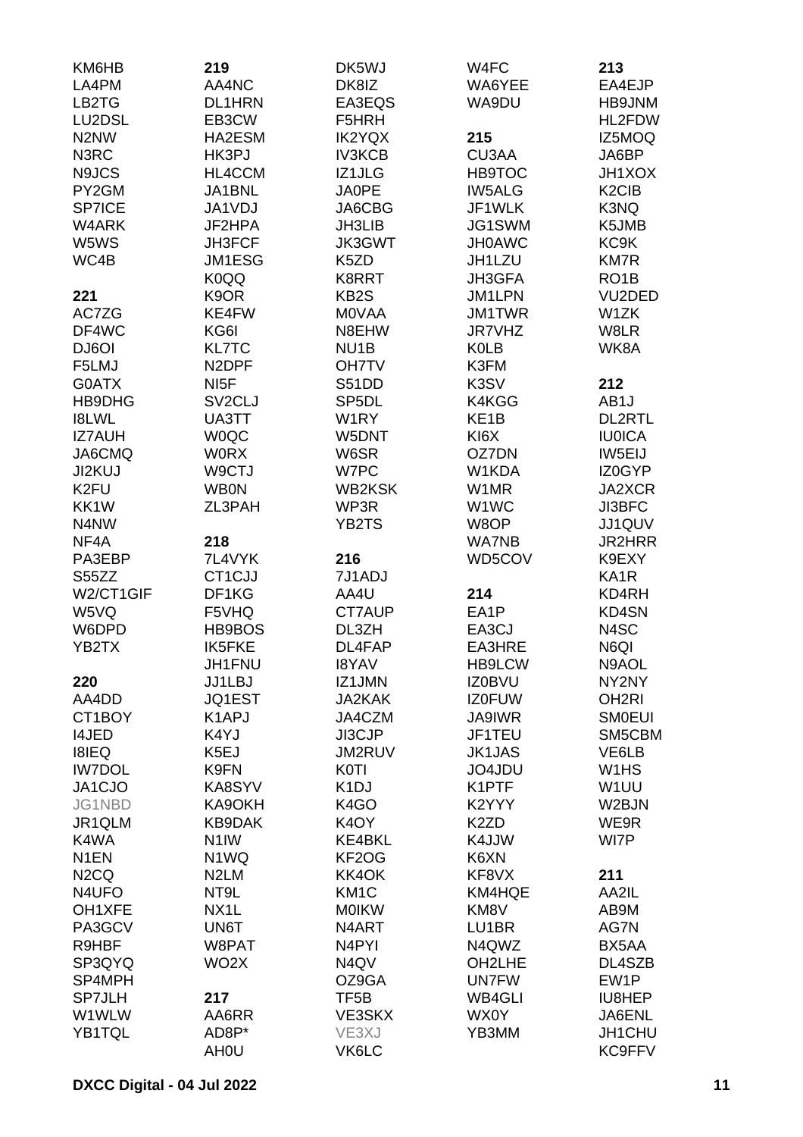| KM6HB                         | 219                 | DK5WJ              | W4FC              | 213                            |
|-------------------------------|---------------------|--------------------|-------------------|--------------------------------|
| LA4PM                         | AA4NC               | DK8IZ              | WA6YEE            | EA4EJP                         |
| LB2TG                         | <b>DL1HRN</b>       | EA3EQS             | WA9DU             | HB9JNM                         |
| LU2DSL                        | EB3CW               | F5HRH              |                   | HL2FDW                         |
| N <sub>2</sub> N <sub>W</sub> | HA2ESM              | <b>IK2YQX</b>      | 215               | IZ5MOQ                         |
| N3RC                          | HK3PJ               | <b>IV3KCB</b>      | CU3AA             | JA6BP                          |
| N9JCS                         | HL4CCM              | IZ1JLG             | <b>HB9TOC</b>     | <b>JH1XOX</b>                  |
| PY2GM                         | JA1BNL              | JA0PE              | <b>IW5ALG</b>     | K <sub>2</sub> C <sub>IB</sub> |
| <b>SP7ICE</b>                 | JA1VDJ              | JA6CBG             | JF1WLK            | K3NQ                           |
| W4ARK                         | JF2HPA              | JH3LIB             | JG1SWM            | K5JMB                          |
| W5WS                          | <b>JH3FCF</b>       | <b>JK3GWT</b>      | <b>JH0AWC</b>     | KC9K                           |
| WC4B                          | <b>JM1ESG</b>       | K5ZD               | JH1LZU            | <b>KM7R</b>                    |
|                               | K0QQ                | K8RRT              | JH3GFA            | RO <sub>1</sub> B              |
| 221                           | K <sub>9</sub> OR   | KB <sub>2</sub> S  | <b>JM1LPN</b>     | VU2DED                         |
| AC7ZG                         | KE4FW               | <b>MOVAA</b>       | <b>JM1TWR</b>     | W1ZK                           |
| DF4WC                         | KG6I                | N8EHW              | <b>JR7VHZ</b>     | W8LR                           |
| DJ6OI                         | <b>KL7TC</b>        | NU <sub>1</sub> B  | <b>K0LB</b>       | WK8A                           |
| F5LMJ                         | N <sub>2</sub> DPF  | <b>OH7TV</b>       | K3FM              |                                |
| G0ATX                         | NI <sub>5</sub> F   | S51DD              | K3SV              | 212                            |
| HB9DHG                        | SV <sub>2</sub> CLJ | SP <sub>5</sub> DL | K4KGG             | AB <sub>1</sub> J              |
| <b>I8LWL</b>                  | UA3TT               | W1RY               | KE <sub>1</sub> B | <b>DL2RTL</b>                  |
| <b>IZ7AUH</b>                 | <b>WOQC</b>         | W5DNT              | KI6X              | <b>IU0ICA</b>                  |
| JA6CMQ                        | <b>WORX</b>         | W6SR               | OZ7DN             | IW5EIJ                         |
| JI2KUJ                        | W9CTJ               | W7PC               | W1KDA             | IZ0GYP                         |
| K <sub>2FU</sub>              | <b>WB0N</b>         | <b>WB2KSK</b>      | W1MR              | JA2XCR                         |
| KK1W                          | ZL3PAH              | WP3R               | W1WC              | JI3BFC                         |
| N4NW                          |                     | YB2TS              | W8OP              | JJ1QUV                         |
| NF4A                          | 218                 |                    | <b>WA7NB</b>      | <b>JR2HRR</b>                  |
| PA3EBP                        | 7L4VYK              | 216                | WD5COV            | K9EXY                          |
| S55ZZ                         | CT1CJJ              | 7J1ADJ             |                   | KA1R                           |
| W2/CT1GIF                     | DF1KG               | AA4U               | 214               | KD4RH                          |
| W5VQ                          | F5VHQ               | CT7AUP             | EA1P              | <b>KD4SN</b>                   |
| W6DPD                         | HB9BOS              | DL3ZH              | EA3CJ             | N4SC                           |
| YB2TX                         | <b>IK5FKE</b>       | DL4FAP             | <b>EA3HRE</b>     | N6QI                           |
|                               | JH1FNU              | <b>I8YAV</b>       | HB9LCW            | N9AOL                          |
| 220                           | JJ1LBJ              | IZ1JMN             | <b>IZ0BVU</b>     | NY2NY                          |
| AA4DD                         | JQ1EST              | <b>JA2KAK</b>      | <b>IZ0FUW</b>     | OH <sub>2RI</sub>              |
| CT1BOY                        | K <sub>1</sub> APJ  | JA4CZM             | <b>JA9IWR</b>     | <b>SMOEUI</b>                  |
| <b>I4JED</b>                  | K4YJ                | JI3CJP             | JF1TEU            | SM5CBM                         |
| <b>I8IEQ</b>                  | K5EJ                | JM2RUV             | <b>JK1JAS</b>     | VE6LB                          |
| <b>IW7DOL</b>                 | K9FN                | <b>K0TI</b>        | JO4JDU            | W <sub>1</sub> H <sub>S</sub>  |
| JA1CJO                        | KA8SYV              | K <sub>1</sub> DJ  | K1PTF             | W <sub>1</sub> UU              |
| JG1NBD                        | KA9OKH              | K <sub>4</sub> GO  | K2YYY             | W2BJN                          |
| JR1QLM                        | KB9DAK              | K <sub>4</sub> OY  | K <sub>2</sub> ZD | WE9R                           |
| K4WA                          | N <sub>1</sub> IW   | KE4BKL             | K4JJW             | WI7P                           |
| N <sub>1</sub> EN             | N <sub>1</sub> WQ   | KF <sub>2</sub> OG | K6XN              |                                |
| N <sub>2</sub> CQ             | N <sub>2</sub> LM   | KK4OK              | KF8VX             | 211                            |
| N4UFO                         | NT9L                | KM <sub>1</sub> C  | KM4HQE            | AA2IL                          |
| OH1XFE                        | NX1L                | <b>MOIKW</b>       | KM8V              | AB9M                           |
| PA3GCV                        | UN6T                | N4ART              | LU1BR             | AG7N                           |
| R9HBF                         | W8PAT               | N <sub>4</sub> PYI | N4QWZ             | BX5AA                          |
| SP3QYQ                        | WO <sub>2</sub> X   | N4QV               | OH2LHE            | DL4SZB                         |
| SP4MPH                        |                     | OZ9GA              | <b>UN7FW</b>      | EW1P                           |
| <b>SP7JLH</b>                 | 217                 | TF <sub>5</sub> B  | <b>WB4GLI</b>     | <b>IU8HEP</b>                  |
| W1WLW                         | AA6RR               | VE3SKX             | WX0Y              | JA6ENL                         |
| YB1TQL                        | AD8P*               | VE3XJ              | YB3MM             | JH1CHU                         |
|                               | AH <sub>0</sub> U   | VK6LC              |                   | KC9FFV                         |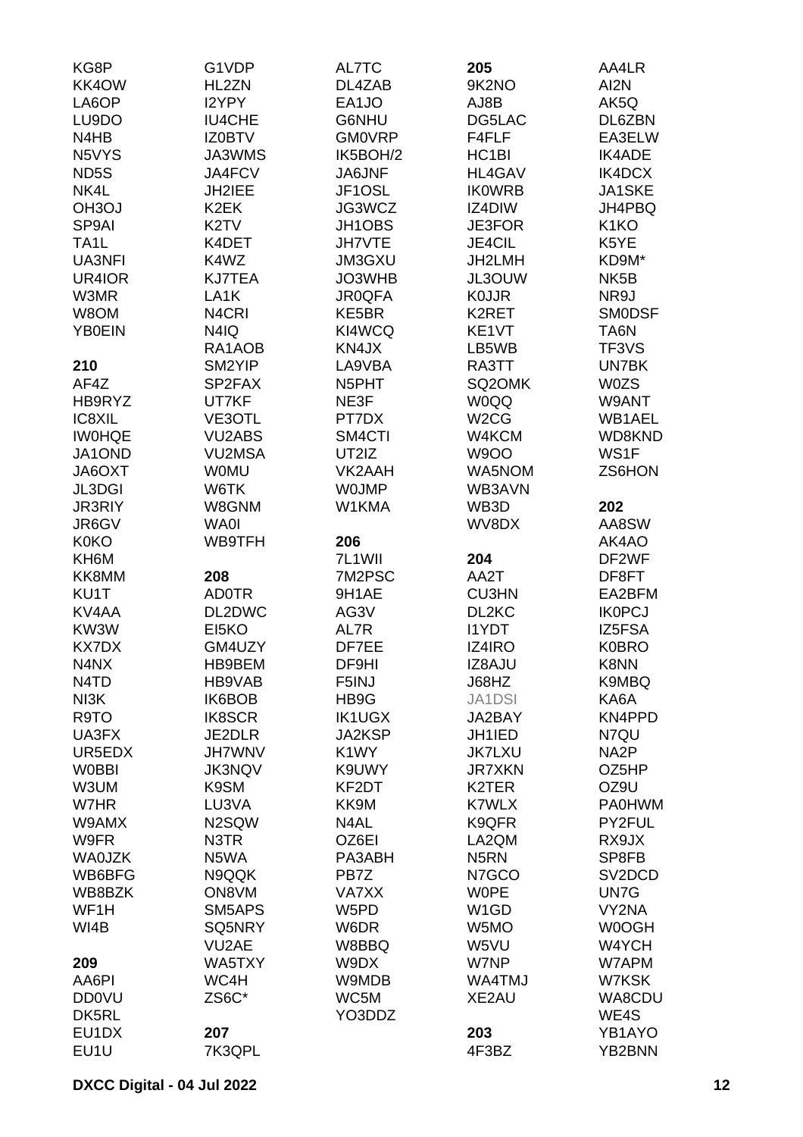| KG8P               | G1VDP              | AL7TC             | 205                | AA4LR               |
|--------------------|--------------------|-------------------|--------------------|---------------------|
| KK4OW              | HL2ZN              | DL4ZAB            | 9K2NO              | AI2N                |
| LA6OP              | I2YPY              | EA1JO             | AJ8B               | AK5Q                |
| LU9DO              | <b>IU4CHE</b>      | G6NHU             | DG5LAC             | DL6ZBN              |
| N4HB               | <b>IZ0BTV</b>      | <b>GM0VRP</b>     | F4FLF              | EA3ELW              |
| N5VYS              | JA3WMS             | IK5BOH/2          | HC <sub>1</sub> BI | <b>IK4ADE</b>       |
| ND <sub>5</sub> S  | JA4FCV             | <b>JA6JNF</b>     | <b>HL4GAV</b>      | IK4DCX              |
| NK4L               | JH2IEE             | JF1OSL            | <b>IKOWRB</b>      | JA1SKE              |
| OH <sub>3</sub> OJ | K <sub>2</sub> EK  | JG3WCZ            | IZ4DIW             | JH4PBQ              |
|                    | K <sub>2</sub> TV  |                   | JE3FOR             | K <sub>1</sub> KO   |
| SP9AI              |                    | JH1OBS            |                    |                     |
| TA <sub>1</sub> L  | K4DET              | <b>JH7VTE</b>     | JE4CIL             | K5YE                |
| UA3NFI             | K4WZ               | <b>JM3GXU</b>     | JH2LMH             | KD9M*               |
| UR4IOR             | <b>KJ7TEA</b>      | JO3WHB            | JL3OUW             | NK <sub>5</sub> B   |
| W3MR               | LA <sub>1</sub> K  | <b>JR0QFA</b>     | <b>K0JJR</b>       | NR9J                |
| W8OM               | N <sub>4</sub> CRI | KE5BR             | K2RET              | <b>SMODSF</b>       |
| <b>YB0EIN</b>      | N4IQ               | KI4WCQ            | KE1VT              | TA6N                |
|                    | RA1AOB             | KN4JX             | LB5WB              | TF3VS               |
| 210                | SM2YIP             | LA9VBA            | RA3TT              | UN7BK               |
| AF4Z               | SP2FAX             | N5PHT             | SQ2OMK             | <b>W0ZS</b>         |
| HB9RYZ             | UT7KF              | NE3F              | <b>W0QQ</b>        | W9ANT               |
| IC8XIL             | VE3OTL             | PT7DX             | W <sub>2</sub> CG  | WB1AEL              |
| <b>IWOHQE</b>      | <b>VU2ABS</b>      | SM4CTI            | W4KCM              | WD8KND              |
| JA1OND             | VU2MSA             | UT2IZ             | <b>W9OO</b>        | WS1F                |
| JA6OXT             | <b>WOMU</b>        | VK2AAH            | WA5NOM             | ZS6HON              |
| JL3DGI             | W6TK               | <b>WOJMP</b>      | WB3AVN             |                     |
| <b>JR3RIY</b>      | W8GNM              | W1KMA             | WB3D               | 202                 |
| JR6GV              | <b>WA0I</b>        |                   | WV8DX              | AA8SW               |
| <b>K0KO</b>        | WB9TFH             | 206               |                    | AK4AO               |
| KH6M               |                    | 7L1WII            | 204                | DF2WF               |
| KK8MM              | 208                | 7M2PSC            | AA2T               | DF8FT               |
| KU1T               | <b>AD0TR</b>       | 9H1AE             | <b>CU3HN</b>       | EA2BFM              |
| KV4AA              | DL2DWC             | AG3V              | DL2KC              | <b>IK0PCJ</b>       |
| KW3W               | EI5KO              | AL7R              | <b>I1YDT</b>       | IZ5FSA              |
| <b>KX7DX</b>       | GM4UZY             | DF7EE             | IZ4IRO             | <b>K0BRO</b>        |
| N4NX               | HB9BEM             | DF9HI             | IZ8AJU             | K8NN                |
| N4TD               | HB9VAB             | F5INJ             | J68HZ              | K9MBQ               |
| NI3K               | IK6BOB             | HB9G              | <b>JA1DSI</b>      | KA6A                |
| R9TO               | <b>IK8SCR</b>      | <b>IK1UGX</b>     | JA2BAY             | KN4PPD              |
| UA3FX              | JE2DLR             | JA2KSP            | JH1IED             | N7QU                |
| UR5EDX             | <b>JH7WNV</b>      |                   | <b>JK7LXU</b>      | NA <sub>2</sub> P   |
| <b>WOBBI</b>       |                    | K <sub>1</sub> WY | <b>JR7XKN</b>      |                     |
|                    | <b>JK3NQV</b>      | K9UWY             |                    | OZ5HP               |
| W3UM               | K9SM               | KF2DT             | K2TER              | OZ9U                |
| W7HR               | LU3VA              | KK9M              | <b>K7WLX</b>       | <b>PA0HWM</b>       |
| W9AMX              | N2SQW              | N4AL              | K9QFR              | PY2FUL              |
| W9FR               | N3TR               | OZ6EI             | LA2QM              | RX9JX               |
| <b>WA0JZK</b>      | N5WA               | PA3ABH            | N <sub>5</sub> RN  | SP8FB               |
| WB6BFG             | N9QQK              | PB7Z              | N7GCO              | SV <sub>2</sub> DCD |
| WB8BZK             | ON8VM              | VA7XX             | <b>WOPE</b>        | UN7G                |
| WF1H               | SM5APS             | W5PD              | W <sub>1</sub> GD  | VY2NA               |
| WI4B               | SQ5NRY             | W6DR              | W5MO               | W0OGH               |
|                    | VU2AE              | W8BBQ             | W5VU               | W4YCH               |
| 209                | WA5TXY             | W9DX              | W7NP               | W7APM               |
| AA6PI              | WC4H               | W9MDB             | WA4TMJ             | W7KSK               |
| <b>DD0VU</b>       | ZS6C*              | WC5M              | XE2AU              | WA8CDU              |
| DK5RL              |                    | YO3DDZ            |                    | WE4S                |
| EU1DX              | 207                |                   | 203                | YB1AYO              |
| EU1U               | 7K3QPL             |                   | 4F3BZ              | YB2BNN              |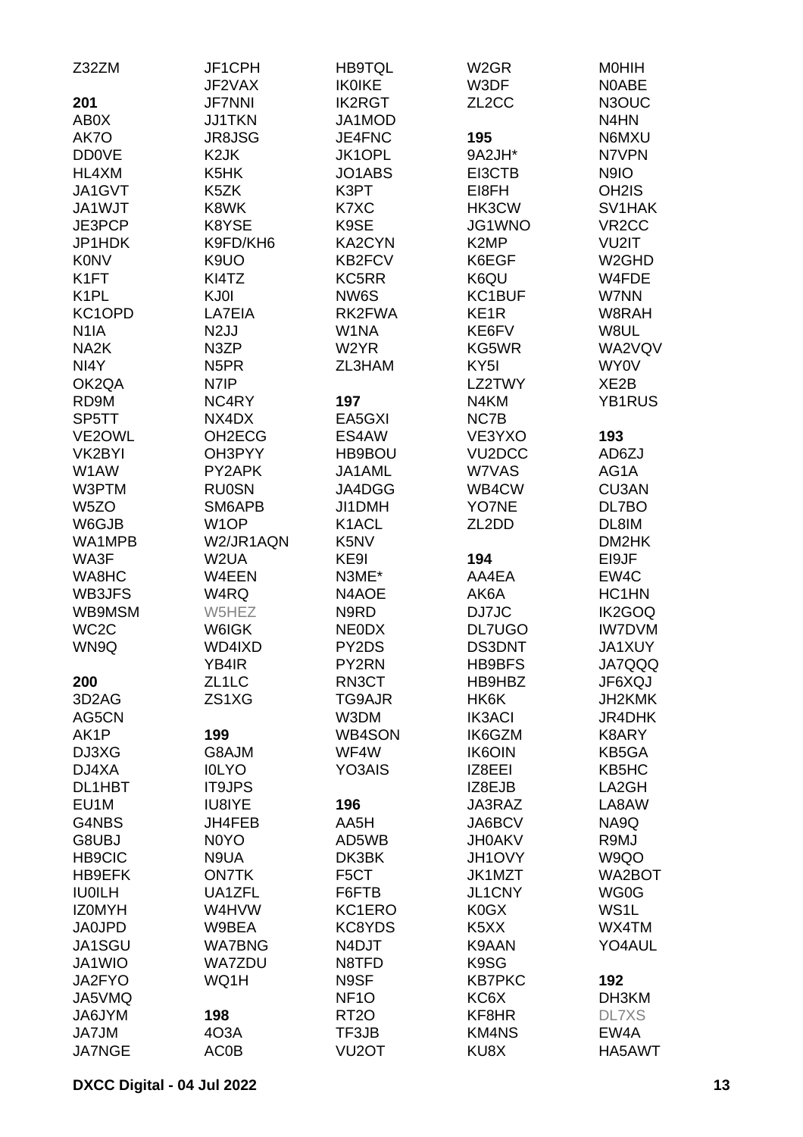| Z32ZM              | JF1CPH             | <b>HB9TQL</b>      | W <sub>2</sub> GR             | <b>MOHIH</b>       |
|--------------------|--------------------|--------------------|-------------------------------|--------------------|
|                    | JF2VAX             | <b>IKOIKE</b>      | W3DF                          | N0ABE              |
| 201                | <b>JF7NNI</b>      | <b>IK2RGT</b>      | ZL <sub>2</sub> CC            | N3OUC              |
| AB0X               | <b>JJ1TKN</b>      | JA1MOD             |                               | N4HN               |
| AK7O               | <b>JR8JSG</b>      | JE4FNC             | 195                           | N6MXU              |
| <b>DD0VE</b>       | K <sub>2</sub> JK  | JK1OPL             | 9A2JH*                        | N7VPN              |
| HL4XM              | K5HK               | JO1ABS             | EI3CTB                        | N9IO               |
| JA1GVT             | K5ZK               | K3PT               | EI8FH                         | OH <sub>2</sub> IS |
| JA1WJT             | K8WK               | K7XC               | HK3CW                         | SV1HAK             |
| JE3PCP             | K8YSE              | K9SE               | JG1WNO                        | VR <sub>2</sub> CC |
| JP1HDK             | K9FD/KH6           | KA2CYN             | K <sub>2</sub> MP             | VU2IT              |
| <b>K0NV</b>        | K9UO               | KB2FCV             | K6EGF                         | W <sub>2</sub> GHD |
| K <sub>1</sub> FT  | KI4TZ              | KC5RR              | K6QU                          | W4FDE              |
| K <sub>1</sub> PL  | KJ0I               | NW6S               | KC1BUF                        | W7NN               |
| KC1OPD             | LA7EIA             | RK2FWA             | KE <sub>1R</sub>              | W8RAH              |
| N <sub>1</sub> IA  | N <sub>2</sub> JJ  | W1NA               | KE6FV                         | W8UL               |
| NA <sub>2</sub> K  | N3ZP               | W <sub>2</sub> YR  | KG5WR                         | WA2VQV             |
| NI4Y               | N <sub>5</sub> PR  | ZL3HAM             | KY <sub>5</sub> I             | WY0V               |
| OK2QA              | N7IP               |                    | LZ2TWY                        | XE <sub>2</sub> B  |
| RD9M               | NC4RY              | 197                | N4KM                          | <b>YB1RUS</b>      |
| SP5TT              | NX4DX              | EA5GXI             | NC7B                          |                    |
| VE2OWL             | OH2ECG             | ES4AW              | VE3YXO                        | 193                |
| VK2BYI             | OH3PYY             | HB9BOU             | VU <sub>2</sub> DCC           | AD6ZJ              |
| W1AW               | PY2APK             | JA1AML             | W7VAS                         | AG1A               |
| W3PTM              | <b>RU0SN</b>       | JA4DGG             | WB4CW                         | <b>CU3AN</b>       |
| W <sub>5</sub> ZO  | SM6APB             | JI1DMH             | YO7NE                         | DL7BO              |
| W6GJB              | W <sub>1</sub> OP  | K1ACL              | ZL <sub>2</sub> DD            | DL8IM              |
| WA1MPB             | W2/JR1AQN          | K5NV               |                               | DM2HK              |
| WA3F               | W2UA               | KE9I               | 194                           | EI9JF              |
| WA8HC              | W4EEN              | N3ME*              | AA4EA                         | EW4C               |
| WB3JFS             | W4RQ               | N4AOE              | AK6A                          | HC1HN              |
| WB9MSM             | W5HEZ              | N9RD               | DJ7JC                         | IK2GOQ             |
| WC <sub>2</sub> C  | W6IGK              | <b>NEODX</b>       | DL7UGO                        | <b>IW7DVM</b>      |
| WN9Q               | WD4IXD             | PY2DS              | <b>DS3DNT</b>                 | <b>JA1XUY</b>      |
|                    |                    |                    | HB9BFS                        | JA7QQQ             |
|                    | YB4IR              | PY2RN<br>RN3CT     |                               |                    |
| 200                | ZL <sub>1</sub> LC |                    | HB9HBZ                        | JF6XQJ             |
| 3D <sub>2</sub> AG | ZS1XG              | TG9AJR<br>W3DM     | HK6K                          | JH2KMK             |
| AG5CN              |                    |                    | <b>IK3ACI</b>                 | JR4DHK             |
| AK1P               | 199                | WB4SON             | IK6GZM                        | K8ARY              |
| DJ3XG              | G8AJM              | WF4W               | <b>IK6OIN</b>                 | KB5GA              |
| DJ4XA              | <b>IOLYO</b>       | YO3AIS             | IZ8EEI                        | KB5HC              |
| DL1HBT             | <b>IT9JPS</b>      |                    | IZ8EJB                        | LA2GH              |
| EU <sub>1</sub> M  | IU8IYE             | 196                | JA3RAZ                        | LA8AW              |
| G4NBS              | JH4FEB             | AA5H               | JA6BCV                        | NA9Q               |
| G8UBJ              | N0YO               | AD5WB              | <b>JH0AKV</b>                 | R9MJ               |
| <b>HB9CIC</b>      | N9UA               | DK3BK              | JH1OVY                        | W9QO               |
| HB9EFK             | <b>ON7TK</b>       | F5CT               | JK1MZT                        | WA2BOT             |
| <b>IU0ILH</b>      | UA1ZFL             | F6FTB              | JL1CNY                        | WG0G               |
| <b>IZOMYH</b>      | W4HVW              | KC1ERO             | K <sub>0</sub> GX             | WS <sub>1</sub> L  |
| <b>JA0JPD</b>      | W9BEA              | KC8YDS             | K <sub>5</sub> X <sub>X</sub> | WX4TM              |
| JA1SGU             | <b>WA7BNG</b>      | N4DJT              | K9AAN                         | YO4AUL             |
| JA1WIO             | <b>WA7ZDU</b>      | N8TFD              | K9SG                          |                    |
| JA2FYO             | WQ1H               | N9SF               | <b>KB7PKC</b>                 | 192                |
| JA5VMQ             |                    | NF <sub>10</sub>   | KC6X                          | DH3KM              |
| JA6JYM             | 198                | RT <sub>20</sub>   | KF8HR                         | <b>DL7XS</b>       |
| JA7JM              | 403A               | TF3JB              | <b>KM4NS</b>                  | EW4A               |
| <b>JA7NGE</b>      | <b>AC0B</b>        | VU <sub>2</sub> OT | KU8X                          | HA5AWT             |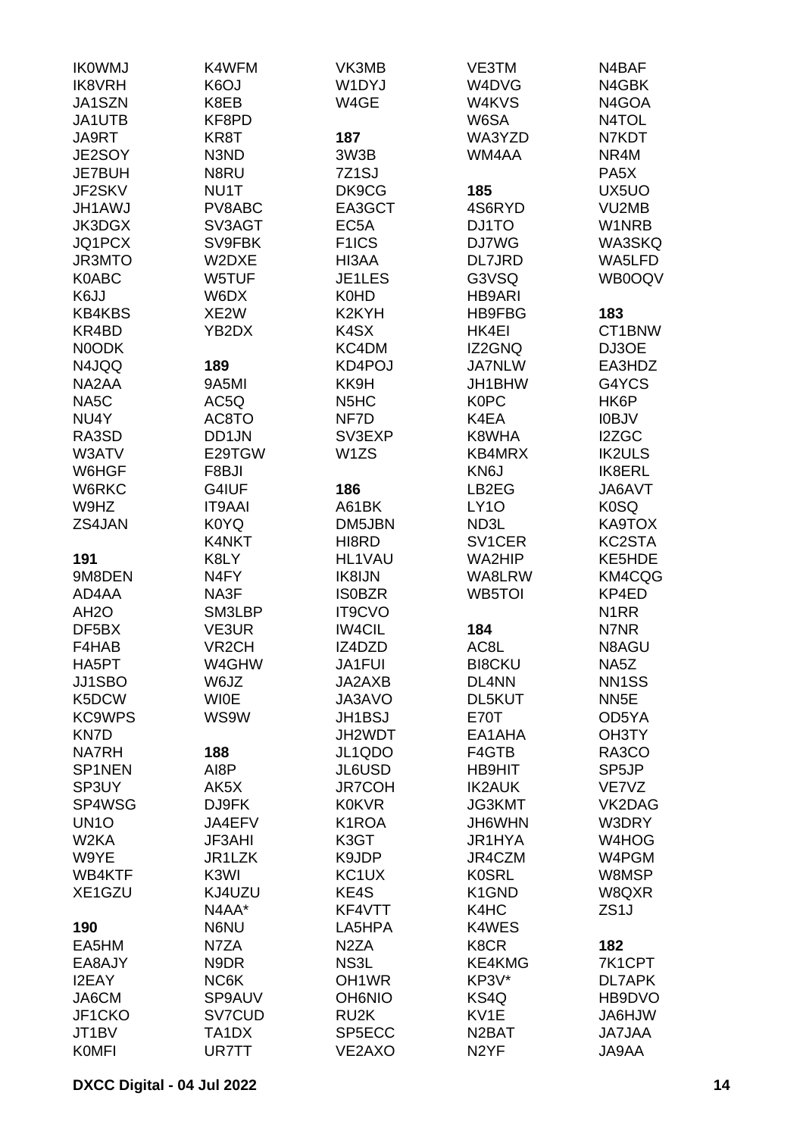| <b>IK0WMJ</b>          | K4WFM               | VK3MB                         | VE3TM              | N4BAF                   |
|------------------------|---------------------|-------------------------------|--------------------|-------------------------|
| <b>IK8VRH</b>          | K6OJ                | W1DYJ                         | W4DVG              | N4GBK                   |
| JA1SZN                 | K8EB                | W4GE                          | W4KVS              | N4GOA                   |
| JA1UTB                 | KF8PD               |                               | W6SA               | N4TOL                   |
| JA9RT                  | KR8T                | 187                           | WA3YZD             | N7KDT                   |
| JE2SOY                 | N3ND                | 3W3B                          | WM4AA              | NR4M                    |
| JE7BUH                 | N8RU                | 7Z <sub>1</sub> SJ            |                    | PA <sub>5</sub> X       |
| JF2SKV                 | NU1T                | DK9CG                         | 185                | UX5UO                   |
| <b>JH1AWJ</b>          | PV8ABC              | EA3GCT                        | 4S6RYD             | VU2MB                   |
| JK3DGX                 | SV3AGT              | EC <sub>5</sub> A             | DJ1TO              | W1NRB                   |
| JQ1PCX                 | SV9FBK              | F <sub>1</sub> ICS            | <b>DJ7WG</b>       | <b>WA3SKQ</b>           |
| <b>JR3MTO</b>          | W2DXE               | HI3AA                         | DL7JRD             | WA5LFD                  |
| <b>K0ABC</b>           | W5TUF               | JE1LES                        | G3VSQ              | WB0OQV                  |
| K6JJ                   | W6DX                | <b>K0HD</b>                   | HB9ARI             |                         |
| <b>KB4KBS</b>          | XE2W                | K <sub>2</sub> KYH            | HB9FBG             | 183                     |
| KR4BD                  | YB2DX               | K <sub>4</sub> SX             | HK4EI              | CT1BNW                  |
| <b>NOODK</b>           |                     | KC4DM                         | IZ2GNQ             | DJ3OE                   |
| N4JQQ                  | 189                 | KD4POJ                        | <b>JA7NLW</b>      | EA3HDZ                  |
| NA2AA                  | 9A5MI               | KK9H                          | JH1BHW             | G4YCS                   |
| NA5C                   | AC5Q                | N <sub>5</sub> H <sub>C</sub> | <b>K0PC</b>        | HK6P                    |
| NU4Y                   | AC8TO               | NF7D                          | K4EA               | <b>IOBJV</b>            |
| RA3SD                  | DD1JN               | SV3EXP                        | K8WHA              | I2ZGC                   |
| W3ATV                  | E29TGW              | W1ZS                          | KB4MRX             | <b>IK2ULS</b>           |
| W6HGF                  | F8BJI               |                               | KN6J               | IK8ERL                  |
| W6RKC                  | G4IUF               | 186                           | LB2EG              | JA6AVT                  |
| W9HZ                   | <b>IT9AAI</b>       | A61BK                         | <b>LY10</b>        | K <sub>0</sub> SQ       |
| ZS4JAN                 | <b>K0YQ</b>         | DM5JBN                        | ND3L               | KA9TOX                  |
|                        | K4NKT               | HI8RD                         | SV1CER             | KC2STA                  |
| 191                    | K8LY                | HL1VAU                        | WA2HIP             | KE5HDE                  |
| 9M8DEN                 | N4FY                | IK8IJN                        | WA8LRW             | KM4CQG                  |
| AD4AA                  | NA3F                | <b>ISOBZR</b>                 | <b>WB5TOI</b>      | KP4ED                   |
| AH <sub>2</sub> O      | SM3LBP              | IT9CVO                        |                    | N <sub>1</sub> RR       |
| DF5BX                  | VE3UR               | <b>IW4CIL</b>                 | 184                | N7NR                    |
| F4HAB                  | VR <sub>2</sub> CH  | IZ4DZD                        | AC8L               | N8AGU                   |
| HA5PT                  | W4GHW               | JA1FUI                        | <b>BI8CKU</b>      | NA5Z                    |
| JJ1SBO                 | W6JZ                | JA2AXB                        | DL4NN              | NN <sub>1</sub> SS      |
| K5DCW                  | <b>WI0E</b>         | JA3AVO                        | DL5KUT             | NN <sub>5</sub> E       |
| <b>KC9WPS</b>          | WS9W                | JH1BSJ                        | <b>E70T</b>        | OD5YA                   |
| KN7D                   |                     | JH2WDT                        | EA1AHA             | OH3TY                   |
| <b>NA7RH</b>           | 188                 | JL1QDO                        | F4GTB              | RA3CO                   |
| SP1NEN                 | AI8P                | JL6USD                        | <b>HB9HIT</b>      | SP <sub>5</sub> JP      |
| SP3UY                  | AK5X                | <b>JR7COH</b>                 | <b>IK2AUK</b>      | VE7VZ                   |
| SP4WSG                 | DJ9FK               | <b>K0KVR</b>                  | <b>JG3KMT</b>      | VK2DAG                  |
| UN <sub>10</sub>       | JA4EFV              | K1ROA                         | JH6WHN             | W3DRY                   |
| W <sub>2</sub> KA      | <b>JF3AHI</b>       | K3GT                          | JR1HYA             | W4HOG                   |
| W9YE                   | JR <sub>1</sub> LZK | K9JDP                         | JR4CZM             | W4PGM                   |
| WB4KTF                 | K3WI                | KC <sub>1</sub> UX            | <b>K0SRL</b>       | W8MSP                   |
| XE1GZU                 | KJ4UZU              | KE4S                          | K1GND              | W8QXR                   |
|                        | N4AA*               | KF4VTT                        | K4HC               | ZS <sub>1</sub> J       |
| 190                    | N6NU                | LA5HPA                        | K4WES              |                         |
| EA5HM                  | N7ZA                | N <sub>2</sub> ZA             | K8CR               | 182                     |
| EA8AJY<br><b>I2EAY</b> | N9DR<br>NC6K        | NS3L<br>OH <sub>1</sub> WR    | KE4KMG<br>KP3V*    | 7K1CPT<br><b>DL7APK</b> |
| JA6CM                  | SP9AUV              | <b>OH6NIO</b>                 | KS4Q               | HB9DVO                  |
| JF1CKO                 | SV7CUD              | RU <sub>2</sub> K             | KV1E               | <b>WLH6AL</b>           |
| JT <sub>1</sub> BV     | TA <sub>1</sub> DX  | SP5ECC                        | N <sub>2</sub> BAT | <b>JA7JAA</b>           |
| <b>KOMFI</b>           | UR7TT               | VE2AXO                        | N <sub>2</sub> YF  | JA9AA                   |
|                        |                     |                               |                    |                         |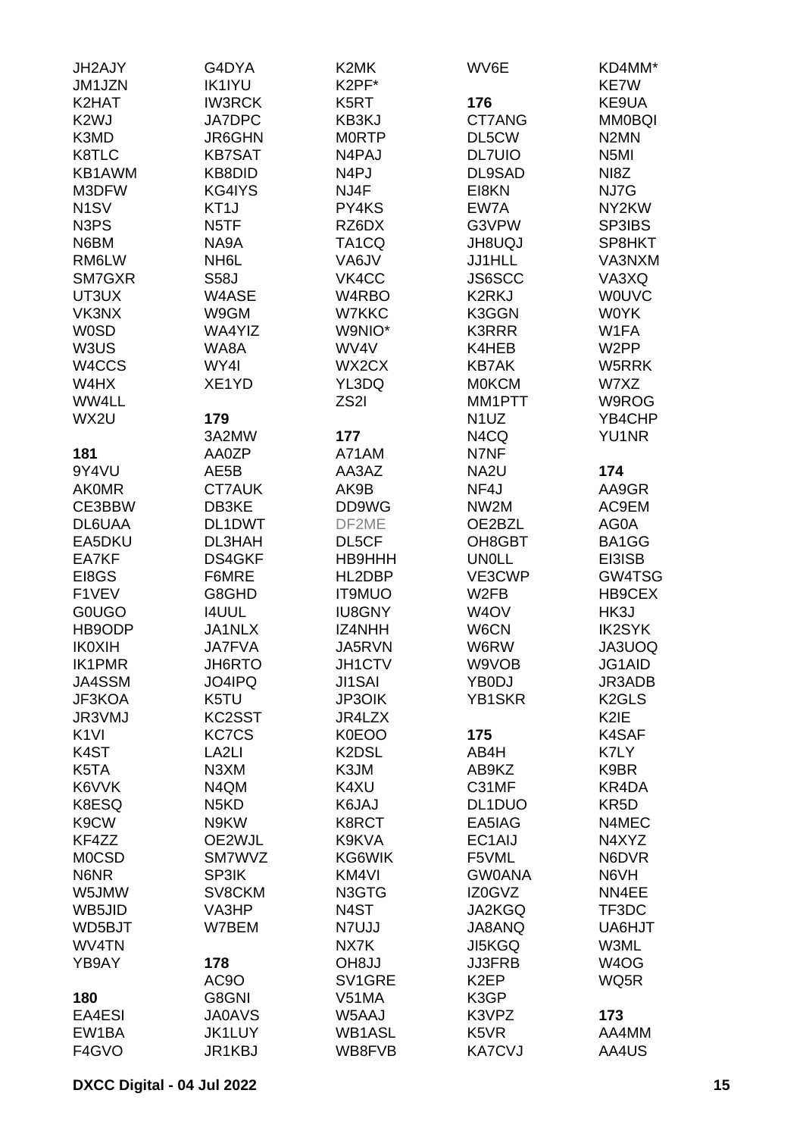| JH2AJY                        | G4DYA             | K2MK               | WV6E              | KD4MM*             |
|-------------------------------|-------------------|--------------------|-------------------|--------------------|
| JM1JZN                        | <b>IK1IYU</b>     | K2PF*              |                   | <b>KE7W</b>        |
| K2HAT                         | <b>IW3RCK</b>     | K5RT               | 176               | KE9UA              |
| K <sub>2</sub> WJ             | <b>JA7DPC</b>     | KB3KJ              | CT7ANG            | <b>MM0BQI</b>      |
| K3MD                          | <b>JR6GHN</b>     | <b>MORTP</b>       | DL5CW             | N <sub>2</sub> MN  |
| K8TLC                         | <b>KB7SAT</b>     | N4PAJ              | <b>DL7UIO</b>     | N <sub>5</sub> MI  |
| KB1AWM                        | KB8DID            | N <sub>4</sub> PJ  | DL9SAD            | NI8Z               |
| M3DFW                         | KG4IYS            | NJ4F               | EI8KN             | NJ7G               |
| N <sub>1</sub> SV             | KT <sub>1</sub> J | PY4KS              | EW7A              | NY2KW              |
| N <sub>3</sub> P <sub>S</sub> | N <sub>5</sub> TF | RZ6DX              | G3VPW             | SP3IBS             |
| N6BM                          | NA9A              | TA <sub>1</sub> CQ | <b>JH8UQJ</b>     | SP8HKT             |
| RM6LW                         | NH <sub>6</sub> L | VA6JV              | <b>JJ1HLL</b>     | VA3NXM             |
|                               |                   |                    |                   |                    |
| SM7GXR                        | <b>S58J</b>       | VK4CC              | JS6SCC            | VA3XQ              |
| UT3UX                         | W4ASE             | W4RBO              | K2RKJ             | <b>WOUVC</b>       |
| VK3NX                         | W9GM              | W7KKC              | K3GGN             | <b>WOYK</b>        |
| <b>W0SD</b>                   | WA4YIZ            | W9NIO*             | <b>K3RRR</b>      | W1FA               |
| W3US                          | WA8A              | WV4V               | K4HEB             | W <sub>2</sub> PP  |
| W <sub>4</sub> CCS            | WY4I              | WX2CX              | <b>KB7AK</b>      | W5RRK              |
| W4HX                          | XE1YD             | YL3DQ              | <b>MOKCM</b>      | W7XZ               |
| WW4LL                         |                   | ZS <sub>2</sub> I  | MM1PTT            | W9ROG              |
| WX2U                          | 179               |                    | N <sub>1</sub> UZ | YB4CHP             |
|                               | 3A2MW             | 177                | N4CQ              | <b>YU1NR</b>       |
| 181                           | AA0ZP             | A71AM              | N7NF              |                    |
| 9Y4VU                         | AE5B              | AA3AZ              | NA <sub>2U</sub>  | 174                |
| <b>AKOMR</b>                  | <b>CT7AUK</b>     | AK9B               | NF4J              | AA9GR              |
| CE3BBW                        | DB3KE             | DD9WG              | NW2M              | AC9EM              |
| DL6UAA                        | DL1DWT            | DF2ME              | OE2BZL            | AG0A               |
| EA5DKU                        | DL3HAH            | DL5CF              | OH8GBT            | BA1GG              |
| EA7KF                         | DS4GKF            | HB9HHH             | <b>UN0LL</b>      | EI3ISB             |
| EI8GS                         | F6MRE             | HL2DBP             | VE3CWP            | GW4TSG             |
| F1VEV                         | G8GHD             | <b>IT9MUO</b>      | W2FB              | HB9CEX             |
| <b>GOUGO</b>                  | <b>I4UUL</b>      | <b>IU8GNY</b>      | W <sub>4</sub> OV | HK3J               |
| HB9ODP                        | JA1NLX            | IZ4NHH             | W6CN              | <b>IK2SYK</b>      |
| <b>IK0XIH</b>                 | <b>JA7FVA</b>     | JA5RVN             |                   | JA3UOQ             |
|                               | JH6RTO            | JH1CTV             | W6RW<br>W9VOB     |                    |
| <b>IK1PMR</b>                 |                   |                    |                   | JG1AID             |
| JA4SSM                        | JO4IPQ            | JI1SAI             | YB0DJ             | JR3ADB             |
| JF3KOA                        | K5TU              | JP3OIK             | YB1SKR            | K <sub>2</sub> GLS |
| JR3VMJ                        | KC2SST            | JR4LZX             |                   | K <sub>2</sub> IE  |
| K <sub>1VI</sub>              | <b>KC7CS</b>      | K0EOO              | 175               | K4SAF              |
| K <sub>4</sub> ST             | LA <sub>2LI</sub> | K2DSL              | AB4H              | K7LY               |
| K5TA                          | N <sub>3</sub> XM | K3JM               | AB9KZ             | K9BR               |
| K6VVK                         | N4QM              | K4XU               | C31MF             | KR4DA              |
| K8ESQ                         | N <sub>5</sub> KD | K6JAJ              | DL1DUO            | KR <sub>5</sub> D  |
| K9CW                          | N9KW              | K8RCT              | EA5IAG            | N4MEC              |
| KF4ZZ                         | OE2WJL            | K9KVA              | EC1AIJ            | N4XYZ              |
| <b>MOCSD</b>                  | SM7WVZ            | KG6WIK             | F5VML             | N6DVR              |
| N6NR                          | SP3IK             | KM4VI              | <b>GW0ANA</b>     | N6VH               |
| W5JMW                         | SV8CKM            | N3GTG              | IZ0GVZ            | NN4EE              |
| WB5JID                        | VA3HP             | N4ST               | JA2KGQ            | TF3DC              |
| WD5BJT                        | W7BEM             | N7UJJ              | JA8ANQ            | UA6HJT             |
| WV4TN                         |                   | NX7K               | <b>JI5KGQ</b>     | W3ML               |
| YB9AY                         | 178               | <b>OH8JJ</b>       | <b>JJ3FRB</b>     | W <sub>4</sub> OG  |
|                               | AC9O              | SV1GRE             | K <sub>2</sub> EP | WQ5R               |
| 180                           | G8GNI             | V51MA              | K3GP              |                    |
| EA4ESI                        | <b>JA0AVS</b>     | W5AAJ              | K3VPZ             | 173                |
| EW1BA                         | <b>JK1LUY</b>     | WB1ASL             | K5VR              | AA4MM              |
| F4GVO                         | JR1KBJ            | WB8FVB             | <b>KA7CVJ</b>     | AA4US              |
|                               |                   |                    |                   |                    |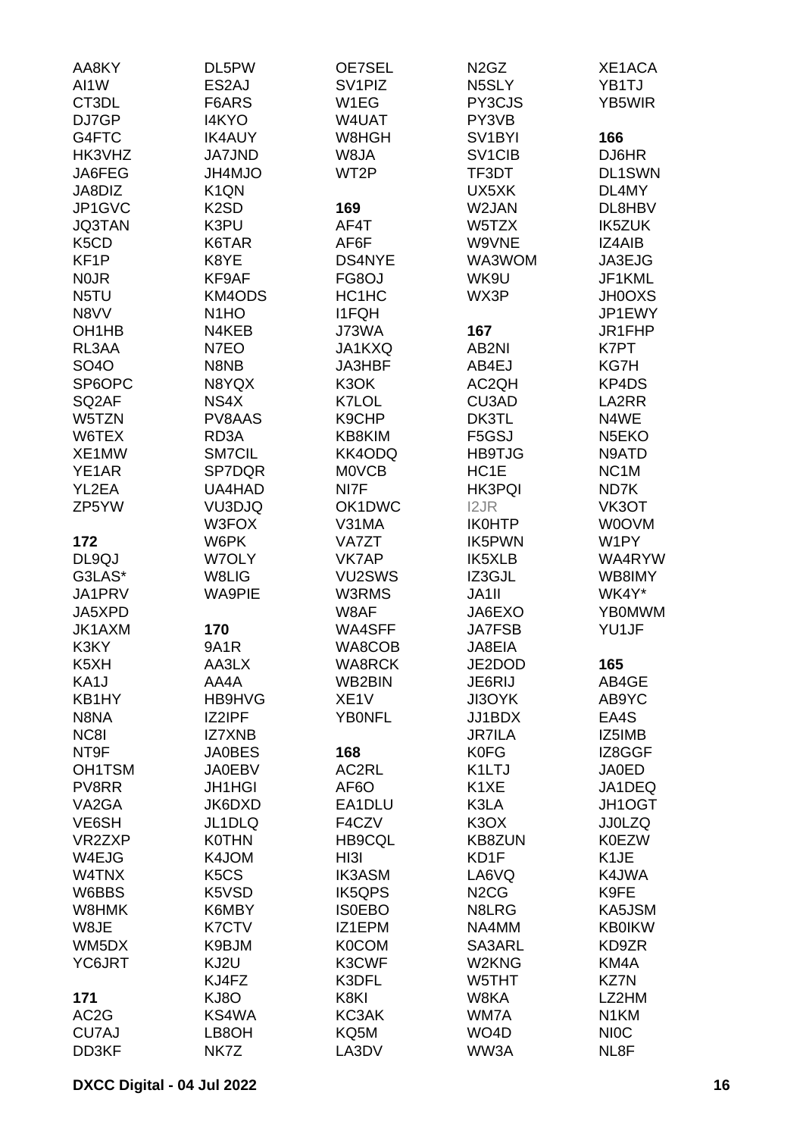| AA8KY                          | DL5PW                         | <b>OE7SEL</b>           | N <sub>2</sub> G <sub>Z</sub>   | XE1ACA             |
|--------------------------------|-------------------------------|-------------------------|---------------------------------|--------------------|
| AI1W                           | ES2AJ                         | SV <sub>1</sub> PIZ     | N5SLY                           | YB1TJ              |
| CT3DL                          | F6ARS                         | W1EG                    | PY3CJS                          | YB5WIR             |
| DJ7GP                          | <b>I4KYO</b>                  | W4UAT                   | PY3VB                           |                    |
| G4FTC                          | <b>IK4AUY</b>                 | W8HGH                   | SV <sub>1</sub> BYI             | 166                |
| HK3VHZ                         | <b>JA7JND</b>                 | W8JA                    | SV <sub>1</sub> C <sub>IB</sub> | DJ6HR              |
| JA6FEG                         | JH4MJO                        | WT2P                    | TF3DT                           | <b>DL1SWN</b>      |
| JA8DIZ                         | K <sub>1</sub> QN             |                         | UX5XK                           | DL4MY              |
| JP1GVC                         | K <sub>2</sub> SD             | 169                     | W2JAN                           | DL8HBV             |
| <b>JQ3TAN</b>                  | K3PU                          | AF4T                    | W5TZX                           | <b>IK5ZUK</b>      |
| K <sub>5</sub> C <sub>D</sub>  | K6TAR                         | AF6F                    | W9VNE                           | IZ4AIB             |
| KF1P                           | K8YE                          | <b>DS4NYE</b>           | WA3WOM                          | JA3EJG             |
| <b>NOJR</b>                    | KF9AF                         | FG8OJ                   | WK9U                            | JF1KML             |
| N5TU                           | <b>KM4ODS</b>                 | HC1HC                   | WX3P                            | <b>JH0OXS</b>      |
| N8VV                           | N <sub>1</sub> HO             | <b>I1FQH</b>            |                                 | JP1EWY             |
| OH <sub>1</sub> H <sub>B</sub> | N4KEB                         | J73WA                   | 167                             | JR1FHP             |
| RL3AA                          | N7EO                          | JA1KXQ                  | AB2NI                           | K7PT               |
| <b>SO4O</b>                    | N8NB                          | JA3HBF                  | AB4EJ                           | KG7H               |
| SP6OPC                         | N8YQX                         | K3OK                    | AC2QH                           | KP4DS              |
| SQ <sub>2</sub> AF             | NS4X                          | K7LOL                   | CU3AD                           | LA2RR              |
| W5TZN                          | PV8AAS                        | K9CHP                   | DK3TL                           | N4WE               |
| W6TEX                          | RD3A                          | KB8KIM                  | F5GSJ                           | N <sub>5</sub> EKO |
| XE1MW                          | <b>SM7CIL</b>                 | KK4ODQ                  | <b>HB9TJG</b>                   | N9ATD              |
| YE1AR                          | SP7DQR                        | <b>MOVCB</b>            | HC1E                            | NC <sub>1</sub> M  |
| YL2EA                          | UA4HAD                        | NI7F                    | <b>HK3PQI</b>                   | ND7K               |
| ZP5YW                          | VU3DJQ                        | OK1DWC                  | I2JR                            | VK3OT              |
|                                | W3FOX                         | V31MA                   | <b>IK0HTP</b>                   | W0OVM              |
| 172                            | W6PK                          | <b>VA7ZT</b>            | <b>IK5PWN</b>                   | W1PY               |
| DL9QJ                          | W7OLY                         | VK7AP                   | IK5XLB                          | WA4RYW             |
| G3LAS*                         | W8LIG                         | VU2SWS                  | IZ3GJL                          | WB8IMY             |
| JA1PRV                         | <b>WA9PIE</b>                 | W3RMS                   | JA1II                           | WK4Y*              |
| JA5XPD                         |                               | W8AF                    | JA6EXO                          | <b>YB0MWM</b>      |
| JK1AXM                         | 170                           | <b>WA4SFF</b>           | <b>JA7FSB</b>                   | YU1JF              |
| K3KY<br>K5XH                   | <b>9A1R</b><br>AA3LX          | WA8COB<br><b>WA8RCK</b> | JA8EIA<br>JE2DOD                |                    |
|                                | AA4A                          | WB2BIN                  | JE6RIJ                          | 165                |
| KA1J<br>KB1HY                  | HB9HVG                        | XE <sub>1</sub> V       | JI3OYK                          | AB4GE<br>AB9YC     |
| N8NA                           | IZ2IPF                        | <b>YBONFL</b>           | JJ1BDX                          | EA4S               |
| NC8I                           | <b>IZ7XNB</b>                 |                         | <b>JR7ILA</b>                   | IZ5IMB             |
| NT9F                           | <b>JA0BES</b>                 | 168                     | <b>K0FG</b>                     | IZ8GGF             |
| OH1TSM                         | <b>JA0EBV</b>                 | AC2RL                   | K1LTJ                           | <b>JA0ED</b>       |
| PV8RR                          | <b>JH1HGI</b>                 | AF <sub>6</sub> O       | K1XE                            | JA1DEQ             |
| VA <sub>2</sub> GA             | JK6DXD                        | EA1DLU                  | K3LA                            | JH1OGT             |
| VE6SH                          | JL1DLQ                        | F4CZV                   | K <sub>3</sub> O <sub>X</sub>   | <b>JJ0LZQ</b>      |
| VR2ZXP                         | <b>K0THN</b>                  | <b>HB9CQL</b>           | <b>KB8ZUN</b>                   | <b>K0EZW</b>       |
| W4EJG                          | K4JOM                         | HI3I                    | KD1F                            | K <sub>1</sub> JE  |
| W4TNX                          | K <sub>5</sub> C <sub>S</sub> | <b>IK3ASM</b>           | LA6VQ                           | K4JWA              |
| W6BBS                          | K5VSD                         | IK5QPS                  | N <sub>2</sub> C <sub>G</sub>   | K9FE               |
| W8HMK                          | K6MBY                         | <b>ISOEBO</b>           | N8LRG                           | KA5JSM             |
| W8JE                           | K7CTV                         | IZ1EPM                  | NA4MM                           | <b>KB0IKW</b>      |
| WM5DX                          | K9BJM                         | <b>K0COM</b>            | SA3ARL                          | KD9ZR              |
| YC6JRT                         | KJ2U                          | K3CWF                   | W2KNG                           | KM4A               |
|                                | KJ4FZ                         | K3DFL                   | W5THT                           | KZ7N               |
| 171                            | KJ8O                          | K8KI                    | W8KA                            | LZ2HM              |
| AC <sub>2</sub> G              | KS4WA                         | KC3AK                   | WM7A                            | N <sub>1</sub> KM  |
| CU7AJ                          | LB8OH                         | KQ5M                    | WO <sub>4</sub> D               | <b>NIOC</b>        |
| DD3KF                          | NK7Z                          | LA3DV                   | WW3A                            | NL8F               |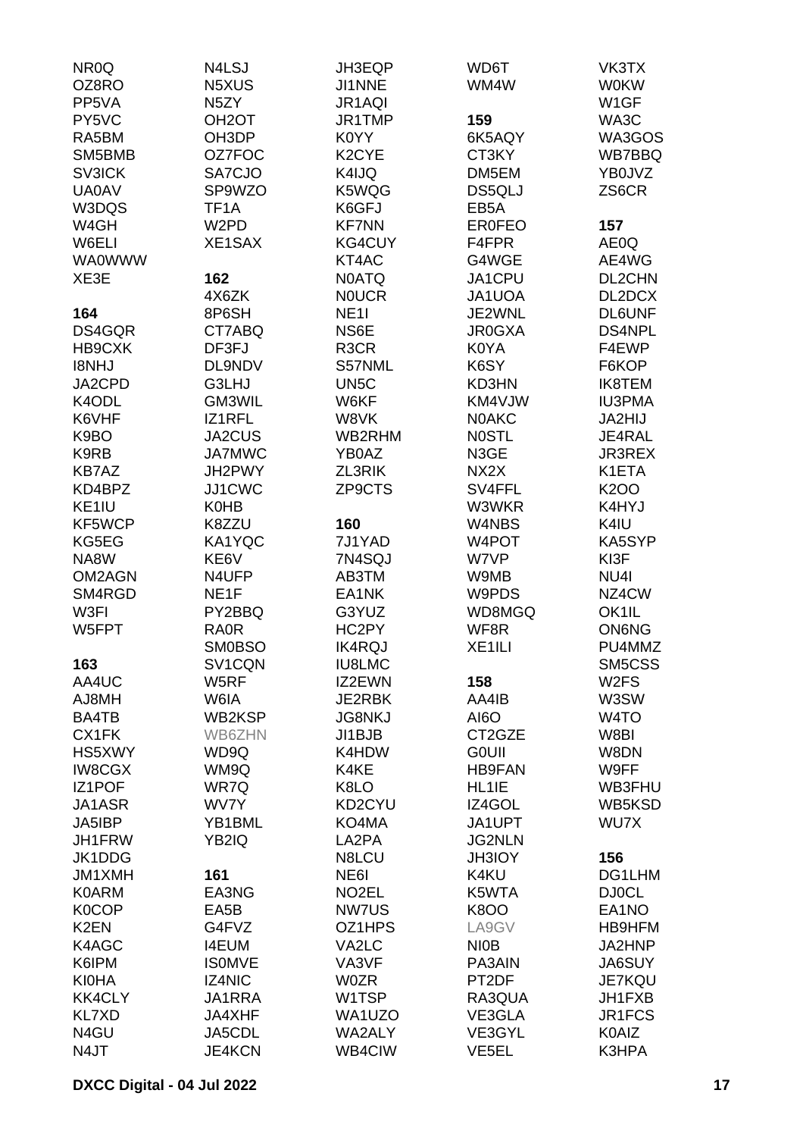| NR <sub>0</sub> Q | N4LSJ              | JH3EQP             | WD6T               | VK3TX             |
|-------------------|--------------------|--------------------|--------------------|-------------------|
| OZ8RO             | N5XUS              | JI1NNE             | WM4W               | <b>W0KW</b>       |
| PP5VA             | N <sub>5</sub> ZY  | JR1AQI             |                    | W1GF              |
| PY5VC             | OH <sub>2</sub> OT | JR1TMP             | 159                | WA3C              |
| RA5BM             | OH3DP              | K0YY               | 6K5AQY             | WA3GOS            |
| SM5BMB            | OZ7FOC             | K <sub>2</sub> CYE | CT3KY              | WB7BBQ            |
| <b>SV3ICK</b>     | SA7CJO             | K4IJQ              | DM5EM              | YB0JVZ            |
| <b>UA0AV</b>      | SP9WZO             | K5WQG              | DS5QLJ             | ZS6CR             |
| W3DQS             |                    |                    |                    |                   |
|                   | TF1A               | K6GFJ              | EB <sub>5</sub> A  |                   |
| W4GH              | W <sub>2</sub> PD  | <b>KF7NN</b>       | <b>ER0FEO</b>      | 157               |
| W6ELI             | XE1SAX             | KG4CUY             | F4FPR              | AE0Q              |
| <b>WA0WWW</b>     |                    | KT4AC              | G4WGE              | AE4WG             |
| XE3E              | 162                | <b>N0ATQ</b>       | JA1CPU             | DL2CHN            |
|                   | 4X6ZK              | <b>NOUCR</b>       | JA1UOA             | DL2DCX            |
| 164               | 8P6SH              | <b>NE11</b>        | JE2WNL             | <b>DL6UNF</b>     |
| DS4GQR            | CT7ABQ             | NS6E               | <b>JR0GXA</b>      | DS4NPL            |
| HB9CXK            | DF3FJ              | R <sub>3</sub> CR  | K0YA               | F4EWP             |
| I8NHJ             | DL9NDV             | S57NML             | K6SY               | F6KOP             |
| JA2CPD            | G3LHJ              | UN <sub>5</sub> C  | KD3HN              | <b>IK8TEM</b>     |
| K4ODL             | GM3WIL             | W6KF               | KM4VJW             | <b>IU3PMA</b>     |
| K6VHF             | IZ1RFL             | W8VK               | <b>NOAKC</b>       | JA2HIJ            |
| K9BO              | <b>JA2CUS</b>      | WB2RHM             | <b>NOSTL</b>       | JE4RAL            |
| K9RB              | <b>JA7MWC</b>      | YB0AZ              | N3GE               | <b>JR3REX</b>     |
| <b>KB7AZ</b>      | JH2PWY             | ZL3RIK             | NX <sub>2</sub> X  | K1ETA             |
| KD4BPZ            | JJ1CWC             | ZP9CTS             | SV4FFL             | K200              |
| KE1IU             | K0HB               |                    | W3WKR              | K4HYJ             |
| KF5WCP            | K8ZZU              | 160                | W4NBS              | K4IU              |
| KG5EG             | KA1YQC             | 7J1YAD             | W4POT              | KA5SYP            |
| NA8W              | KE6V               | 7N4SQJ             | W7VP               | KI3F              |
| OM2AGN            | N4UFP              | AB3TM              | W9MB               | NU4I              |
| SM4RGD            | NE <sub>1</sub> F  | EA1NK              | W9PDS              | NZ4CW             |
| W3FI              | PY2BBQ             | G3YUZ              | WD8MGQ             | OK1IL             |
| W5FPT             | <b>RA0R</b>        | HC2PY              | WF8R               | <b>ON6NG</b>      |
|                   | <b>SM0BSO</b>      | <b>IK4RQJ</b>      |                    | PU4MMZ            |
|                   |                    |                    | XE <sub>1ILI</sub> |                   |
| 163               | SV1CQN             | <b>IU8LMC</b>      |                    | SM5CSS            |
| AA4UC             | W5RF               | IZ2EWN             | 158                | W <sub>2</sub> FS |
| AJ8MH             | W6IA               | JE2RBK             | AA4IB              | W3SW              |
| BA4TB             | WB2KSP             | <b>JG8NKJ</b>      | AI6O               | W <sub>4</sub> TO |
| CX1FK             | WB6ZHN             | JI1BJB             | CT2GZE             | W8BI              |
| HS5XWY            | WD9Q               | K4HDW              | <b>GOUII</b>       | W8DN              |
| <b>IW8CGX</b>     | WM9Q               | K4KE               | <b>HB9FAN</b>      | W9FF              |
| <b>IZ1POF</b>     | WR7Q               | K8LO               | HL1IE              | WB3FHU            |
| JA1ASR            | WV7Y               | KD2CYU             | IZ4GOL             | WB5KSD            |
| JA5IBP            | YB1BML             | KO4MA              | JA1UPT             | WU7X              |
| JH1FRW            | YB2IQ              | LA2PA              | <b>JG2NLN</b>      |                   |
| JK1DDG            |                    | N8LCU              | <b>JH3IOY</b>      | 156               |
| JM1XMH            | 161                | NE6I               | K4KU               | DG1LHM            |
| <b>K0ARM</b>      | EA3NG              | NO <sub>2</sub> EL | K5WTA              | <b>DJ0CL</b>      |
| <b>K0COP</b>      | EA5B               | <b>NW7US</b>       | <b>K8OO</b>        | EA1NO             |
| K <sub>2</sub> EN | G4FVZ              | OZ1HPS             | LA9GV              | HB9HFM            |
| K4AGC             | <b>I4EUM</b>       | VA2LC              | <b>NIOB</b>        | JA2HNP            |
| K6IPM             | <b>ISOMVE</b>      | VA3VF              | PA3AIN             | <b>JA6SUY</b>     |
| <b>KI0HA</b>      | <b>IZ4NIC</b>      | <b>W0ZR</b>        | PT2DF              | <b>JE7KQU</b>     |
| <b>KK4CLY</b>     | JA1RRA             | W1TSP              | RA3QUA             | JH1FXB            |
| <b>KL7XD</b>      | <b>JA4XHF</b>      | WA1UZO             | VE3GLA             | JR1FCS            |
| N4GU              | JA5CDL             | WA2ALY             | VE3GYL             | K0AIZ             |
| N4JT              | <b>JE4KCN</b>      | WB4CIW             | VE <sub>5EL</sub>  | K3HPA             |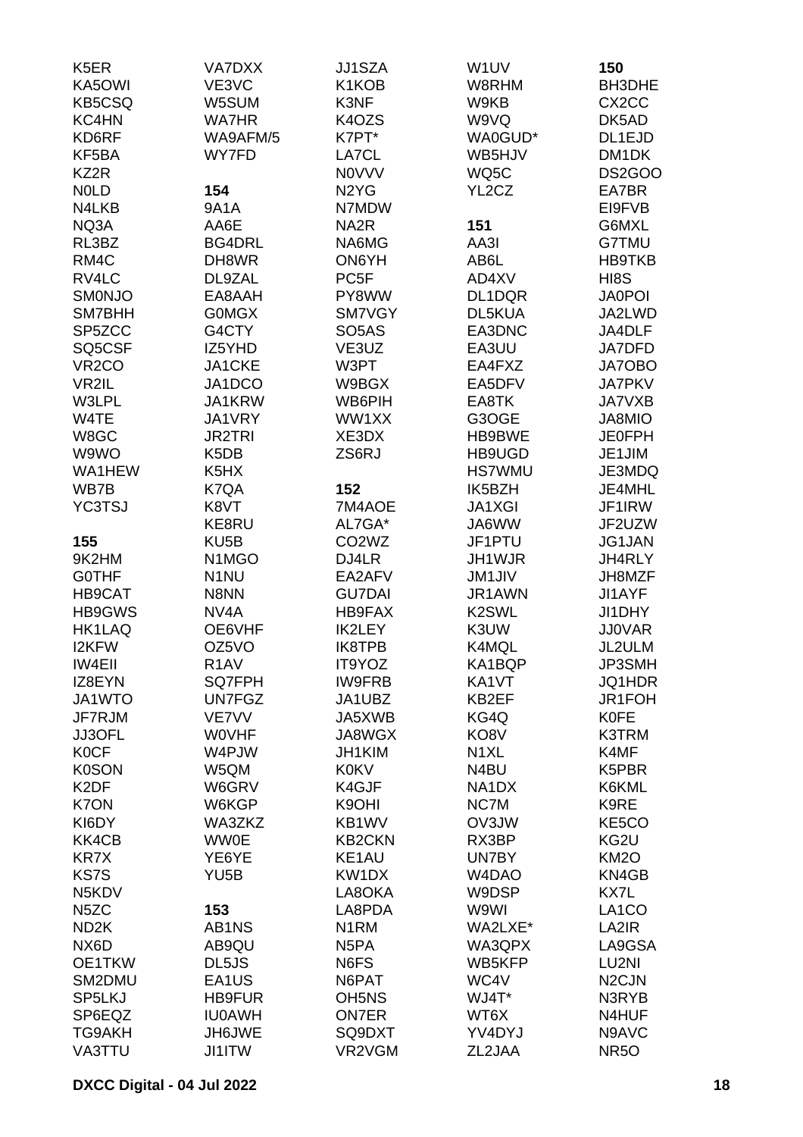| K <sub>5</sub> ER  | VA7DXX                          | <b>JJ1SZA</b>                  | W1UV                           | 150                |
|--------------------|---------------------------------|--------------------------------|--------------------------------|--------------------|
| KA5OWI             | VE3VC                           | K1KOB                          | W8RHM                          | BH3DHE             |
| <b>KB5CSQ</b>      | W5SUM                           | K3NF                           | W9KB                           | CX <sub>2</sub> CC |
| KC4HN              | <b>WA7HR</b>                    | K4OZS                          | W9VQ                           | DK5AD              |
| KD6RF              | WA9AFM/5                        | K7PT*                          | WA0GUD*                        | DL1EJD             |
|                    | WY7FD                           |                                |                                |                    |
| KF5BA              |                                 | LA7CL                          | WB5HJV                         | DM1DK              |
| KZ2R               |                                 | <b>NOVVV</b>                   | WQ5C                           | DS2GOO             |
| <b>NOLD</b>        | 154                             | N <sub>2</sub> Y <sub>G</sub>  | YL <sub>2</sub> C <sub>Z</sub> | EA7BR              |
| N4LKB              | 9A1A                            | N7MDW                          |                                | EI9FVB             |
| NQ3A               | AA6E                            | NA <sub>2</sub> R              | 151                            | G6MXL              |
| RL3BZ              | <b>BG4DRL</b>                   | NA6MG                          | AA3I                           | <b>G7TMU</b>       |
| RM4C               | DH8WR                           | ON6YH                          | AB6L                           | <b>HB9TKB</b>      |
| RV4LC              | DL9ZAL                          | PC <sub>5F</sub>               | AD4XV                          | HI8S               |
| <b>SMONJO</b>      | EA8AAH                          | PY8WW                          | DL1DQR                         | <b>JA0POI</b>      |
| SM7BHH             | <b>GOMGX</b>                    | SM7VGY                         | DL5KUA                         | JA2LWD             |
| SP5ZCC             | G4CTY                           | SO <sub>5</sub> AS             | EA3DNC                         | JA4DLF             |
| SQ5CSF             | IZ5YHD                          | VE3UZ                          | EA3UU                          | <b>JA7DFD</b>      |
| VR <sub>2</sub> CO | JA1CKE                          | W3PT                           | EA4FXZ                         | JA7OBO             |
| VR2IL              | JA1DCO                          | W9BGX                          | EA5DFV                         | <b>JA7PKV</b>      |
|                    |                                 |                                |                                |                    |
| W3LPL              | JA1KRW                          | WB6PIH                         | EA8TK                          | <b>JA7VXB</b>      |
| W4TE               | JA1VRY                          | WW1XX                          | G3OGE                          | JA8MIO             |
| W8GC               | <b>JR2TRI</b>                   | XE3DX                          | HB9BWE                         | <b>JE0FPH</b>      |
| W9WO               | K <sub>5</sub> D <sub>B</sub>   | ZS6RJ                          | HB9UGD                         | JE1JIM             |
| WA1HEW             | K <sub>5</sub> H <sub>X</sub>   |                                | <b>HS7WMU</b>                  | JE3MDQ             |
| WB7B               | K7QA                            | 152                            | IK5BZH                         | JE4MHL             |
| <b>YC3TSJ</b>      | K8VT                            | 7M4AOE                         | <b>JA1XGI</b>                  | JF1IRW             |
|                    | KE8RU                           | AL7GA*                         | JA6WW                          | JF2UZW             |
| 155                | KU <sub>5</sub> B               | CO <sub>2</sub> W <sub>Z</sub> | JF1PTU                         | JG1JAN             |
| 9K2HM              | N <sub>1</sub> M <sub>G</sub> O | DJ4LR                          | JH1WJR                         | JH4RLY             |
| <b>GOTHF</b>       | N <sub>1</sub> NU               | EA2AFV                         | <b>JM1JIV</b>                  | JH8MZF             |
| HB9CAT             | N8NN                            | <b>GU7DAI</b>                  | JR1AWN                         | JI1AYF             |
| HB9GWS             | NV <sub>4</sub> A               | <b>HB9FAX</b>                  | K <sub>2</sub> SWL             | JI1DHY             |
| HK1LAQ             | OE6VHF                          | IK2LEY                         | K3UW                           | <b>JJ0VAR</b>      |
| <b>I2KFW</b>       | OZ5VO                           | IK8TPB                         | K4MQL                          | JL2ULM             |
| <b>IW4EII</b>      | R <sub>1</sub> AV               | IT9YOZ                         | KA1BQP                         | JP3SMH             |
|                    |                                 |                                |                                |                    |
| IZ8EYN             | SQ7FPH                          | <b>IW9FRB</b>                  | KA1VT                          | JQ1HDR             |
| JA1WTO             | UN7FGZ                          | JA1UBZ                         | KB2EF                          | JR1FOH             |
| JF7RJM             | <b>VE7VV</b>                    | JA5XWB                         | KG4Q                           | <b>K0FE</b>        |
| JJ3OFL             | <b>WOVHF</b>                    | JA8WGX                         | KO8V                           | K3TRM              |
| <b>K0CF</b>        | W4PJW                           | JH1KIM                         | N <sub>1</sub> XL              | K4MF               |
| <b>K0SON</b>       | W5QM                            | <b>K0KV</b>                    | N <sub>4</sub> BU              | K5PBR              |
| K <sub>2</sub> DF  | W6GRV                           | K4GJF                          | NA <sub>1</sub> D <sub>X</sub> | K6KML              |
| <b>K7ON</b>        | W6KGP                           | K9OHI                          | NC7M                           | K9RE               |
| KI6DY              | WA3ZKZ                          | KB1WV                          | OV3JW                          | KE5CO              |
| KK4CB              | <b>WW0E</b>                     | <b>KB2CKN</b>                  | RX3BP                          | KG2U               |
| <b>KR7X</b>        | YE6YE                           | KE1AU                          | UN7BY                          | <b>KM2O</b>        |
| <b>KS7S</b>        | YU <sub>5</sub> B               | KW1DX                          | W4DAO                          | KN4GB              |
| N5KDV              |                                 | LA8OKA                         | W9DSP                          | KX7L               |
| N <sub>5</sub> ZC  | 153                             | LA8PDA                         | W9WI                           | LA <sub>1</sub> CO |
| ND <sub>2</sub> K  | AB1NS                           | N <sub>1</sub> RM              | WA2LXE*                        | LA2IR              |
| NX <sub>6</sub> D  | AB9QU                           | N <sub>5</sub> PA              | WA3QPX                         | LA9GSA             |
| OE1TKW             | DL5JS                           | N6FS                           | WB5KFP                         | LU2NI              |
| SM2DMU             | EA1US                           | N6PAT                          | WC4V                           | N <sub>2</sub> CJN |
|                    |                                 |                                |                                |                    |
| SP5LKJ             | <b>HB9FUR</b>                   | OH <sub>5</sub> N <sub>S</sub> | WJ4T*                          | N3RYB              |
| SP6EQZ             | <b>IU0AWH</b>                   | <b>ON7ER</b>                   | WT6X                           | N4HUF              |
| TG9AKH             | JH6JWE                          | SQ9DXT                         | YV4DYJ                         | N9AVC              |
| VA3TTU             | <b>JI1ITW</b>                   | VR2VGM                         | ZL2JAA                         | <b>NR50</b>        |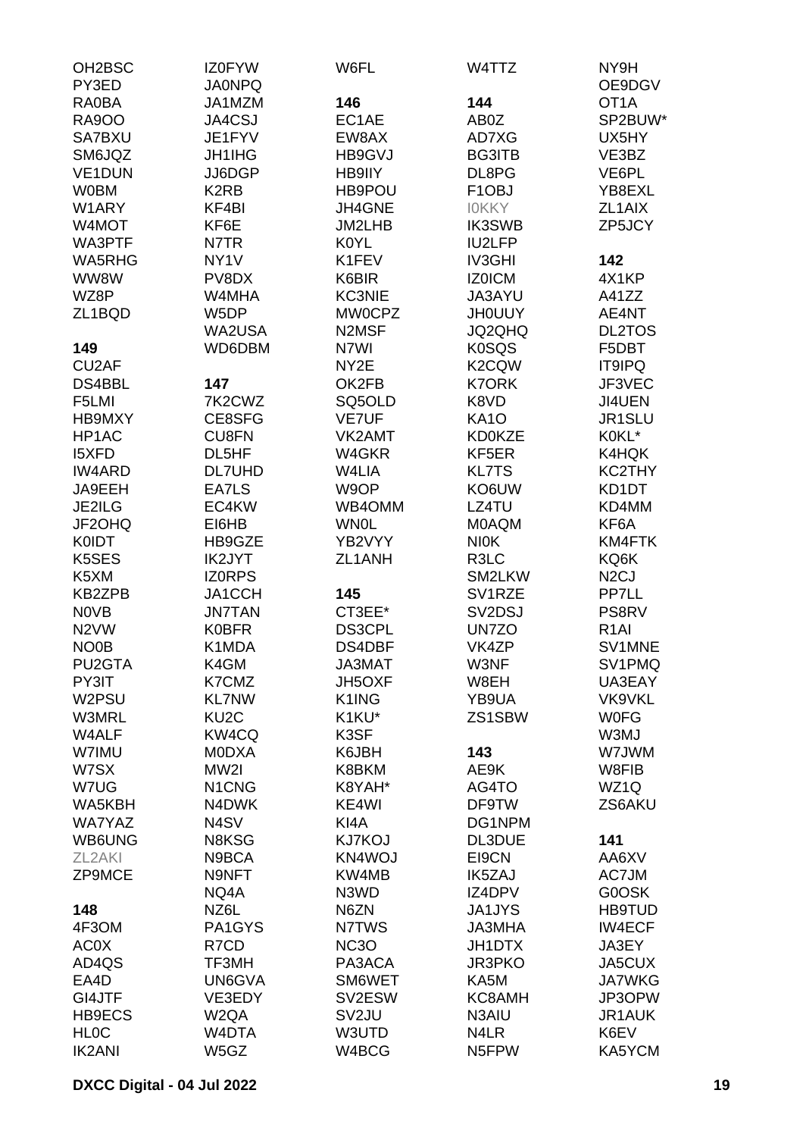| OH2BSC              | <b>IZ0FYW</b>                  | W6FL               | W4TTZ                           | NY9H              |
|---------------------|--------------------------------|--------------------|---------------------------------|-------------------|
| PY3ED               | <b>JA0NPQ</b>                  |                    |                                 | OE9DGV            |
| <b>RA0BA</b>        | JA1MZM                         | 146                | 144                             | OT <sub>1</sub> A |
| <b>RA9OO</b>        | JA4CSJ                         | EC1AE              | AB0Z                            | SP2BUW*           |
| SA7BXU              | JE1FYV                         | EW8AX              | AD7XG                           | UX5HY             |
| SM6JQZ              | <b>JH1IHG</b>                  | HB9GVJ             | <b>BG3ITB</b>                   | VE3BZ             |
| VE1DUN              | JJ6DGP                         | HB9IIY             | DL8PG                           | VE6PL             |
| <b>W0BM</b>         | K <sub>2</sub> RB              | HB9POU             | F <sub>1</sub> OBJ              | YB8EXL            |
| W1ARY               | KF4BI                          | JH4GNE             | <b>IOKKY</b>                    | ZL1AIX            |
| W4MOT               | KF6E                           | <b>JM2LHB</b>      | <b>IK3SWB</b>                   | ZP5JCY            |
| WA3PTF              | N7TR                           | <b>K0YL</b>        | IU2LFP                          |                   |
| WA5RHG              | NY <sub>1</sub> V              | K1FEV              | IV3GHI                          | 142               |
| WW8W                | PV8DX                          | K6BIR              | <b>IZ0ICM</b>                   | 4X1KP             |
| WZ8P                | W4MHA                          | <b>KC3NIE</b>      | JA3AYU                          | A41ZZ             |
| ZL1BQD              | W5DP                           | MW0CPZ             | <b>JHOUUY</b>                   | AE4NT             |
|                     | WA2USA                         | N2MSF              | JQ2QHQ                          | <b>DL2TOS</b>     |
| 149                 | WD6DBM                         | N7WI               | <b>K0SQS</b>                    | F5DBT             |
| CU <sub>2</sub> AF  |                                | NY2E               | K2CQW                           | <b>IT9IPQ</b>     |
| DS4BBL              | 147                            | OK2FB              | <b>K7ORK</b>                    | JF3VEC            |
| F5LMI               | 7K2CWZ                         | SQ5OLD             | K8VD                            | JI4UEN            |
| HB9MXY              | CE8SFG                         | <b>VE7UF</b>       | <b>KA10</b>                     | JR1SLU            |
| HP1AC               | CU8FN                          | VK2AMT             | <b>KD0KZE</b>                   | K0KL*             |
| <b>I5XFD</b>        | DL5HF                          | W4GKR              | KF5ER                           | K4HQK             |
| <b>IW4ARD</b>       | <b>DL7UHD</b>                  | W4LIA              | <b>KL7TS</b>                    | KC2THY            |
| JA9EEH              | EA7LS                          | W9OP               | KO6UW                           | KD1DT             |
|                     | EC4KW                          |                    |                                 |                   |
| JE2ILG              |                                | WB4OMM             | LZ4TU                           | KD4MM             |
| JF2OHQ              | EI6HB                          | <b>WN0L</b>        | <b>MOAQM</b>                    | KF6A              |
| <b>K0IDT</b>        | HB9GZE                         | YB2VYY             | <b>NIOK</b>                     | KM4FTK            |
| K5SES               | <b>IK2JYT</b>                  | ZL1ANH             | R3LC                            | KQ6K              |
| K5XM                | <b>IZORPS</b>                  |                    | SM2LKW                          | N <sub>2</sub> CJ |
| <b>KB2ZPB</b>       | JA1CCH                         | 145                | SV <sub>1</sub> RZE             | PP7LL             |
| <b>NOVB</b>         | <b>JN7TAN</b>                  | CT3EE*             | SV <sub>2</sub> D <sub>SJ</sub> | PS8RV             |
| N <sub>2</sub> VW   | <b>K0BFR</b>                   | DS3CPL             | UN7ZO                           | R <sub>1</sub> AI |
| NO <sub>0</sub> B   | K1MDA                          | DS4DBF             | VK4ZP                           | SV1MNE            |
| PU2GTA              | K4GM                           | JA3MAT             | W3NF                            | SV1PMQ            |
| PY3IT               | K7CMZ                          | <b>JH5OXF</b>      | W8EH                            | UA3EAY            |
| W2PSU               | <b>KL7NW</b>                   | K1ING              | YB9UA                           | VK9VKL            |
| W3MRL               | KU <sub>2</sub> C              | K1KU*              | ZS1SBW                          | <b>WOFG</b>       |
| W4ALF               | KW4CQ                          | K3SF               |                                 | W3MJ              |
| W7IMU               | <b>MODXA</b>                   | K6JBH              | 143                             | W7JWM             |
| W7SX                | MW2I                           | K8BKM              | AE9K                            | W8FIB             |
| W7UG                | N <sub>1</sub> C <sub>NG</sub> | K8YAH*             | AG4TO                           | WZ1Q              |
| WA5KBH              | N4DWK                          | KE4WI              | DF9TW                           | ZS6AKU            |
| WA7YAZ              | N <sub>4</sub> SV              | KI4A               | DG1NPM                          |                   |
| WB6UNG              | N8KSG                          | <b>KJ7KOJ</b>      | DL3DUE                          | 141               |
| ZL <sub>2</sub> AKI | N9BCA                          | KN4WOJ             | EI9CN                           | AA6XV             |
| ZP9MCE              | N9NFT                          | KW4MB              | <b>IK5ZAJ</b>                   | AC7JM             |
|                     | NQ4A                           | N3WD               | IZ4DPV                          | G0OSK             |
| 148                 | NZ6L                           | N6ZN               | <b>JA1JYS</b>                   | <b>HB9TUD</b>     |
| 4F3OM               | PA1GYS                         | N7TWS              | JA3MHA                          | <b>IW4ECF</b>     |
| AC0X                | R7CD                           | NC <sub>3</sub> O  | <b>JH1DTX</b>                   | JA3EY             |
| AD4QS               | TF3MH                          | PA3ACA             | <b>JR3PKO</b>                   | JA5CUX            |
| EA4D                | UN6GVA                         | SM6WET             | KA5M                            | <b>JA7WKG</b>     |
| GI4JTF              | VE3EDY                         | SV2ESW             | KC8AMH                          | JP3OPW            |
| <b>HB9ECS</b>       | W <sub>2</sub> QA              | SV <sub>2</sub> JU | N3AIU                           | JR1AUK            |
| <b>HLOC</b>         | W4DTA                          | W3UTD              | N4LR                            | K6EV              |
| <b>IK2ANI</b>       | W5GZ                           | W4BCG              | N <sub>5</sub> FPW              | KA5YCM            |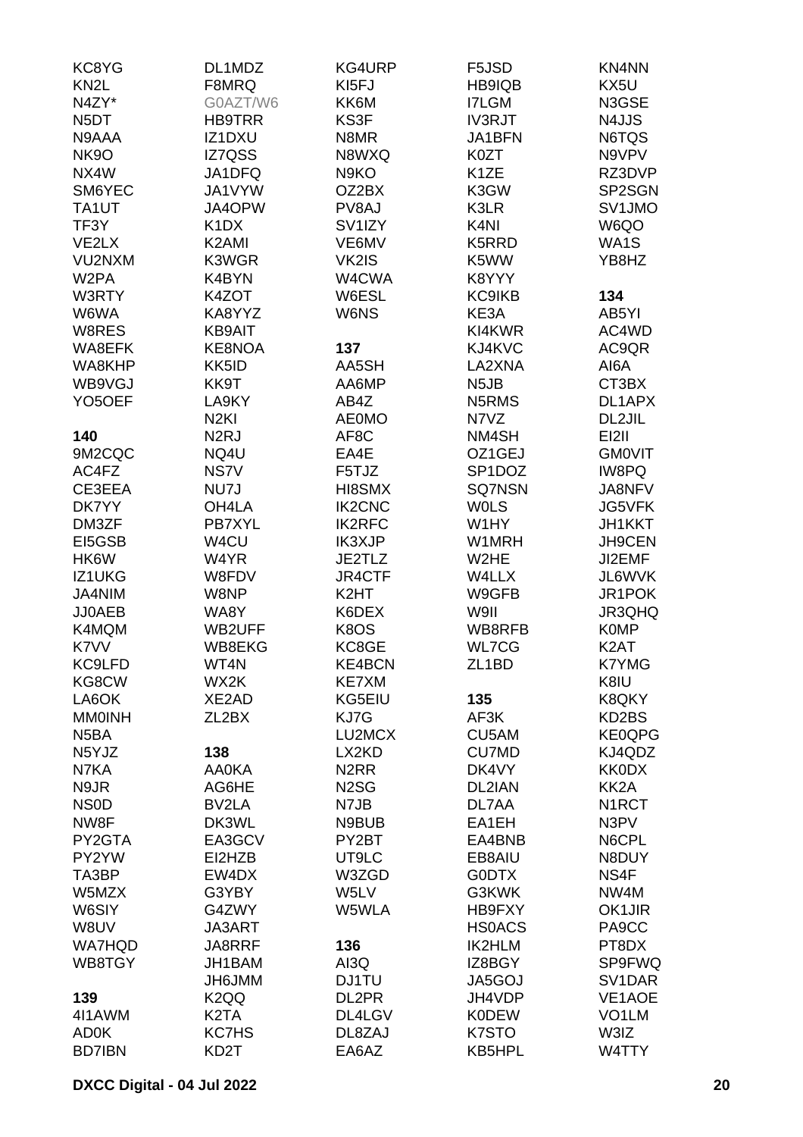| KC8YG               | DL1MDZ                        | KG4URP              | F5JSD                          | <b>KN4NN</b>       |
|---------------------|-------------------------------|---------------------|--------------------------------|--------------------|
| KN <sub>2</sub> L   | F8MRQ                         | KI5FJ               | HB9IQB                         | KX5U               |
| N4ZY*               | G0AZT/W6                      | KK6M                | <b>I7LGM</b>                   | N3GSE              |
| N <sub>5</sub> DT   | <b>HB9TRR</b>                 | KS3F                | <b>IV3RJT</b>                  | N4JJS              |
| N9AAA               | IZ1DXU                        | N8MR                | JA1BFN                         | N6TQS              |
| <b>NK9O</b>         | <b>IZ7QSS</b>                 | N8WXQ               | K0ZT                           | N9VPV              |
| NX4W                | JA1DFQ                        | N9KO                | K <sub>1</sub> ZE              | RZ3DVP             |
| SM6YEC              | JA1VYW                        | OZ2BX               | K3GW                           | SP2SGN             |
| TA1UT               | JA4OPW                        | PV8AJ               | K3LR                           | SV1JMO             |
| TF3Y                | K <sub>1</sub> D <sub>X</sub> | SV <sub>1</sub> IZY | K <sub>4</sub> NI              | W6QO               |
| VE2LX               | K2AMI                         | VE6MV               | K5RRD                          | WA1S               |
| VU2NXM              | K3WGR                         | VK2IS               | K5WW                           | YB8HZ              |
| W <sub>2</sub> PA   | K4BYN                         | W4CWA               | K8YYY                          |                    |
| W3RTY               | K4ZOT                         | W6ESL               | <b>KC9IKB</b>                  | 134                |
|                     |                               |                     |                                |                    |
| W6WA                | KA8YYZ                        | W6NS                | KE3A                           | AB5YI              |
| W8RES               | <b>KB9AIT</b>                 |                     | KI4KWR                         | AC4WD              |
| WA8EFK              | KE8NOA                        | 137                 | KJ4KVC                         | AC9QR              |
| WA8KHP              | KK5ID                         | AA5SH               | LA2XNA                         | AI6A               |
| WB9VGJ              | KK9T                          | AA6MP               | N <sub>5</sub> JB              | CT3BX              |
| YO <sub>5</sub> OEF | LA9KY                         | AB4Z                | N <sub>5</sub> RM <sub>S</sub> | DL1APX             |
|                     | N <sub>2KI</sub>              | <b>AE0MO</b>        | N7VZ                           | DL2JIL             |
| 140                 | N <sub>2</sub> RJ             | AF8C                | NM4SH                          | <b>EI2II</b>       |
| 9M2CQC              | NQ4U                          | EA4E                | OZ1GEJ                         | <b>GMOVIT</b>      |
| AC4FZ               | NS7V                          | F5TJZ               | SP <sub>1</sub> DOZ            | IW8PQ              |
| CE3EEA              | NU7J                          | HI8SMX              | <b>SQ7NSN</b>                  | JA8NFV             |
| DK7YY               | OH4LA                         | <b>IK2CNC</b>       | <b>WOLS</b>                    | <b>JG5VFK</b>      |
| DM3ZF               | PB7XYL                        | <b>IK2RFC</b>       | W1HY                           | <b>JH1KKT</b>      |
| EI5GSB              | W4CU                          | IK3XJP              | W1MRH                          | <b>JH9CEN</b>      |
| HK6W                | W4YR                          | JE2TLZ              | W2HE                           | JI2EMF             |
| IZ1UKG              | W8FDV                         | <b>JR4CTF</b>       | W4LLX                          | JL6WVK             |
| JA4NIM              | W8NP                          | K2HT                | W9GFB                          | JR1POK             |
| JJ0AEB              | WA8Y                          | K6DEX               | W9II                           | JR3QHQ             |
| K4MQM               | WB2UFF                        | K8OS                | WB8RFB                         | <b>K0MP</b>        |
| K7VV                | WB8EKG                        | KC8GE               | <b>WL7CG</b>                   | K <sub>2</sub> AT  |
| KC9LFD              | WT4N                          | <b>KE4BCN</b>       | ZL <sub>1</sub> BD             | <b>K7YMG</b>       |
| KG8CW               | WX2K                          | KE7XM               |                                | K8IU               |
| LA6OK               | XE2AD                         | KG5EIU              | 135                            | K8QKY              |
| <b>MM0INH</b>       | ZL <sub>2</sub> BX            | KJ7G                | AF3K                           | KD2BS              |
| N <sub>5</sub> BA   |                               | LU2MCX              | CU5AM                          | KE0QPG             |
| N5YJZ               | 138                           | LX2KD               | <b>CU7MD</b>                   | KJ4QDZ             |
| N7KA                | <b>AA0KA</b>                  | N <sub>2</sub> RR   | DK4VY                          | <b>KK0DX</b>       |
| N9JR                | AG6HE                         | N <sub>2</sub> SG   | DL2IAN                         | KK <sub>2</sub> A  |
| NS <sub>0</sub> D   | BV2LA                         | N7JB                | DL7AA                          | N1RCT              |
| NW8F                | DK3WL                         | N9BUB               | EA1EH                          | N3PV               |
| PY2GTA              | EA3GCV                        | PY2BT               | EA4BNB                         | N6CPL              |
| PY2YW               | EI2HZB                        | UT9LC               | EB8AIU                         | N8DUY              |
| TA3BP               | EW4DX                         | W3ZGD               | <b>GODTX</b>                   | NS4F               |
| W5MZX               | G3YBY                         | W5LV                | G3KWK                          | NW4M               |
| W6SIY               | G4ZWY                         | W5WLA               | HB9FXY                         | OK1JIR             |
| W8UV                | JA3ART                        |                     | <b>HS0ACS</b>                  | PA9CC              |
| <b>WA7HQD</b>       | JA8RRF                        | 136                 | <b>IK2HLM</b>                  | PT8DX              |
| WB8TGY              | JH1BAM                        | AI3Q                | IZ8BGY                         | SP9FWQ             |
|                     | <b>MMLGHL</b>                 | <b>DJ1TU</b>        | JA5GOJ                         | SV1DAR             |
| 139                 | K <sub>2</sub> QQ             | DL2PR               | JH4VDP                         | <b>VE1AOE</b>      |
| 4I1AWM              | K <sub>2</sub> TA             | DL4LGV              | <b>K0DEW</b>                   | VO <sub>1</sub> LM |
| <b>AD0K</b>         | <b>KC7HS</b>                  | DL8ZAJ              | K7STO                          | W3IZ               |
| <b>BD7IBN</b>       | KD <sub>2</sub> T             | EA6AZ               | KB5HPL                         | W4TTY              |
|                     |                               |                     |                                |                    |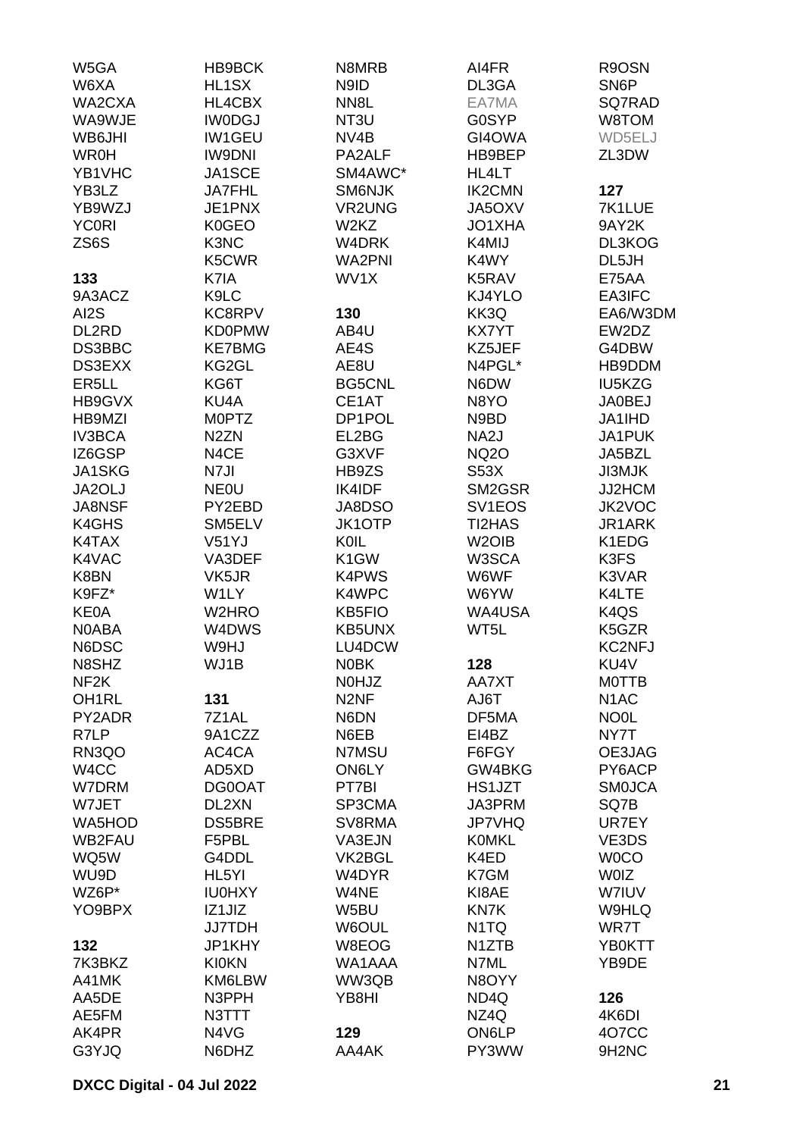| W5GA               | HB9BCK             | N8MRB             | AI4FR               | R9OSN                         |
|--------------------|--------------------|-------------------|---------------------|-------------------------------|
| W6XA               | HL1SX              | N9ID              | DL3GA               | SN <sub>6</sub> P             |
| WA2CXA             | HL4CBX             | NN <sub>8</sub> L | EA7MA               | SQ7RAD                        |
| WA9WJE             | <b>IWODGJ</b>      | NT <sub>3U</sub>  | <b>G0SYP</b>        | W8TOM                         |
| WB6JHI             | <b>IW1GEU</b>      | NV <sub>4</sub> B | GI4OWA              | WD5ELJ                        |
| <b>WR0H</b>        | <b>IW9DNI</b>      | PA2ALF            | HB9BEP              | ZL3DW                         |
| YB1VHC             | JA1SCE             | SM4AWC*           | HL4LT               |                               |
| YB3LZ              | <b>JA7FHL</b>      | <b>SM6NJK</b>     | <b>IK2CMN</b>       | 127                           |
| YB9WZJ             | JE1PNX             | <b>VR2UNG</b>     | JA5OXV              | 7K1LUE                        |
| <b>YC0RI</b>       | K0GEO              | W2KZ              | JO1XHA              | 9AY2K                         |
| ZS6S               | K3NC               | W4DRK             | K4MIJ               | DL3KOG                        |
|                    | K5CWR              | <b>WA2PNI</b>     | K4WY                | DL5JH                         |
| 133                | K7IA               | WV1X              | K5RAV               | E75AA                         |
| 9A3ACZ             | K9LC               |                   | KJ4YLO              | EA3IFC                        |
| AI2S               | KC8RPV             | 130               | KK3Q                | EA6/W3DM                      |
| DL2RD              | <b>KD0PMW</b>      | AB4U              | <b>KX7YT</b>        | EW2DZ                         |
| DS3BBC             | <b>KE7BMG</b>      | AE4S              | KZ5JEF              | G4DBW                         |
| DS3EXX             | KG2GL              | AE8U              | N4PGL*              | HB9DDM                        |
| ER <sub>5LL</sub>  | KG6T               | <b>BG5CNL</b>     | N6DW                | IU5KZG                        |
| HB9GVX             | KU4A               | CE1AT             | N8YO                | <b>JA0BEJ</b>                 |
| HB9MZI             | <b>MOPTZ</b>       | DP1POL            | N9BD                | JA1IHD                        |
| <b>IV3BCA</b>      | N <sub>2</sub> ZN  | EL2BG             | NA <sub>2</sub> J   | JA1PUK                        |
| IZ6GSP             | N4CE               | G3XVF             | <b>NQ2O</b>         | JA5BZL                        |
| <b>JA1SKG</b>      | N7JI               |                   | <b>S53X</b>         | <b>JI3MJK</b>                 |
|                    | <b>NEOU</b>        | HB9ZS<br>IK4IDF   |                     |                               |
| JA2OLJ             |                    |                   | SM2GSR              | JJ2HCM                        |
| <b>JA8NSF</b>      | PY2EBD             | JA8DSO            | SV <sub>1</sub> EOS | JK2VOC                        |
| K4GHS              | SM5ELV             | <b>JK1OTP</b>     | TI2HAS              | JR1ARK                        |
| K4TAX              | V51YJ              | KOIL              | W <sub>2</sub> OIB  | K1EDG                         |
| K4VAC              | VA3DEF             | K <sub>1</sub> GW | W3SCA               | K3FS                          |
| K8BN               | VK5JR              | K4PWS             | W6WF                | K3VAR                         |
| K9FZ*              | W1LY               | K4WPC             | W6YW                | K4LTE                         |
| <b>KE0A</b>        | W2HRO              | <b>KB5FIO</b>     | WA4USA              | K <sub>4</sub> Q <sub>S</sub> |
| <b>NOABA</b>       | W4DWS              | <b>KB5UNX</b>     | WT5L                | K5GZR<br><b>KC2NFJ</b>        |
| N6DSC              | W9HJ<br>WJ1B       | LU4DCW            |                     | KU4V                          |
| N8SHZ              |                    | <b>NOBK</b>       | 128                 |                               |
| NF <sub>2</sub> K  |                    | N0HJZ             | AA7XT               | <b>MOTTB</b>                  |
| OH <sub>1</sub> RL | 131                | N <sub>2NF</sub>  | AJ6T                | N <sub>1</sub> AC             |
| PY2ADR             | 7Z1AL              | N6DN              | DF5MA               | NO <sub>OL</sub>              |
| R7LP               | 9A1CZZ             | N6EB              | EI4BZ               | NY7T                          |
| RN3QO              | AC4CA              | N7MSU             | F6FGY               | OE3JAG                        |
| W4CC               | AD5XD<br>DG0OAT    | ON6LY             | GW4BKG<br>HS1JZT    | PY6ACP                        |
| W7DRM<br>W7JET     | DL2XN              | PT7BI<br>SP3CMA   | JA3PRM              | <b>SMOJCA</b><br>SQ7B         |
|                    | <b>DS5BRE</b>      | SV8RMA            |                     |                               |
| WA5HOD             |                    |                   | <b>JP7VHQ</b>       | UR7EY                         |
| <b>WB2FAU</b>      | F5PBL              | VA3EJN            | <b>KOMKL</b>        | VE3DS                         |
| WQ5W               | G4DDL              | VK2BGL            | K4ED                | <b>WOCO</b>                   |
| WU9D               | HL <sub>5</sub> YI | W4DYR             | K7GM                | <b>WOIZ</b>                   |
| WZ6P*              | <b>IU0HXY</b>      | W4NE              | KI8AE               | W7IUV                         |
| YO9BPX             | IZ1JIZ             | W5BU              | KN7K                | W9HLQ                         |
|                    | <b>JJ7TDH</b>      | W6OUL             | N <sub>1</sub> TQ   | WR7T                          |
| 132                | JP1KHY             | W8EOG             | N <sub>1</sub> ZTB  | YB0KTT                        |
| 7K3BKZ             | <b>KI0KN</b>       | WA1AAA            | N7ML                | YB9DE                         |
| A41MK              | KM6LBW             | WW3QB             | N8OYY               |                               |
| AA5DE              | N3PPH              | YB8HI             | ND4Q                | 126                           |
| AE5FM              | N3TTT              |                   | NZ4Q                | 4K6DI                         |
| AK4PR              | N4VG               | 129               | ON6LP               | <b>407CC</b>                  |
| G3YJQ              | N6DHZ              | AA4AK             | PY3WW               | 9H <sub>2</sub> NC            |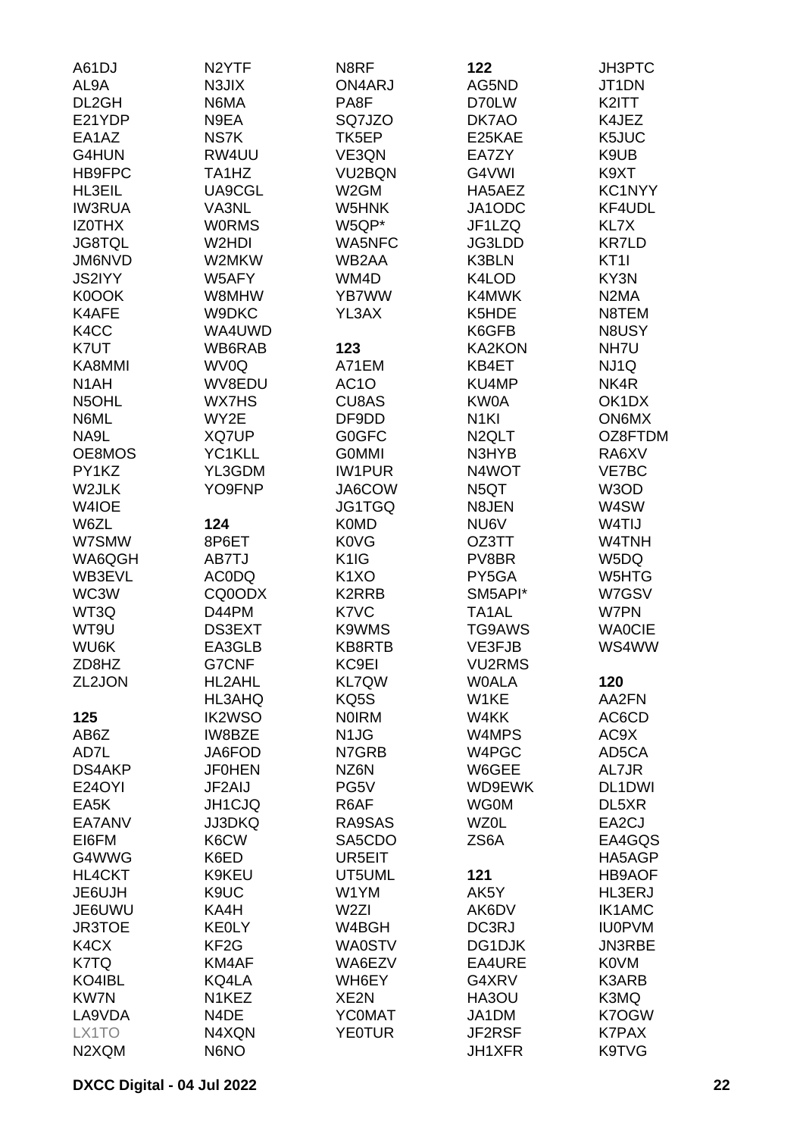| A61DJ             | N <sub>2</sub> YTF | N8RF                          | 122                | <b>JH3PTC</b>                 |
|-------------------|--------------------|-------------------------------|--------------------|-------------------------------|
| AL9A              | N3JIX              | ON4ARJ                        | AG5ND              | JT1DN                         |
| DL2GH             | N6MA               | PA8F                          | D70LW              | K2ITT                         |
| E21YDP            | N9EA               | SQ7JZO                        | DK7AO              | K4JEZ                         |
| EA1AZ             | NS7K               | TK5EP                         | E25KAE             | K5JUC                         |
| G4HUN             | RW4UU              | VE3QN                         | EA7ZY              | K9UB                          |
| HB9FPC            | TA1HZ              | VU2BQN                        | G4VWI              | K9XT                          |
| HL3EIL            | UA9CGL             | W <sub>2</sub> GM             | HA5AEZ             | KC1NYY                        |
| <b>IW3RUA</b>     | VA3NL              | W5HNK                         | JA1ODC             | KF4UDL                        |
| <b>IZOTHX</b>     | <b>WORMS</b>       | W5QP*                         | JF1LZQ             | KL7X                          |
| <b>JG8TQL</b>     | W2HDI              | WA5NFC                        | JG3LDD             | <b>KR7LD</b>                  |
| JM6NVD            | W2MKW              | WB2AA                         | K3BLN              | KT <sub>1</sub>               |
| <b>JS2IYY</b>     | W5AFY              | WM4D                          | K4LOD              | KY3N                          |
| K0OOK             | W8MHW              | YB7WW                         | K4MWK              | N <sub>2</sub> M <sub>A</sub> |
| K4AFE             | W9DKC              | YL3AX                         | K5HDE              | N8TEM                         |
| K <sub>4</sub> CC | WA4UWD             |                               | K6GFB              | N8USY                         |
| K7UT              | WB6RAB             | 123                           | <b>KA2KON</b>      | NH7U                          |
| KA8MMI            | WV0Q               | A71EM                         | KB4ET              |                               |
|                   |                    |                               | KU4MP              | NJ1Q                          |
| N <sub>1</sub> AH | WV8EDU             | AC <sub>1</sub> O             |                    | NK4R                          |
| N5OHL             | <b>WX7HS</b>       | <b>CU8AS</b>                  | KW0A               | OK1DX                         |
| N6ML              | WY2E               | DF9DD                         | N <sub>1</sub> KI  | ON6MX                         |
| NA9L              | XQ7UP              | <b>G0GFC</b>                  | N <sub>2</sub> QLT | OZ8FTDM                       |
| OE8MOS            | YC1KLL             | <b>GOMMI</b>                  | N3HYB              | RA6XV                         |
| PY1KZ             | YL3GDM             | <b>IW1PUR</b>                 | N4WOT              | VE7BC                         |
| W2JLK             | YO9FNP             | JA6COW                        | N <sub>5</sub> QT  | W3OD                          |
| W4IOE             |                    | JG1TGQ                        | N8JEN              | W4SW                          |
| W6ZL              | 124                | <b>K0MD</b>                   | NU6V               | W4TIJ                         |
| W7SMW             | 8P6ET              | <b>K0VG</b>                   | OZ3TT              | W4TNH                         |
| WA6QGH            | AB7TJ              | K <sub>1</sub> I <sub>G</sub> | PV8BR              | W5DQ                          |
| WB3EVL            | <b>ACODQ</b>       | K <sub>1</sub> XO             | PY5GA              | W5HTG                         |
| WC3W              | CQ0ODX             | K2RRB                         | SM5API*            | W7GSV                         |
| WT3Q              | D44PM              | K7VC                          | TA <sub>1</sub> AL | W7PN                          |
| WT9U              | DS3EXT             | K9WMS                         | <b>TG9AWS</b>      | <b>WAOCIE</b>                 |
| WU6K              | EA3GLB             | KB8RTB                        | VE3FJB             | WS4WW                         |
| ZD8HZ             | <b>G7CNF</b>       | KC9EI                         | <b>VU2RMS</b>      |                               |
| ZL2JON            | HL2AHL             | <b>KL7QW</b>                  | <b>WOALA</b>       | 120                           |
|                   | HL3AHQ             | KQ5S                          | W1KE               | AA2FN                         |
| 125               | <b>IK2WSO</b>      | <b>NOIRM</b>                  | W4KK               | AC6CD                         |
| AB6Z              | IW8BZE             | N <sub>1</sub> J <sub>G</sub> | W4MPS              | AC9X                          |
| AD7L              | JA6FOD             | N7GRB                         | W4PGC              | AD5CA                         |
| DS4AKP            | <b>JF0HEN</b>      | NZ6N                          | W6GEE              | AL7JR                         |
| <b>E24OYI</b>     | JF2AIJ             | PG5V                          | WD9EWK             | DL1DWI                        |
| EA5K              | JH1CJQ             | R6AF                          | <b>WG0M</b>        | DL5XR                         |
| EA7ANV            | <b>JJ3DKQ</b>      | RA9SAS                        | <b>WZ0L</b>        | EA2CJ                         |
| EI6FM             | K6CW               | SA5CDO                        | ZS6A               | EA4GQS                        |
| G4WWG             | K6ED               | UR5EIT                        |                    | HA5AGP                        |
| <b>HL4CKT</b>     | K9KEU              | UT5UML                        | 121                | <b>HB9AOF</b>                 |
| JE6UJH            | K9UC               | W1YM                          | AK5Y               | HL3ERJ                        |
| JE6UWU            | KA4H               | W <sub>2ZI</sub>              | AK6DV              | <b>IK1AMC</b>                 |
| JR3TOE            | <b>KEOLY</b>       | W4BGH                         | DC3RJ              | <b>IU0PVM</b>                 |
| K4CX              | KF <sub>2</sub> G  | <b>WA0STV</b>                 | DG1DJK             | JN3RBE                        |
| K7TQ              | KM4AF              | WA6EZV                        | EA4URE             | <b>K0VM</b>                   |
| KO4IBL            | KQ4LA              | WH6EY                         | G4XRV              | K3ARB                         |
| <b>KW7N</b>       | N <sub>1</sub> KEZ | XE2N                          | HA3OU              | K3MQ                          |
| LA9VDA            | N4DE               | <b>YCOMAT</b>                 | JA1DM              | K7OGW                         |
| LX1TO             | N4XQN              | <b>YE0TUR</b>                 | JF2RSF             | <b>K7PAX</b>                  |
| N2XQM             | N6NO               |                               | JH1XFR             | K9TVG                         |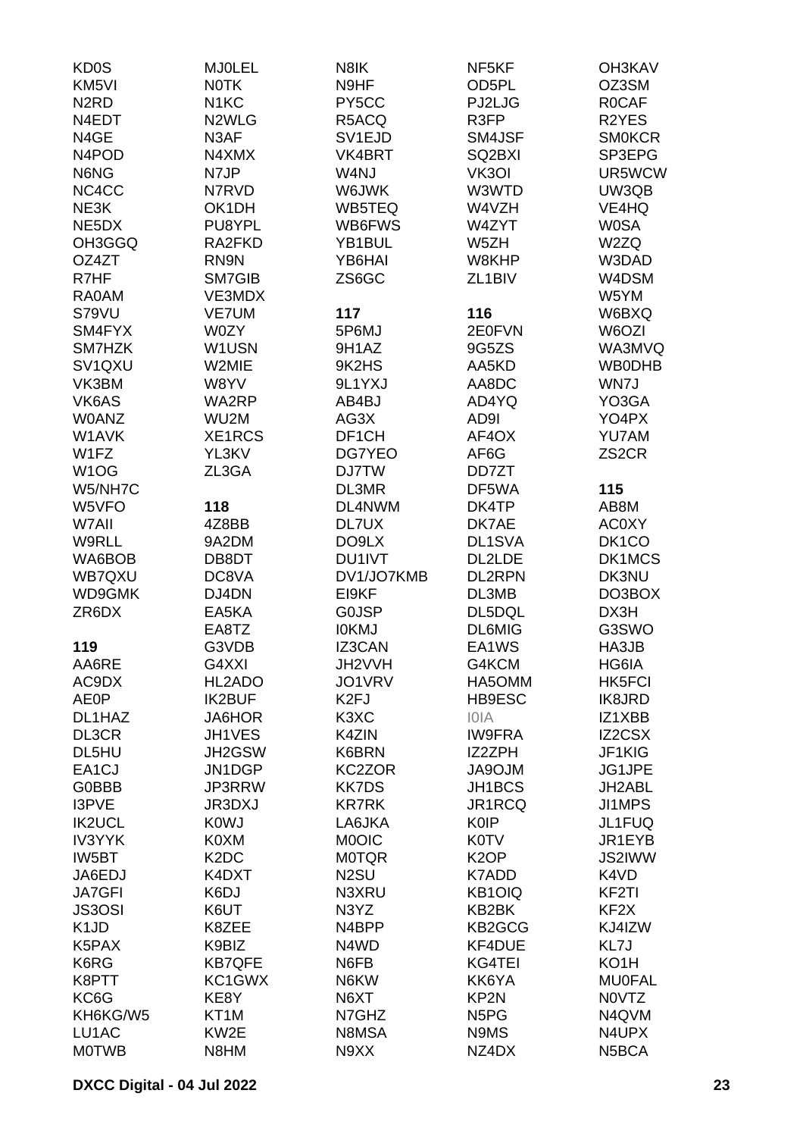| <b>KD0S</b>                    | <b>MJOLEL</b>                 | N8IK                          | NF5KF                         | <b>OH3KAV</b>      |
|--------------------------------|-------------------------------|-------------------------------|-------------------------------|--------------------|
| KM <sub>5VI</sub>              | <b>NOTK</b>                   | N9HF                          | OD5PL                         | OZ3SM              |
| N <sub>2</sub> R <sub>D</sub>  | N <sub>1</sub> KC             | PY5CC                         | PJ2LJG                        | <b>ROCAF</b>       |
| N4EDT                          | N <sub>2</sub> WLG            | R5ACQ                         | R3FP                          | R2YES              |
| N4GE                           | N3AF                          | SV <sub>1</sub> EJD           | SM4JSF                        | <b>SMOKCR</b>      |
| N <sub>4</sub> PO <sub>D</sub> | N4XMX                         | VK4BRT                        | SQ2BXI                        | SP3EPG             |
| N6NG                           | N7JP                          | W4NJ                          | VK3OI                         | UR5WCW             |
| NC4CC                          | N7RVD                         | W6JWK                         | W3WTD                         | UW3QB              |
| NE3K                           | OK1DH                         | WB5TEQ                        | W4VZH                         | VE4HQ              |
| NE5DX                          | PU8YPL                        | WB6FWS                        | W4ZYT                         | <b>W0SA</b>        |
| OH3GGQ                         | RA2FKD                        | YB1BUL                        | W5ZH                          | W2ZQ               |
| OZ4ZT                          | RN9N                          | YB6HAI                        | W8KHP                         | W3DAD              |
| R7HF                           | SM7GIB                        | ZS6GC                         | ZL <sub>1</sub> BIV           | W4DSM              |
| <b>RA0AM</b>                   | VE3MDX                        |                               |                               | W5YM               |
| S79VU                          | <b>VE7UM</b>                  | 117                           | 116                           | W6BXQ              |
| SM4FYX                         | W0ZY                          | 5P6MJ                         | 2E0FVN                        | W6OZI              |
| SM7HZK                         | W1USN                         | 9H1AZ                         | 9G5ZS                         | WA3MVQ             |
| SV1QXU                         | W2MIE                         | 9K2HS                         | AA5KD                         | <b>WB0DHB</b>      |
| VK3BM                          | W8YV                          | 9L1YXJ                        | AA8DC                         | WN7J               |
| VK6AS                          | WA2RP                         | AB4BJ                         | AD4YQ                         | YO3GA              |
| <b>W0ANZ</b>                   | WU2M                          | AG3X                          | AD9I                          | YO4PX              |
| W1AVK                          | XE1RCS                        | DF1CH                         | AF4OX                         | <b>YU7AM</b>       |
| W1FZ                           | YL3KV                         | DG7YEO                        | AF6G                          | ZS <sub>2</sub> CR |
| W <sub>1</sub> OG              | ZL3GA                         | <b>DJ7TW</b>                  | DD7ZT                         |                    |
| W5/NH7C                        |                               | DL3MR                         | DF5WA                         | 115                |
|                                |                               | DL4NWM                        |                               | AB8M               |
| W5VFO                          | 118                           |                               | DK4TP                         |                    |
| W7AII                          | 4Z8BB                         | DL7UX                         | DK7AE                         | <b>AC0XY</b>       |
| W9RLL                          | 9A2DM                         | DO9LX                         | DL1SVA                        | DK <sub>1</sub> CO |
| WA6BOB                         | DB8DT                         | DU1IVT                        | DL2LDE                        | DK1MCS             |
| WB7QXU                         | DC8VA                         | DV1/JO7KMB                    | <b>DL2RPN</b>                 | DK3NU              |
| WD9GMK                         | DJ4DN                         | EI9KF                         | DL3MB                         | DO3BOX             |
| ZR6DX                          | EA5KA                         | <b>GOJSP</b>                  | DL5DQL                        | DX3H               |
|                                | EA8TZ                         | <b>IOKMJ</b>                  | <b>DL6MIG</b>                 | G3SWO              |
| 119                            | G3VDB                         | <b>IZ3CAN</b>                 | EA1WS                         | HA3JB              |
| AA6RE                          | G4XXI                         | JH2VVH                        | G4KCM                         | HG6IA              |
| AC9DX                          | HL2ADO                        | JO1VRV                        | HA5OMM                        | <b>HK5FCI</b>      |
| <b>AE0P</b>                    | <b>IK2BUF</b>                 | K <sub>2F</sub> J             | HB9ESC                        | <b>IK8JRD</b>      |
| DL1HAZ                         | <b>JA6HOR</b>                 | K <sub>3</sub> X <sub>C</sub> | <b>IOIA</b>                   | IZ1XBB             |
| DL3CR                          | JH1VES                        | K4ZIN                         | <b>IW9FRA</b>                 | IZ2CSX             |
| DL5HU                          | JH2GSW                        | K6BRN                         | <b>IZ2ZPH</b>                 | JF1KIG             |
| EA <sub>1</sub> CJ             | JN1DGP                        | KC2ZOR                        | <b>MLORAL</b>                 | JG1JPE             |
| <b>G0BBB</b>                   | JP3RRW                        | <b>KK7DS</b>                  | JH1BCS                        | JH2ABL             |
| I3PVE                          | <b>JR3DXJ</b>                 | <b>KR7RK</b>                  | JR1RCQ                        | JI1MPS             |
| <b>IK2UCL</b>                  | <b>K0WJ</b>                   | LA6JKA                        | <b>K0IP</b>                   | JL1FUQ             |
| <b>IV3YYK</b>                  | K0XM                          | <b>MOOIC</b>                  | <b>K0TV</b>                   | JR1EYB             |
| IW5BT                          | K <sub>2</sub> D <sub>C</sub> | <b>MOTQR</b>                  | K <sub>2</sub> OP             | JS2IWW             |
| JA6EDJ                         | K4DXT                         | N <sub>2</sub> SU             | K7ADD                         | K4VD               |
| <b>JA7GFI</b>                  | K6DJ                          | N3XRU                         | <b>KB1OIQ</b>                 | KF <sub>2</sub> TI |
| <b>JS3OSI</b>                  | K6UT                          | N3YZ                          | KB2BK                         | KF <sub>2</sub> X  |
| K <sub>1</sub> J <sub>D</sub>  | K8ZEE                         | N4BPP                         | KB2GCG                        | KJ4IZW             |
| K5PAX                          | K9BIZ                         | N4WD                          | KF4DUE                        | KL7J               |
| K6RG                           | <b>KB7QFE</b>                 | N6FB                          | KG4TEI                        | KO <sub>1</sub> H  |
| K8PTT                          | KC1GWX                        | N6KW                          | KK6YA                         | <b>MU0FAL</b>      |
| KC6G                           | KE8Y                          | N6XT                          | KP2N                          | <b>NOVTZ</b>       |
| KH6KG/W5                       | KT <sub>1</sub> M             | N7GHZ                         | N <sub>5</sub> P <sub>G</sub> | N4QVM              |
| LU1AC                          | KW2E                          | N8MSA                         | N9MS                          | N4UPX              |
| <b>MOTWB</b>                   | N8HM                          | N9XX                          | NZ4DX                         | N5BCA              |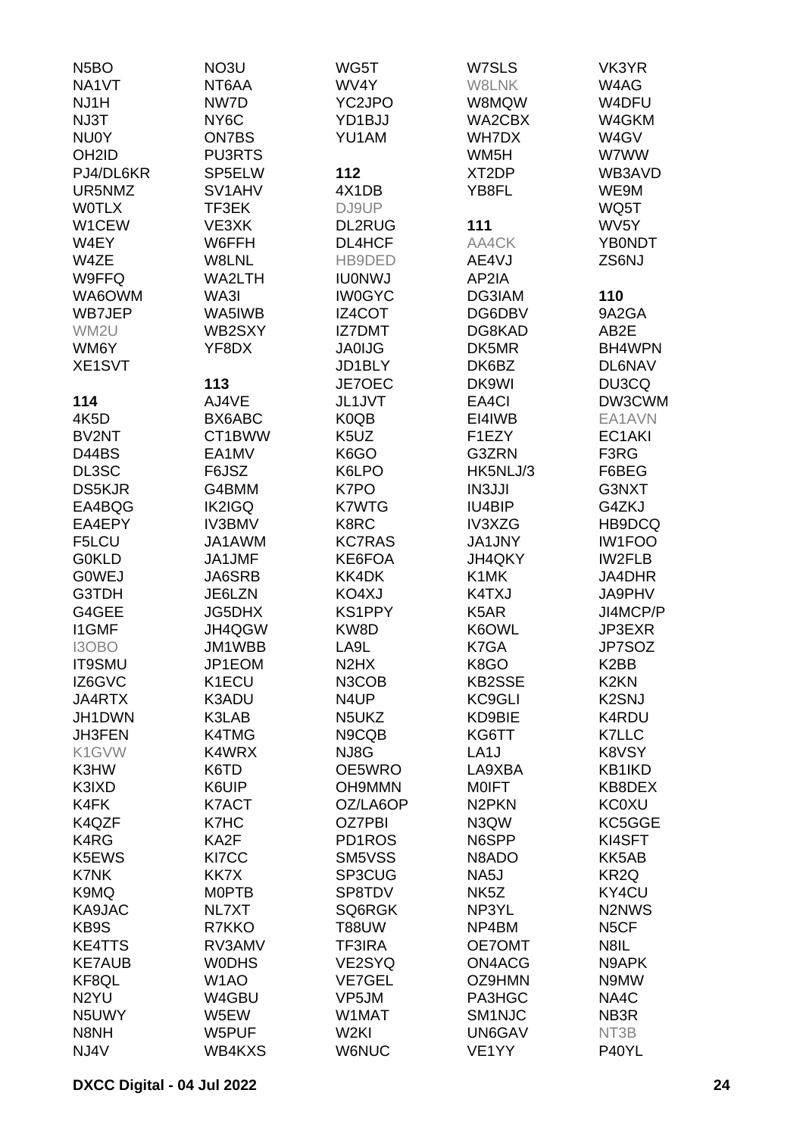| N <sub>5</sub> BO  | NO3U              | WG5T                          | W7SLS              | VK3YR                         |
|--------------------|-------------------|-------------------------------|--------------------|-------------------------------|
| NA1VT              | NT6AA             | WV4Y                          | W8LNK              | W4AG                          |
| NJ1H               | NW7D              | YC2JPO                        | W8MQW              | W4DFU                         |
| NJ3T               | NY <sub>6</sub> C | YD1BJJ                        | WA2CBX             | W4GKM                         |
| <b>NU0Y</b>        | <b>ON7BS</b>      | YU1AM                         | WH7DX              | W4GV                          |
| OH <sub>2</sub> ID | <b>PU3RTS</b>     |                               | WM <sub>5</sub> H  | W7WW                          |
|                    | SP5ELW            | 112                           |                    | WB3AVD                        |
| PJ4/DL6KR          |                   |                               | XT <sub>2</sub> DP |                               |
| UR5NMZ             | SV1AHV            | 4X1DB                         | YB8FL              | WE9M                          |
| <b>WOTLX</b>       | TF3EK             | DJ9UP                         |                    | WQ5T                          |
| W1CEW              | VE3XK             | <b>DL2RUG</b>                 | 111                | WV <sub>5</sub> Y             |
| W4EY               | W6FFH             | DL4HCF                        | AA4CK              | <b>YB0NDT</b>                 |
| W4ZE               | W8LNL             | HB9DED                        | AE4VJ              | ZS6NJ                         |
| W9FFQ              | WA2LTH            | <b>IU0NWJ</b>                 | AP2IA              |                               |
| WA6OWM             | WA3I              | <b>IW0GYC</b>                 | DG3IAM             | 110                           |
| WB7JEP             | WA5IWB            | IZ4COT                        | DG6DBV             | 9A2GA                         |
| WM2U               | WB2SXY            | <b>IZ7DMT</b>                 | DG8KAD             | AB <sub>2</sub> E             |
| WM6Y               | YF8DX             | <b>JA0IJG</b>                 | DK5MR              | BH4WPN                        |
| XE1SVT             |                   | JD1BLY                        | DK6BZ              | <b>DL6NAV</b>                 |
|                    | 113               | JE7OEC                        | DK9WI              | DU3CQ                         |
| 114                | AJ4VE             | JL1JVT                        | EA4CI              | DW3CWM                        |
| 4K5D               | BX6ABC            | K0QB                          | EI4IWB             | EA1AVN                        |
| BV2NT              | CT1BWW            | K5UZ                          | F1EZY              | EC1AKI                        |
| D44BS              | EA1MV             | K6GO                          | G3ZRN              | F3RG                          |
|                    |                   | K6LPO                         | HK5NLJ/3           |                               |
| DL3SC              | F6JSZ             |                               |                    | F6BEG                         |
| <b>DS5KJR</b>      | G4BMM             | K7PO                          | <b>IN3JJI</b>      | G3NXT                         |
| EA4BQG             | <b>IK2IGQ</b>     | <b>K7WTG</b>                  | IU4BIP             | G4ZKJ                         |
| EA4EPY             | <b>IV3BMV</b>     | K8RC                          | IV3XZG             | HB9DCQ                        |
| F5LCU              | JA1AWM            | <b>KC7RAS</b>                 | <b>JA1JNY</b>      | <b>IW1FOO</b>                 |
| <b>G0KLD</b>       | JA1JMF            | KE6FOA                        | JH4QKY             | IW2FLB                        |
| <b>GOWEJ</b>       | <b>JA6SRB</b>     | KK4DK                         | K1MK               | JA4DHR                        |
| G3TDH              | JE6LZN            | KO4XJ                         | K4TXJ              | JA9PHV                        |
| G4GEE              | <b>JG5DHX</b>     | <b>KS1PPY</b>                 | K <sub>5</sub> AR  | JI4MCP/P                      |
| <b>I1GMF</b>       | JH4QGW            | KW8D                          | K6OWL              | JP3EXR                        |
| I3OBO              | JM1WBB            | LA <sub>9</sub> L             | K7GA               | JP7SOZ                        |
| IT9SMU             | JP1EOM            | N <sub>2</sub> H <sub>X</sub> | K8GO               | K <sub>2</sub> BB             |
| IZ6GVC             | K1ECU             | N3COB                         | <b>KB2SSE</b>      | K <sub>2</sub> K <sub>N</sub> |
| JA4RTX             | K3ADU             | N4UP                          | <b>KC9GLI</b>      | K <sub>2</sub> SNJ            |
| JH1DWN             | K3LAB             | N5UKZ                         | KD9BIE             | K4RDU                         |
| JH3FEN             | K4TMG             | N9CQB                         | KG6TT              | <b>K7LLC</b>                  |
| K1GVW              | K4WRX             | NJ8G                          | LA <sub>1</sub> J  | K8VSY                         |
| K3HW               | K6TD              | OE5WRO                        | LA9XBA             | KB1IKD                        |
| K3IXD              | K6UIP             | <b>OH9MMN</b>                 | <b>MOIFT</b>       | KB8DEX                        |
| K4FK               | K7ACT             | OZ/LA6OP                      | N <sub>2</sub> PKN | <b>KC0XU</b>                  |
| K4QZF              | K7HC              | OZ7PBI                        | N3QW               | KC5GGE                        |
| K4RG               | KA2F              | PD1ROS                        | N6SPP              | KI4SFT                        |
| K5EWS              | KI7CC             | SM5VSS                        | N8ADO              | KK5AB                         |
| K7NK               | KK7X              | SP3CUG                        | NA5J               | KR <sub>2Q</sub>              |
|                    |                   |                               |                    |                               |
| K9MQ               | <b>MOPTB</b>      | SP8TDV                        | NK <sub>5</sub> Z  | KY4CU                         |
| KA9JAC             | NL7XT             | SQ6RGK                        | NP3YL              | N2NWS                         |
| KB9S               | R7KKO             | <b>T88UW</b>                  | NP4BM              | N <sub>5</sub> CF             |
| <b>KE4TTS</b>      | RV3AMV            | <b>TF3IRA</b>                 | OE7OMT             | N8IL                          |
| <b>KE7AUB</b>      | <b>WODHS</b>      | VE2SYQ                        | ON4ACG             | N9APK                         |
| KF8QL              | W <sub>1</sub> AO | <b>VE7GEL</b>                 | OZ9HMN             | N9MW                          |
| N <sub>2</sub> YU  | W4GBU             | VP5JM                         | PA3HGC             | NA4C                          |
| N5UWY              | W5EW              | W1MAT                         | SM1NJC             | NB <sub>3</sub> R             |
| N8NH               | W5PUF             | W <sub>2KI</sub>              | UN6GAV             | NT3B                          |
| NJ4V               | WB4KXS            | <b>W6NUC</b>                  | VE <sub>1</sub> YY | P40YL                         |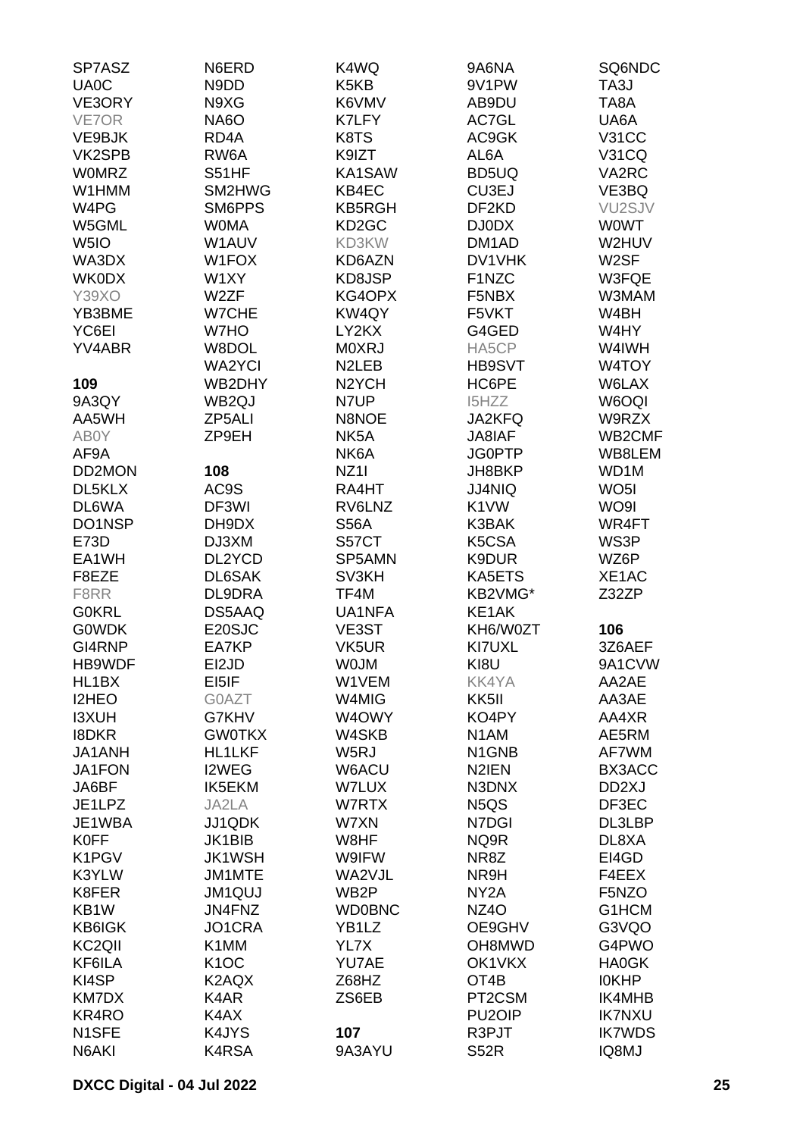| SP7ASZ                        | N6ERD              | K4WQ                          | 9A6NA                          | SQ6NDC              |
|-------------------------------|--------------------|-------------------------------|--------------------------------|---------------------|
| <b>UA0C</b>                   | N9DD               | K <sub>5</sub> K <sub>B</sub> | 9V1PW                          | TA3J                |
| VE3ORY                        | N9XG               | K6VMV                         | AB9DU                          | TA8A                |
| VE7OR                         | NA6O               | K7LFY                         | AC7GL                          | UA6A                |
| VE9BJK                        | RD <sub>4</sub> A  | K8TS                          | AC9GK                          | <b>V31CC</b>        |
| VK2SPB                        | RW6A               | K9IZT                         | AL6A                           | <b>V31CQ</b>        |
| <b>WOMRZ</b>                  | S51HF              | KA1SAW                        | BD5UQ                          | VA2RC               |
| W1HMM                         | SM2HWG             | KB4EC                         | CU3EJ                          | VE3BQ               |
| W <sub>4</sub> P <sub>G</sub> | SM6PPS             | <b>KB5RGH</b>                 | DF <sub>2</sub> KD             | VU <sub>2</sub> SJV |
| W5GML                         | <b>WOMA</b>        | KD <sub>2</sub> GC            | <b>DJ0DX</b>                   | <b>WOWT</b>         |
| W <sub>5I</sub> O             | W1AUV              | KD3KW                         | DM <sub>1</sub> AD             | W2HUV               |
| WA3DX                         | W1FOX              | KD6AZN                        | DV1VHK                         | W <sub>2</sub> SF   |
| <b>WK0DX</b>                  | W1XY               | KD8JSP                        | F1NZC                          | W3FQE               |
| <b>Y39XO</b>                  | W2ZF               | KG4OPX                        | F5NBX                          | W3MAM               |
| YB3BME                        | W7CHE              | KW4QY                         | F5VKT                          | W4BH                |
| YC6EI                         | W7HO               | LY2KX                         | G4GED                          | W4HY                |
| <b>YV4ABR</b>                 | W8DOL              | <b>MOXRJ</b>                  | HA5CP                          | W4IWH               |
|                               | <b>WA2YCI</b>      | N <sub>2</sub> LEB            | <b>HB9SVT</b>                  | W4TOY               |
| 109                           | WB2DHY             | N <sub>2</sub> YCH            | HC6PE                          | W6LAX               |
| 9A3QY                         | WB <sub>2Q</sub> J | N7UP                          | I5HZZ                          | W6OQI               |
| AA5WH                         | ZP5ALI             | N8NOE                         | JA2KFQ                         | W9RZX               |
| AB0Y                          | ZP9EH              | NK <sub>5</sub> A             | <b>JA8IAF</b>                  | WB2CMF              |
| AF9A                          |                    | NK6A                          | <b>JG0PTP</b>                  | WB8LEM              |
| DD2MON                        | 108                | NZ <sub>11</sub>              | JH8BKP                         | WD <sub>1</sub> M   |
| DL5KLX                        | AC9S               | RA4HT                         | <b>JJ4NIQ</b>                  | WO <sub>5</sub> I   |
| DL6WA                         | DF3WI              | RV6LNZ                        | K <sub>1</sub> VW              | WO9I                |
| DO1NSP                        | DH9DX              | <b>S56A</b>                   | K3BAK                          | WR4FT               |
| E73D                          | DJ3XM              | S57CT                         | K5CSA                          | WS3P                |
| EA1WH                         | DL2YCD             | SP5AMN                        | K9DUR                          | WZ6P                |
| F8EZE                         | DL6SAK             | SV3KH                         | KA5ETS                         | XE1AC               |
| F8RR                          | DL9DRA             | TF4M                          | KB2VMG*                        | Z32ZP               |
| <b>G0KRL</b>                  | DS5AAQ             | UA1NFA                        | KE1AK                          |                     |
| <b>GOWDK</b>                  | E20SJC             | VE3ST                         | KH6/W0ZT                       | 106                 |
| GI4RNP                        | EA7KP              | VK5UR                         | KI7UXL                         | 3Z6AEF              |
| HB9WDF                        | EI2JD              | <b>WOJM</b>                   | KI8U                           | 9A1CVW              |
| HL1BX                         | EI5IF              | W1VEM                         | <b>KK4YA</b>                   | AA2AE               |
| <b>I2HEO</b>                  | G0AZT              | W4MIG                         | KK <sub>5</sub> II             | AA3AE               |
| <b>I3XUH</b>                  | G7KHV              | W4OWY                         | KO4PY                          | AA4XR               |
| <b>I8DKR</b>                  | <b>GW0TKX</b>      | W4SKB                         | N <sub>1</sub> AM              | AE5RM               |
| JA1ANH                        | <b>HL1LKF</b>      | W5RJ                          | N <sub>1</sub> GN <sub>B</sub> | AF7WM               |
| <b>JA1FON</b>                 | I2WEG              | W6ACU                         | N <sub>2</sub> IEN             | BX3ACC              |
| JA6BF                         | <b>IK5EKM</b>      | W7LUX                         | N3DNX                          | DD <sub>2</sub> XJ  |
| JE1LPZ                        | JA2LA              | W7RTX                         | N <sub>5</sub> Q <sub>S</sub>  | DF3EC               |
| JE1WBA                        | JJ1QDK             | W7XN                          | N7DGI                          | DL3LBP              |
| <b>K0FF</b>                   | <b>JK1BIB</b>      | W8HF                          | NQ9R                           | DL8XA               |
| K1PGV                         | <b>JK1WSH</b>      | W9IFW                         | NR8Z                           | EI4GD               |
| K3YLW                         | JM1MTE             | WA2VJL                        | NR9H                           | F4EEX               |
| K8FER                         | <b>JM1QUJ</b>      | WB <sub>2</sub> P             | NY <sub>2</sub> A              | F5NZO               |
| KB1W                          | JN4FNZ             | <b>WD0BNC</b>                 | NZ4O                           | G1HCM               |
| <b>KB6IGK</b>                 | JO1CRA             | YB1LZ                         | OE9GHV                         | G3VQO               |
| KC <sub>2</sub> QII           | K1MM               | YL7X                          | OH8MWD                         | G4PWO               |
| KF6ILA                        | K <sub>1</sub> OC  | YU7AE                         | OK1VKX                         | <b>HA0GK</b>        |
| KI4SP                         | K2AQX              | Z68HZ                         | OT <sub>4</sub> B              | <b>IOKHP</b>        |
| KM7DX                         | K4AR               | ZS6EB                         | PT2CSM                         | IK4MHB              |
| KR4RO                         | K4AX               |                               | PU <sub>2</sub> OIP            | <b>IK7NXU</b>       |
| N1SFE                         | K4JYS              | 107                           | R3PJT                          | <b>IK7WDS</b>       |
| N6AKI                         | K4RSA              | 9A3AYU                        | <b>S52R</b>                    | IQ8MJ               |
|                               |                    |                               |                                |                     |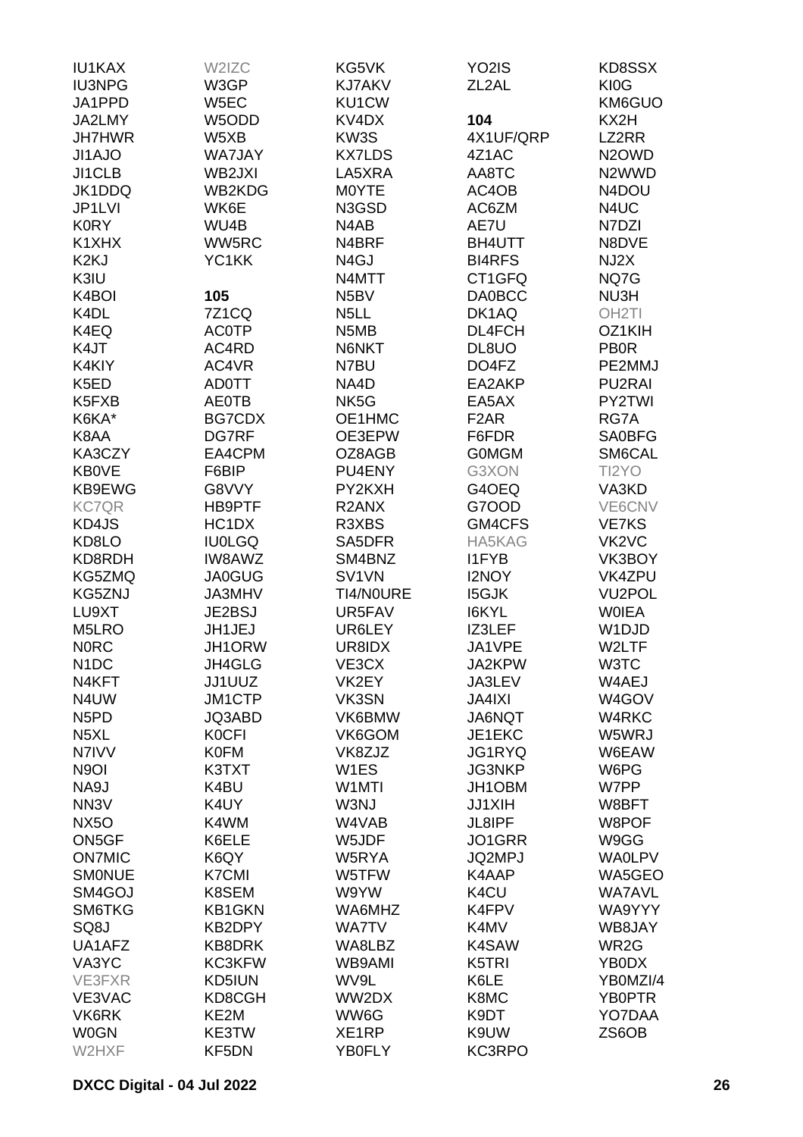| <b>IU1KAX</b>                 | W2IZC         | KG5VK              | YO <sub>2</sub> IS | KD8SSX                         |
|-------------------------------|---------------|--------------------|--------------------|--------------------------------|
| <b>IU3NPG</b>                 | W3GP          | <b>KJ7AKV</b>      | ZL <sub>2</sub> AL | KI0G                           |
| JA1PPD                        | W5EC          | KU1CW              |                    | KM6GUO                         |
| JA2LMY                        | W5ODD         | KV4DX              | 104                | KX2H                           |
|                               |               |                    |                    |                                |
| <b>JH7HWR</b>                 | W5XB          | KW3S               | 4X1UF/QRP          | LZ2RR                          |
| JI1AJO                        | <b>WA7JAY</b> | <b>KX7LDS</b>      | 4Z1AC              | N <sub>2</sub> OWD             |
| JI1CLB                        | WB2JXI        | LA5XRA             | AA8TC              | N2WWD                          |
| JK1DDQ                        | WB2KDG        | M0YTE              | AC4OB              | N4DOU                          |
| JP1LVI                        | WK6E          | N3GSD              | AC6ZM              | N4UC                           |
| <b>K0RY</b>                   | WU4B          | N4AB               | AE7U               | N7DZI                          |
| K1XHX                         | WW5RC         | N4BRF              | <b>BH4UTT</b>      | N8DVE                          |
| K <sub>2K</sub> J             | YC1KK         | N <sub>4</sub> GJ  | <b>BI4RFS</b>      | NJ2X                           |
| K3IU                          |               | N4MTT              | CT1GFQ             | NQ7G                           |
| K4BOI                         | 105           | N <sub>5</sub> BV  | <b>DA0BCC</b>      | NU3H                           |
| K <sub>4</sub> DL             | <b>7Z1CQ</b>  | N <sub>5</sub> LL  | DK1AQ              | OH <sub>2</sub> TI             |
| K4EQ                          | <b>AC0TP</b>  | N5MB               | DL4FCH             | OZ1KIH                         |
| K4JT                          | AC4RD         | N6NKT              | DL8UO              | <b>PB0R</b>                    |
| K4KIY                         | AC4VR         | N7BU               |                    | PE2MMJ                         |
|                               |               |                    | DO4FZ              |                                |
| K <sub>5</sub> ED             | <b>AD0TT</b>  | NA4D               | EA2AKP             | PU2RAI                         |
| K5FXB                         | <b>AE0TB</b>  | NK <sub>5</sub> G  | EA5AX              | PY2TWI                         |
| K6KA*                         | BG7CDX        | OE1HMC             | F <sub>2</sub> AR  | RG7A                           |
| K8AA                          | DG7RF         | OE3EPW             | F6FDR              | <b>SA0BFG</b>                  |
| KA3CZY                        | EA4CPM        | OZ8AGB             | <b>GOMGM</b>       | SM6CAL                         |
| <b>KB0VE</b>                  | F6BIP         | PU4ENY             | G3XON              | TI2YO                          |
| KB9EWG                        | G8VVY         | PY2KXH             | G4OEQ              | VA3KD                          |
| <b>KC7QR</b>                  | HB9PTF        | R <sub>2</sub> ANX | G7OOD              | VE6CNV                         |
| KD4JS                         | HC1DX         | R3XBS              | GM4CFS             | <b>VE7KS</b>                   |
| KD8LO                         | <b>IU0LGQ</b> | SA5DFR             | HA5KAG             | VK <sub>2</sub> V <sub>C</sub> |
| KD8RDH                        | IW8AWZ        | SM4BNZ             | <b>I1FYB</b>       | VK3BOY                         |
| KG5ZMQ                        | <b>JA0GUG</b> | SV1VN              | <b>I2NOY</b>       | VK4ZPU                         |
| KG5ZNJ                        | <b>JA3MHV</b> | TI4/NOURE          | <b>I5GJK</b>       | <b>VU2POL</b>                  |
| LU9XT                         | JE2BSJ        | UR5FAV             | <b>I6KYL</b>       | <b>WOIEA</b>                   |
|                               |               |                    |                    | W <sub>1</sub> DJD             |
| M5LRO                         | JH1JEJ        | UR6LEY             | IZ3LEF             |                                |
| <b>NORC</b>                   | JH1ORW        | UR8IDX             | JA1VPE             | W2LTF                          |
| N <sub>1</sub> DC             | JH4GLG        | VE3CX              | JA2KPW             | W3TC                           |
| N4KFT                         | JJ1UUZ        | VK2EY              | JA3LEV             | W4AEJ                          |
| N4UW                          | <b>JM1CTP</b> | VK3SN              | <b>JA4IXI</b>      | W4GOV                          |
| N <sub>5</sub> P <sub>D</sub> | <b>JQ3ABD</b> | VK6BMW             | JA6NQT             | W4RKC                          |
| N <sub>5</sub> XL             | <b>KOCFI</b>  | VK6GOM             | JE1EKC             | W5WRJ                          |
| N7IVV                         | <b>K0FM</b>   | VK8ZJZ             | <b>JG1RYQ</b>      | W6EAW                          |
| N <sub>9</sub> OI             | K3TXT         | W <sub>1</sub> ES  | <b>JG3NKP</b>      | W6PG                           |
| NA9J                          | K4BU          | W <sub>1</sub> MTI | JH1OBM             | W7PP                           |
| NN <sub>3</sub> V             | K4UY          | W3NJ               | <b>JJ1XIH</b>      | W8BFT                          |
| <b>NX50</b>                   | K4WM          | W4VAB              | JL8IPF             | W8POF                          |
| ON5GF                         | K6ELE         | W5JDF              | JO1GRR             | W9GG                           |
| <b>ON7MIC</b>                 | K6QY          | W5RYA              | JQ2MPJ             | <b>WAOLPV</b>                  |
| <b>SMONUE</b>                 | <b>K7CMI</b>  | W5TFW              | K4AAP              | WA5GEO                         |
| SM4GOJ                        | K8SEM         | W9YW               | K4CU               | <b>WA7AVL</b>                  |
| SM6TKG                        | <b>KB1GKN</b> | WA6MHZ             | K4FPV              | WA9YYY                         |
| SQ8J                          | KB2DPY        | <b>WA7TV</b>       | K4MV               | WB8JAY                         |
| UA1AFZ                        | KB8DRK        | WA8LBZ             | K4SAW              | WR2G                           |
|                               |               |                    |                    |                                |
| VA3YC                         | KC3KFW        | WB9AMI             | K5TRI              | YB0DX                          |
| VE3FXR                        | KD5IUN        | WV9L               | K6LE               | YB0MZI/4                       |
| VE3VAC                        | KD8CGH        | WW2DX              | K8MC               | YB0PTR                         |
| VK6RK                         | KE2M          | WW6G               | K9DT               | YO7DAA                         |
| <b>W0GN</b>                   | KE3TW         | XE1RP              | K9UW               | ZS6OB                          |
| W2HXF                         | KF5DN         | YB0FLY             | KC3RPO             |                                |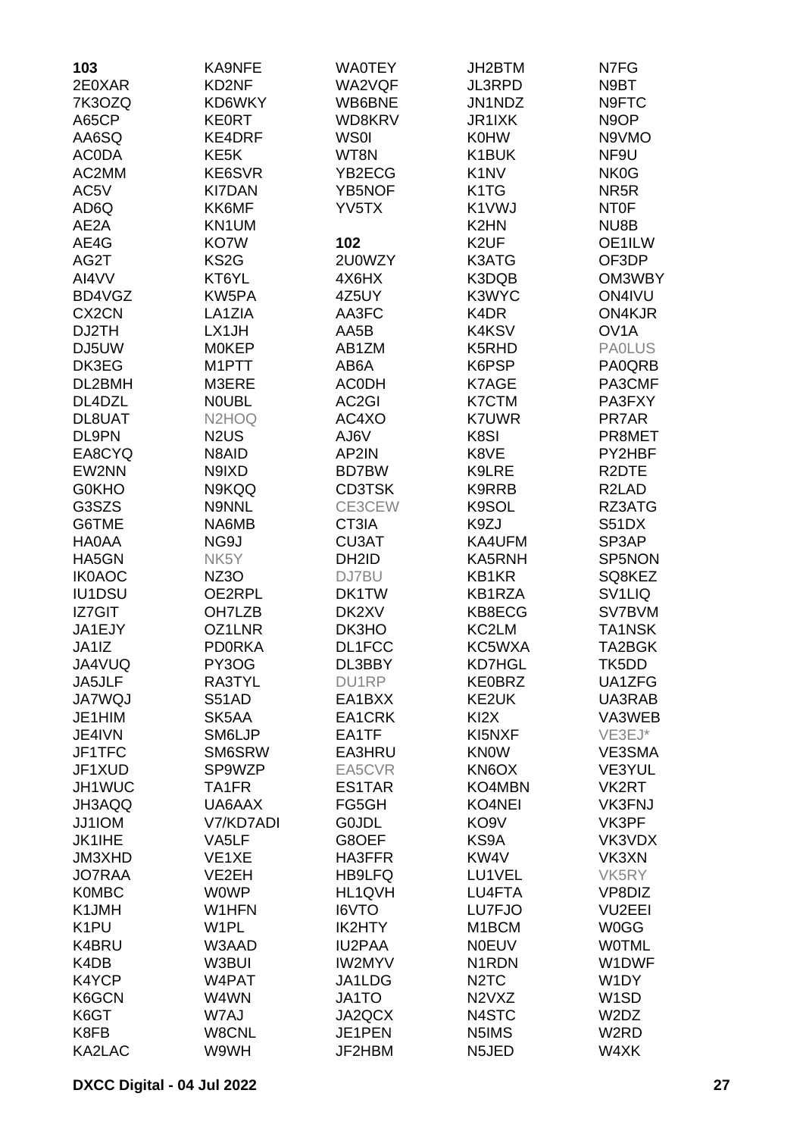| 103<br><b>KA9NFE</b><br><b>WA0TEY</b>            | JH2BTM                          | N7FG                |
|--------------------------------------------------|---------------------------------|---------------------|
| 2E0XAR<br>KD2NF<br>WA2VQF                        | <b>JL3RPD</b>                   | N9BT                |
| 7K3OZQ<br>KD6WKY<br>WB6BNE                       | JN1NDZ                          | N9FTC               |
| A65CP<br><b>KE0RT</b><br>WD8KRV                  | JR1IXK                          | N <sub>9</sub> OP   |
| <b>WS0I</b><br>AA6SQ<br>KE4DRF                   | <b>K0HW</b>                     | N9VMO               |
| KE <sub>5</sub> K<br>WT8N                        |                                 |                     |
| <b>ACODA</b>                                     | K1BUK                           | NF9U                |
| AC2MM<br>KE6SVR<br>YB2ECG                        | K <sub>1</sub> NV               | NK <sub>0</sub> G   |
| AC5V<br><b>KI7DAN</b><br>YB5NOF                  | K <sub>1</sub> T <sub>G</sub>   | NR <sub>5</sub> R   |
| AD6Q<br>KK6MF<br>YV5TX                           | K1VWJ                           | NT0F                |
| AE <sub>2</sub> A<br>KN1UM                       | K <sub>2</sub> HN               | NU8B                |
| AE4G<br>KO7W<br>102                              | K <sub>2</sub> UF               | OE1ILW              |
| KS <sub>2</sub> G<br>AG2T<br>2U0WZY              | K3ATG                           | OF3DP               |
| AI4VV<br>KT6YL<br>4X6HX                          | K3DQB                           | OM3WBY              |
| BD4VGZ<br>KW5PA<br>4Z5UY                         | K3WYC                           | ON4IVU              |
| CX <sub>2</sub> CN<br>LA1ZIA<br>AA3FC            | K4DR                            | ON4KJR              |
| DJ2TH<br>LX1JH<br>AA5B                           | K4KSV                           | OV <sub>1</sub> A   |
| DJ5UW<br><b>MOKEP</b><br>AB1ZM                   | K5RHD                           | <b>PAOLUS</b>       |
| DK3EG<br>M1PTT<br>AB6A                           | K6PSP                           | PA0QRB              |
|                                                  |                                 |                     |
| DL2BMH<br>M3ERE<br><b>ACODH</b>                  | K7AGE                           | PA3CMF              |
| DL4DZL<br><b>NOUBL</b><br>AC <sub>2</sub> GI     | K7CTM                           | PA3FXY              |
| DL8UAT<br>N2HOQ<br>AC4XO                         | <b>K7UWR</b>                    | PR7AR               |
| DL9PN<br>N <sub>2</sub> U <sub>S</sub><br>AJ6V   | K8SI                            | PR8MET              |
| EA8CYQ<br>N8AID<br>AP2IN                         | K8VE                            | PY2HBF              |
| EW2NN<br>N9IXD<br>BD7BW                          | K9LRE                           | R <sub>2</sub> DTE  |
| <b>G0KHO</b><br>N9KQQ<br><b>CD3TSK</b>           | K9RRB                           | R <sub>2</sub> LAD  |
| CE3CEW<br>G3SZS<br>N9NNL                         | K9SOL                           | RZ3ATG              |
| G6TME<br>NA6MB<br>CT3IA                          | K9ZJ                            | S51DX               |
| <b>HA0AA</b><br>NG9J<br>CU3AT                    | KA4UFM                          | SP3AP               |
| HA5GN<br>NK5Y<br>DH <sub>2</sub> ID              | KA5RNH                          | SP5NON              |
| <b>IK0AOC</b><br>NZ3O<br>DJ7BU                   | KB1KR                           | SQ8KEZ              |
| IU1DSU<br>OE2RPL<br>DK1TW                        | KB1RZA                          | SV <sub>1</sub> LIQ |
| IZ7GIT<br>OH7LZB<br>DK2XV                        | KB8ECG                          | SV7BVM              |
| OZ1LNR                                           |                                 |                     |
| JA1EJY<br>DK3HO                                  | KC2LM                           | TA1NSK              |
| JA1IZ<br><b>PD0RKA</b><br>DL1FCC                 | KC5WXA                          | TA2BGK              |
| JA4VUQ<br>PY3OG<br>DL3BBY                        | <b>KD7HGL</b>                   | TK5DD               |
| DU1RP<br>JA5JLF<br>RA3TYL                        | <b>KE0BRZ</b>                   | UA1ZFG              |
| <b>JA7WQJ</b><br>S51AD<br>EA1BXX                 | KE2UK                           | UA3RAB              |
| JE1HIM<br>SK5AA<br>EA1CRK                        | KI <sub>2</sub> X               | VA3WEB              |
| JE4IVN<br>SM6LJP<br>EA1TF                        | KI5NXF                          | VE3EJ*              |
| JF1TFC<br>SM6SRW<br>EA3HRU                       | <b>KNOW</b>                     | VE3SMA              |
| JF1XUD<br>SP9WZP<br>EA5CVR                       | KN6OX                           | VE3YUL              |
| JH1WUC<br>TA1FR<br>ES1TAR                        | KO4MBN                          | VK2RT               |
| JH3AQQ<br>UA6AAX<br>FG5GH                        | KO4NEI                          | <b>VK3FNJ</b>       |
| JJ1IOM<br>V7/KD7ADI<br><b>GOJDL</b>              | KO <sub>9</sub> V               | VK3PF               |
| <b>JK1IHE</b><br>VA5LF<br>G8OEF                  | KS9A                            | VK3VDX              |
| HA3FFR<br>JM3XHD<br>VE1XE                        | KW4V                            | VK3XN               |
| VE2EH<br><b>HB9LFQ</b><br><b>JO7RAA</b>          | LU1VEL                          | VK5RY               |
|                                                  |                                 |                     |
| <b>WOWP</b><br>HL1QVH<br><b>K0MBC</b>            | LU4FTA                          | VP8DIZ              |
| K1JMH<br>W1HFN<br>I6VTO                          | LU7FJO                          | <b>VU2EEI</b>       |
| K <sub>1</sub> PU<br>W <sub>1</sub> PL<br>IK2HTY | M <sub>1</sub> BCM              | <b>W0GG</b>         |
| K4BRU<br><b>IU2PAA</b><br>W3AAD                  | <b>NOEUV</b>                    | <b>WOTML</b>        |
| K4DB<br>W3BUI<br><b>IW2MYV</b>                   | N <sub>1</sub> RDN              | W1DWF               |
| K4YCP<br>JA1LDG<br>W4PAT                         | N <sub>2</sub> T <sub>C</sub>   | W1DY                |
| K6GCN<br>W4WN<br>JA1TO                           | N <sub>2</sub> V <sub>X</sub> Z | W <sub>1</sub> SD   |
| K6GT<br>W7AJ<br>JA2QCX                           | N4STC                           | W2DZ                |
| K8FB<br>W8CNL<br>JE1PEN                          | N5IMS                           | W2RD                |
| KA2LAC<br>W9WH<br>JF2HBM                         | N5JED                           | W4XK                |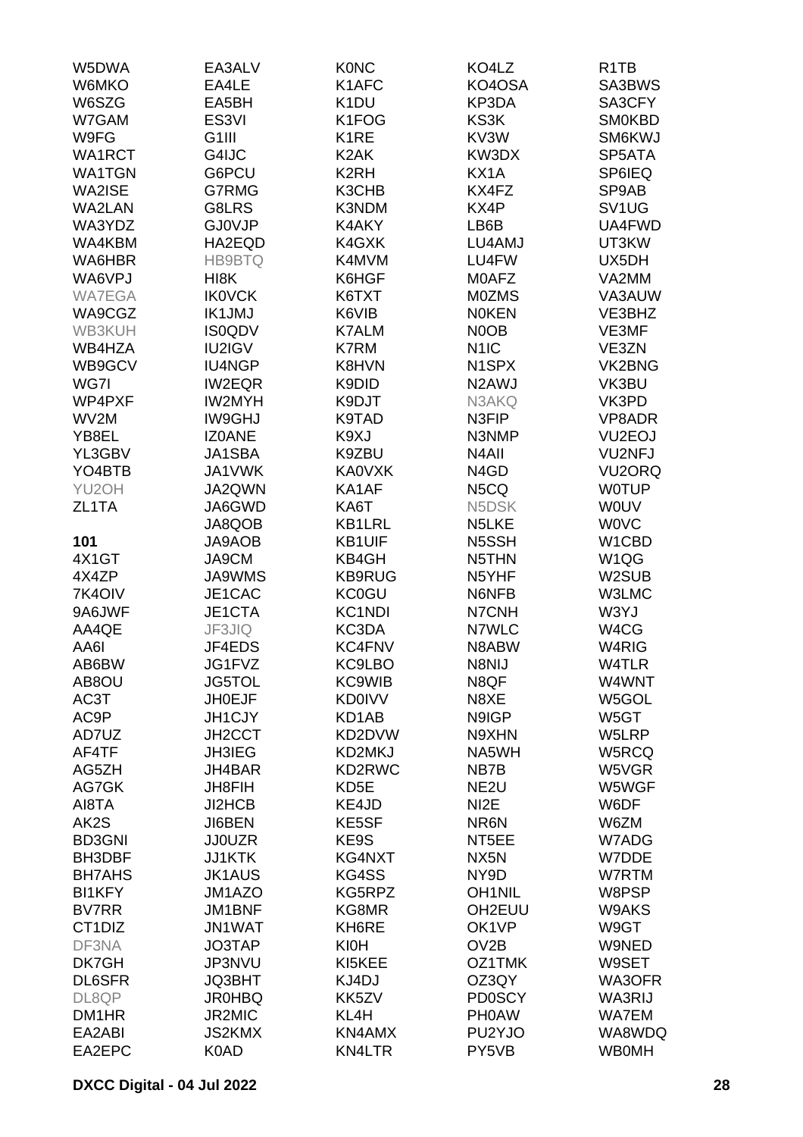| W5DWA              | EA3ALV             | <b>K0NC</b>       | KO4LZ                         | R <sub>1</sub> T <sub>B</sub> |
|--------------------|--------------------|-------------------|-------------------------------|-------------------------------|
| W6MKO              | EA4LE              | K1AFC             | KO4OSA                        | SA3BWS                        |
| W6SZG              | EA5BH              | K <sub>1</sub> DU | KP3DA                         | SA3CFY                        |
| W7GAM              | ES <sub>3VI</sub>  | K1FOG             | KS3K                          | <b>SM0KBD</b>                 |
| W9FG               | G <sub>1</sub> III | K <sub>1</sub> RE | KV3W                          | SM6KWJ                        |
|                    |                    |                   |                               |                               |
| WA1RCT             | G4IJC              | K <sub>2</sub> AK | KW3DX                         | SP5ATA                        |
| <b>WA1TGN</b>      | G6PCU              | K <sub>2</sub> RH | KX1A                          | SP6IEQ                        |
| WA2ISE             | G7RMG              | K3CHB             | KX4FZ                         | SP9AB                         |
| WA2LAN             | G8LRS              | K3NDM             | KX4P                          | SV <sub>1</sub> UG            |
| WA3YDZ             | <b>GJ0VJP</b>      | K4AKY             | LB6B                          | UA4FWD                        |
| WA4KBM             | HA2EQD             | K4GXK             | LU4AMJ                        | UT3KW                         |
| WA6HBR             | <b>HB9BTQ</b>      | K4MVM             | LU4FW                         | UX5DH                         |
| WA6VPJ             | HI8K               | K6HGF             | M0AFZ                         | VA2MM                         |
| <b>WA7EGA</b>      | <b>IKOVCK</b>      | K6TXT             | <b>MOZMS</b>                  | VA3AUW                        |
| WA9CGZ             | <b>IK1JMJ</b>      | K6VIB             | <b>NOKEN</b>                  | VE3BHZ                        |
| WB3KUH             | <b>IS0QDV</b>      | <b>K7ALM</b>      | N0OB                          | VE3MF                         |
| WB4HZA             | IU2IGV             | <b>K7RM</b>       | N <sub>1</sub> IC             | VE3ZN                         |
|                    |                    |                   |                               |                               |
| WB9GCV             | IU4NGP             | K8HVN             | N <sub>1</sub> SPX            | VK2BNG                        |
| WG7I               | <b>IW2EQR</b>      | K9DID             | N2AWJ                         | VK3BU                         |
| WP4PXF             | <b>IW2MYH</b>      | K9DJT             | N3AKQ                         | VK3PD                         |
| WV2M               | <b>IW9GHJ</b>      | K9TAD             | N3FIP                         | VP8ADR                        |
| YB8EL              | <b>IZ0ANE</b>      | K9XJ              | N3NMP                         | VU <sub>2</sub> EOJ           |
| YL3GBV             | JA1SBA             | K9ZBU             | N <sub>4</sub> All            | <b>VU2NFJ</b>                 |
| YO4BTB             | <b>JA1VWK</b>      | <b>KA0VXK</b>     | N <sub>4</sub> G <sub>D</sub> | VU <sub>2</sub> ORQ           |
| YU <sub>2</sub> OH | JA2QWN             | KA1AF             | N5CQ                          | <b>WOTUP</b>                  |
| ZL1TA              | JA6GWD             | KA6T              | N5DSK                         | <b>WOUV</b>                   |
|                    | JA8QOB             | <b>KB1LRL</b>     | N5LKE                         | <b>WOVC</b>                   |
| 101                | <b>JA9AOB</b>      | <b>KB1UIF</b>     | N5SSH                         | W1CBD                         |
| 4X1GT              | JA9CM              | KB4GH             | N5THN                         | W <sub>1</sub> QG             |
| 4X4ZP              | JA9WMS             | <b>KB9RUG</b>     | N5YHF                         | W2SUB                         |
|                    |                    |                   |                               | W3LMC                         |
| 7K4OIV             | JE1CAC             | <b>KC0GU</b>      | N6NFB                         |                               |
| 9A6JWF             | JE1CTA             | KC1NDI            | N7CNH                         | W3YJ                          |
| AA4QE              | JF3JIQ             | KC3DA             | N7WLC                         | W4CG                          |
| AA6I               | JF4EDS             | <b>KC4FNV</b>     | N8ABW                         | W4RIG                         |
| AB6BW              | JG1FVZ             | KC9LBO            | N8NIJ                         | W4TLR                         |
| AB8OU              | <b>JG5TOL</b>      | <b>KC9WIB</b>     | N8QF                          | W4WNT                         |
| AC3T               | <b>JH0EJF</b>      | <b>KD0IVV</b>     | N8XE                          | W5GOL                         |
| AC9P               | <b>JH1CJY</b>      | KD1AB             | N9IGP                         | W5GT                          |
| AD7UZ              | <b>JH2CCT</b>      | KD2DVW            | N9XHN                         | W5LRP                         |
| AF4TF              | <b>JH3IEG</b>      | KD2MKJ            | NA5WH                         | W5RCQ                         |
| AG5ZH              | <b>JH4BAR</b>      | KD2RWC            | NB7B                          | W5VGR                         |
| AG7GK              | <b>JH8FIH</b>      | KD <sub>5E</sub>  | NE <sub>2U</sub>              | W5WGF                         |
| AI8TA              | JI2HCB             | KE4JD             | NI <sub>2</sub> E             | W6DF                          |
| AK2S               | JI6BEN             | KE5SF             | NR6N                          | W6ZM                          |
| <b>BD3GNI</b>      | <b>JJ0UZR</b>      | KE9S              | NT5EE                         | W7ADG                         |
|                    |                    |                   |                               |                               |
| BH3DBF             | <b>JJ1KTK</b>      | KG4NXT            | NX5N                          | W7DDE                         |
| <b>BH7AHS</b>      | <b>JK1AUS</b>      | KG4SS             | NY9D                          | W7RTM                         |
| <b>BI1KFY</b>      | JM1AZO             | KG5RPZ            | <b>OH1NIL</b>                 | W8PSP                         |
| <b>BV7RR</b>       | <b>JM1BNF</b>      | KG8MR             | OH2EUU                        | W9AKS                         |
| CT1DIZ             | <b>JN1WAT</b>      | KH6RE             | OK1VP                         | W9GT                          |
| DF3NA              | JO3TAP             | <b>KI0H</b>       | OV <sub>2</sub> B             | W9NED                         |
| DK7GH              | JP3NVU             | KI5KEE            | OZ1TMK                        | W9SET                         |
| <b>DL6SFR</b>      | JQ3BHT             | KJ4DJ             | OZ3QY                         | WA3OFR                        |
| DL8QP              | <b>JR0HBQ</b>      | KK5ZV             | <b>PD0SCY</b>                 | <b>WA3RIJ</b>                 |
| DM1HR              | <b>JR2MIC</b>      | KL4H              | <b>PHOAW</b>                  | WA7EM                         |
| EA2ABI             | <b>JS2KMX</b>      | KN4AMX            | PU2YJO                        | WA8WDQ                        |
| EA2EPC             | K0AD               | <b>KN4LTR</b>     | PY5VB                         | <b>WB0MH</b>                  |
|                    |                    |                   |                               |                               |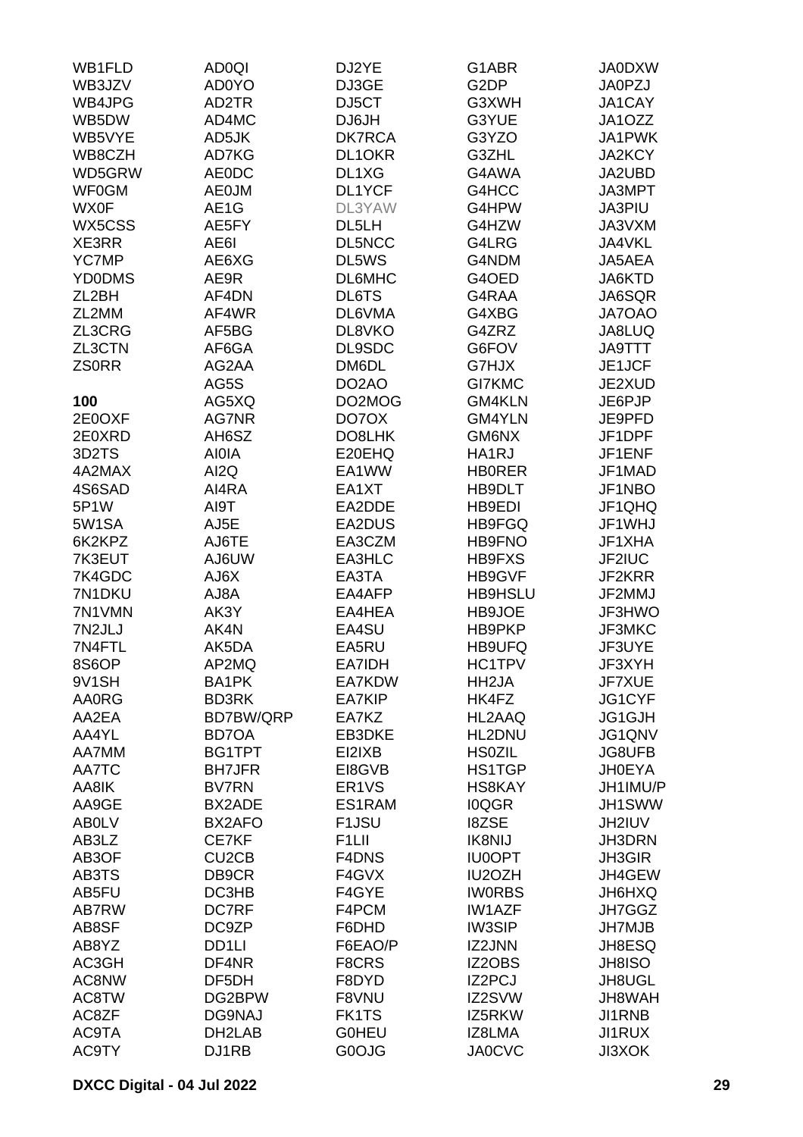| WB1FLD             | <b>AD0QI</b>                   | DJ2YE              | G1ABR              | <b>JA0DXW</b> |
|--------------------|--------------------------------|--------------------|--------------------|---------------|
| WB3JZV             | <b>AD0YO</b>                   | DJ3GE              | G <sub>2</sub> DP  | <b>JA0PZJ</b> |
| WB4JPG             | AD2TR                          | DJ5CT              | G3XWH              | JA1CAY        |
| WB5DW              | AD4MC                          | DJ6JH              | G3YUE              | JA1OZZ        |
| WB5VYE             | AD5JK                          | <b>DK7RCA</b>      | G3YZO              | JA1PWK        |
| WB8CZH             | AD7KG                          | DL1OKR             | G3ZHL              | JA2KCY        |
| WD5GRW             | <b>AE0DC</b>                   | DL1XG              | G4AWA              | JA2UBD        |
|                    |                                |                    |                    |               |
| <b>WF0GM</b>       | <b>AE0JM</b>                   | DL1YCF             | G4HCC              | JA3MPT        |
| <b>WX0F</b>        | AE1G                           | DL3YAW             | G4HPW              | JA3PIU        |
| WX5CSS             | AE5FY                          | DL5LH              | G4HZW              | JA3VXM        |
| XE3RR              | AE6I                           | DL5NCC             | G4LRG              | JA4VKL        |
| <b>YC7MP</b>       | AE6XG                          | DL5WS              | G4NDM              | JA5AEA        |
| <b>YD0DMS</b>      | AE9R                           | <b>DL6MHC</b>      | G4OED              | JA6KTD        |
| ZL <sub>2</sub> BH | AF4DN                          | DL6TS              | G4RAA              | JA6SQR        |
| ZL2MM              | AF4WR                          | DL6VMA             | G4XBG              | JA7OAO        |
| ZL3CRG             | AF5BG                          | DL8VKO             | G4ZRZ              | JA8LUQ        |
| ZL3CTN             | AF6GA                          | DL9SDC             | G6FOV              | <b>JA9TTT</b> |
| <b>ZSORR</b>       | AG2AA                          | DM6DL              | G7HJX              | JE1JCF        |
|                    | AG5S                           | DO <sub>2</sub> AO | GI7KMC             | JE2XUD        |
| 100                | AG5XQ                          | DO2MOG             | GM4KLN             | JE6PJP        |
| 2E0OXF             | AG7NR                          | DO7OX              | <b>GM4YLN</b>      | JE9PFD        |
| 2E0XRD             | AH6SZ                          | DO8LHK             | GM6NX              | JF1DPF        |
| 3D2TS              | <b>AIOIA</b>                   | E20EHQ             | HA1RJ              | JF1ENF        |
| 4A2MAX             | AI <sub>2</sub> Q              | EA1WW              | <b>HBORER</b>      | JF1MAD        |
| 4S6SAD             | AI4RA                          | EA1XT              | HB9DLT             | JF1NBO        |
| 5P1W               | AI9T                           | EA2DDE             | HB9EDI             | JF1QHQ        |
| 5W1SA              | AJ5E                           | EA2DUS             | <b>HB9FGQ</b>      | JF1WHJ        |
| 6K2KPZ             | AJ6TE                          | EA3CZM             | <b>HB9FNO</b>      | JF1XHA        |
| 7K3EUT             | AJ6UW                          | EA3HLC             | HB9FXS             | JF2IUC        |
| 7K4GDC             | AJ6X                           | EA3TA              | HB9GVF             | JF2KRR        |
| 7N1DKU             | AJ8A                           | EA4AFP             | <b>HB9HSLU</b>     | JF2MMJ        |
| 7N1VMN             | AK3Y                           | EA4HEA             | HB9JOE             | JF3HWO        |
| 7N2JLJ             | AK4N                           | EA4SU              | HB9PKP             | JF3MKC        |
| 7N4FTL             | AK5DA                          | EA5RU              | HB9UFQ             | JF3UYE        |
| 8S6OP              | AP2MQ                          | EA7IDH             | HC1TPV             | JF3XYH        |
| 9V1SH              | <b>BA1PK</b>                   | EA7KDW             | HH <sub>2</sub> JA | JF7XUE        |
| <b>AA0RG</b>       | <b>BD3RK</b>                   | EA7KIP             | HK4FZ              | JG1CYF        |
| AA2EA              | <b>BD7BW/QRP</b>               | EA7KZ              | HL2AAQ             | JG1GJH        |
| AA4YL              |                                |                    |                    |               |
| AA7MM              | <b>BD7OA</b><br>BG1TPT         | EB3DKE<br>EI2IXB   | HL2DNU             | JG1QNV        |
|                    |                                |                    | <b>HS0ZIL</b>      | <b>JG8UFB</b> |
| AA7TC              | <b>BH7JFR</b><br><b>BV7RN</b>  | EI8GVB             | <b>HS1TGP</b>      | <b>JH0EYA</b> |
| AA8IK              | <b>BX2ADE</b>                  | ER <sub>1</sub> VS | HS8KAY             | JH1IMU/P      |
| AA9GE              |                                | ES1RAM             | <b>IOQGR</b>       | JH1SWW        |
| <b>ABOLV</b>       | BX2AFO                         | F <sub>1</sub> JSU | <b>I8ZSE</b>       | JH2IUV        |
| AB3LZ              | CE7KF                          | F <sub>1</sub> LII | <b>IK8NIJ</b>      | JH3DRN        |
| AB3OF              | CU <sub>2</sub> C <sub>B</sub> | F4DNS              | <b>IU0OPT</b>      | <b>JH3GIR</b> |
| AB3TS              | DB9CR                          | F4GVX              | IU2OZH             | JH4GEW        |
| AB5FU              | DC3HB                          | F4GYE              | <b>IWORBS</b>      | JH6HXQ        |
| AB7RW              | <b>DC7RF</b>                   | F4PCM              | <b>IW1AZF</b>      | JH7GGZ        |
| AB8SF              | DC9ZP                          | F6DHD              | <b>IW3SIP</b>      | <b>JH7MJB</b> |
| AB8YZ              | DD1LI                          | F6EAO/P            | IZ2JNN             | JH8ESQ        |
| AC3GH              | DF4NR                          | F8CRS              | IZ2OBS             | JH8ISO        |
| AC8NW              | DF5DH                          | F8DYD              | IZ2PCJ             | JH8UGL        |
| AC8TW              | DG2BPW                         | F8VNU              | IZ2SVW             | JH8WAH        |
| AC8ZF              | DG9NAJ                         | FK1TS              | IZ5RKW             | JI1RNB        |
| AC9TA              | DH2LAB                         | <b>GOHEU</b>       | IZ8LMA             | JI1RUX        |
| AC9TY              | DJ1RB                          | G0OJG              | <b>JA0CVC</b>      | <b>JI3XOK</b> |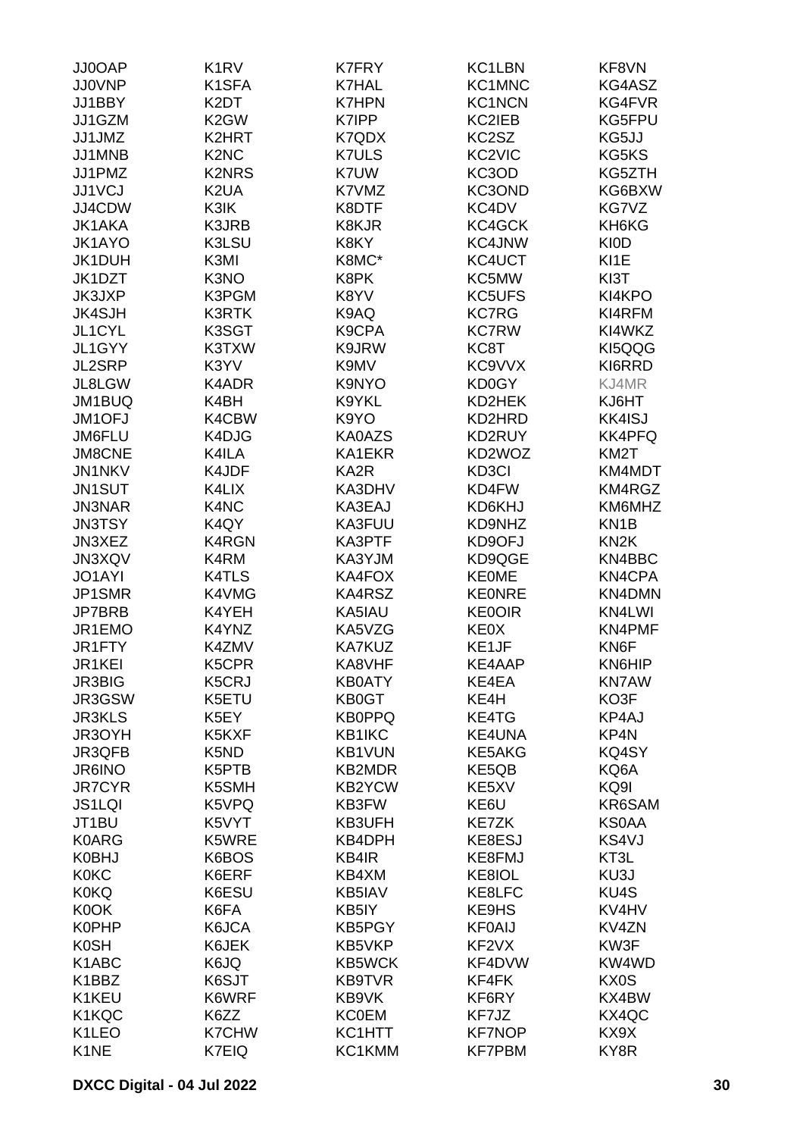| JJ0OAP            | K <sub>1</sub> R <sub>V</sub> | <b>K7FRY</b>  | KC1LBN        | KF8VN             |
|-------------------|-------------------------------|---------------|---------------|-------------------|
| <b>JJ0VNP</b>     | K1SFA                         | <b>K7HAL</b>  | KC1MNC        | KG4ASZ            |
| JJ1BBY            | K <sub>2</sub> DT             | <b>K7HPN</b>  | <b>KC1NCN</b> | KG4FVR            |
| JJ1GZM            | K <sub>2</sub> GW             | K7IPP         | <b>KC2IEB</b> | KG5FPU            |
|                   |                               |               |               |                   |
| JJ1JMZ            | K2HRT                         | K7QDX         | KC2SZ         | KG5JJ             |
| JJ1MNB            | K <sub>2</sub> N <sub>C</sub> | <b>K7ULS</b>  | KC2VIC        | KG5KS             |
| JJ1PMZ            | <b>K2NRS</b>                  | K7UW          | KC3OD         | KG5ZTH            |
| JJ1VCJ            | K <sub>2</sub> UA             | K7VMZ         | KC3OND        | KG6BXW            |
| JJ4CDW            | K3IK                          | K8DTF         | KC4DV         | KG7VZ             |
| <b>JK1AKA</b>     | K3JRB                         | K8KJR         | KC4GCK        | KH6KG             |
| JK1AYO            | K3LSU                         | K8KY          | KC4JNW        | <b>KIOD</b>       |
| JK1DUH            | K3MI                          | K8MC*         | KC4UCT        | KI1E              |
| JK1DZT            | K3NO                          | K8PK          | KC5MW         | KI3T              |
| JK3JXP            | K3PGM                         | K8YV          | KC5UFS        | KI4KPO            |
| <b>JK4SJH</b>     | <b>K3RTK</b>                  | K9AQ          | <b>KC7RG</b>  | KI4RFM            |
| JL1CYL            | K3SGT                         | K9CPA         | <b>KC7RW</b>  | KI4WKZ            |
|                   |                               |               |               |                   |
| JL1GYY            | K3TXW                         | K9JRW         | KC8T          | KI5QQG            |
| JL2SRP            | K3YV                          | K9MV          | KC9VVX        | KI6RRD            |
| JL8LGW            | K4ADR                         | K9NYO         | KD0GY         | KJ4MR             |
| JM1BUQ            | K4BH                          | K9YKL         | KD2HEK        | KJ6HT             |
| JM1OFJ            | K4CBW                         | K9YO          | KD2HRD        | <b>KK4ISJ</b>     |
| JM6FLU            | K4DJG                         | KA0AZS        | KD2RUY        | <b>KK4PFQ</b>     |
| <b>JM8CNE</b>     | K4ILA                         | KA1EKR        | KD2WOZ        | KM <sub>2</sub> T |
| <b>JN1NKV</b>     | K4JDF                         | KA2R          | KD3CI         | KM4MDT            |
| JN1SUT            | K4LIX                         | KA3DHV        | KD4FW         | KM4RGZ            |
| <b>JN3NAR</b>     | K4NC                          | KA3EAJ        | KD6KHJ        | KM6MHZ            |
| <b>JN3TSY</b>     | K4QY                          | KA3FUU        | KD9NHZ        | KN <sub>1</sub> B |
| JN3XEZ            | K4RGN                         | KA3PTF        | KD9OFJ        | KN <sub>2</sub> K |
|                   |                               |               |               |                   |
| JN3XQV            | K4RM                          | KA3YJM        | KD9QGE        | KN4BBC            |
| <b>JO1AYI</b>     | K4TLS                         | KA4FOX        | <b>KE0ME</b>  | KN4CPA            |
| JP1SMR            | K4VMG                         | KA4RSZ        | <b>KE0NRE</b> | KN4DMN            |
| JP7BRB            | K4YEH                         | KA5IAU        | <b>KE0OIR</b> | KN4LWI            |
| JR1EMO            | K4YNZ                         | KA5VZG        | KE0X          | <b>KN4PMF</b>     |
| JR1FTY            | K4ZMV                         | <b>KA7KUZ</b> | KE1JF         | KN6F              |
| JR1KEI            | K5CPR                         | KA8VHF        | <b>KE4AAP</b> | <b>KN6HIP</b>     |
| <b>JR3BIG</b>     | K5CRJ                         | <b>KB0ATY</b> | KE4EA         | <b>KN7AW</b>      |
| JR3GSW            | K5ETU                         | KB0GT         | KE4H          | KO3F              |
| <b>JR3KLS</b>     | K5EY                          | <b>KB0PPQ</b> | KE4TG         | KP4AJ             |
| JR3OYH            | K5KXF                         | KB1IKC        | <b>KE4UNA</b> | KP4N              |
| JR3QFB            | K5ND                          | <b>KB1VUN</b> | <b>KE5AKG</b> | KQ4SY             |
| JR6INO            | K5PTB                         | <b>KB2MDR</b> | KE5QB         | KQ6A              |
| <b>JR7CYR</b>     | K5SMH                         | <b>KB2YCW</b> | KE5XV         | KQ9I              |
| <b>JS1LQI</b>     | K5VPQ                         | KB3FW         | KE6U          | KR6SAM            |
|                   |                               |               |               | <b>KS0AA</b>      |
| JT1BU             | K5VYT                         | KB3UFH        | KE7ZK         |                   |
| <b>K0ARG</b>      | K5WRE                         | KB4DPH        | KE8ESJ        | KS4VJ             |
| K0BHJ             | K6BOS                         | KB4IR         | KE8FMJ        | KT3L              |
| <b>K0KC</b>       | K6ERF                         | KB4XM         | KE8IOL        | KU3J              |
| <b>K0KQ</b>       | K6ESU                         | KB5IAV        | KE8LFC        | KU4S              |
| K0OK              | K6FA                          | KB5IY         | KE9HS         | KV4HV             |
| <b>K0PHP</b>      | K6JCA                         | KB5PGY        | <b>KF0AIJ</b> | KV4ZN             |
| <b>K0SH</b>       | K6JEK                         | KB5VKP        | KF2VX         | KW3F              |
| K1ABC             | K6JQ                          | <b>KB5WCK</b> | KF4DVW        | KW4WD             |
| K1BBZ             | K6SJT                         | <b>KB9TVR</b> | KF4FK         | KX0S              |
| K1KEU             | K6WRF                         | KB9VK         | KF6RY         | KX4BW             |
| K1KQC             | K6ZZ                          | <b>KC0EM</b>  | KF7JZ         | KX4QC             |
| K1LEO             | <b>K7CHW</b>                  | KC1HTT        | <b>KF7NOP</b> | KX9X              |
| K <sub>1</sub> NE | K7EIQ                         | KC1KMM        | <b>KF7PBM</b> | KY8R              |
|                   |                               |               |               |                   |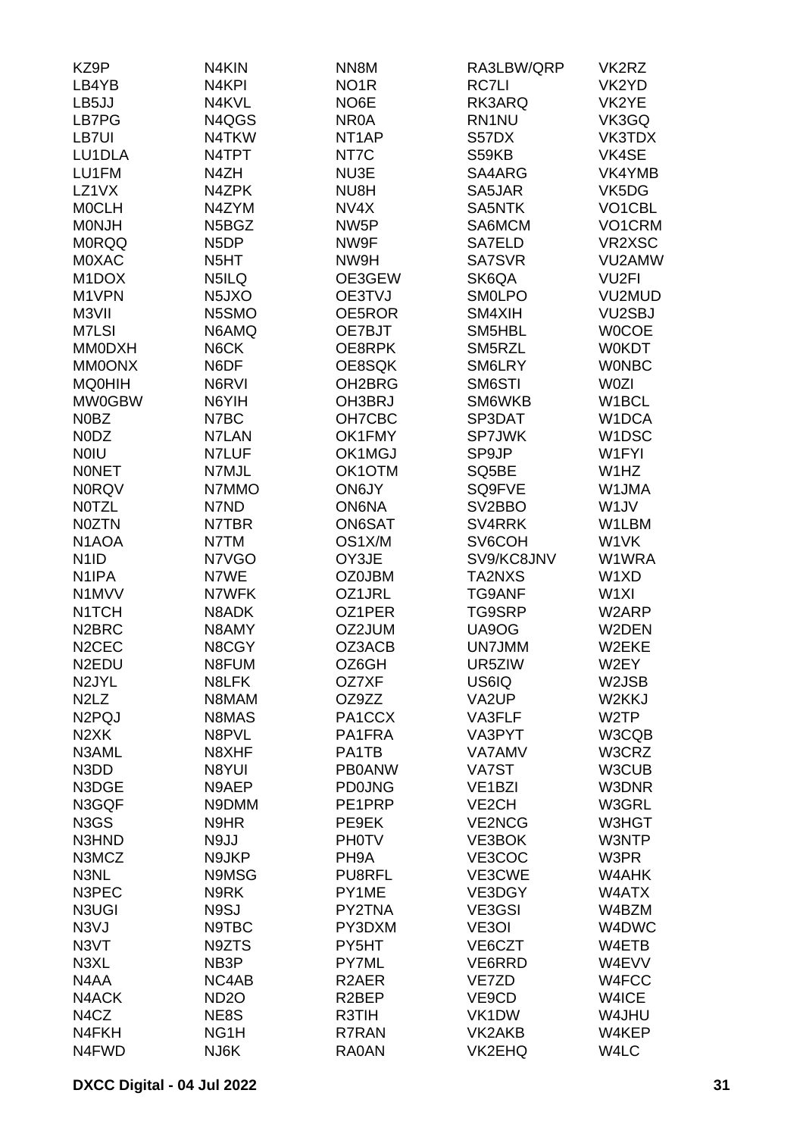| NO <sub>1</sub> R<br><b>RC7LI</b><br>LB4YB<br>N <sub>4</sub> KPI<br>VK2YD<br>LB5JJ<br>N4KVL<br>NO6E<br>RK3ARQ<br>VK2YE<br>LB7PG<br>N4QGS<br>NR <sub>0</sub> A<br>RN1NU<br>VK3GQ<br>LB7UI<br>N4TKW<br>NT <sub>1</sub> AP<br>S57DX<br>VK3TDX<br>LU1DLA<br>N4TPT<br>NT7C<br>S59KB<br>VK4SE<br>LU1FM<br>N4ZH<br>NU3E<br>SA4ARG<br>VK4YMB<br>LZ1VX<br>N4ZPK<br>NU8H<br>SA5JAR<br>VK5DG<br><b>MOCLH</b><br>N4ZYM<br>NV4X<br>SA5NTK<br>VO1CBL<br><b>MONJH</b><br>N5BGZ<br>NW <sub>5</sub> P<br>SA6MCM<br>VO1CRM<br>VR2XSC<br><b>MORQQ</b><br>N <sub>5</sub> DP<br>NW9F<br>SA7ELD<br><b>MOXAC</b><br>N <sub>5</sub> HT<br>NW9H<br>SA7SVR<br>VU2AMW<br>VU <sub>2FI</sub><br>M <sub>1</sub> DOX<br>N5ILQ<br>OE3GEW<br>SK6QA<br>M1VPN<br>VU2MUD<br>N <sub>5</sub> J <sub>X</sub> O<br>OE3TVJ<br><b>SMOLPO</b><br>M3VII<br>N5SMO<br>OE5ROR<br>SM4XIH<br><b>VU2SBJ</b><br>M7LSI<br>N6AMQ<br>OE7BJT<br>SM5HBL<br><b>WOCOE</b><br><b>MM0DXH</b><br>N6CK<br>OE8RPK<br>SM5RZL<br><b>W0KDT</b><br>N6DF<br><b>MM0ONX</b><br>OE8SQK<br>SM6LRY<br><b>WONBC</b><br><b>MQ0HIH</b><br>N6RVI<br>OH <sub>2</sub> BRG<br>SM6STI<br>W0ZI<br><b>MW0GBW</b><br>N6YIH<br>OH3BRJ<br>SM6WKB<br>W1BCL<br>N0BZ<br>N7BC<br>OH7CBC<br>SP3DAT<br>W1DCA<br>SP7JWK<br>N0DZ<br>N7LAN<br>OK1FMY<br>W <sub>1</sub> DSC<br>OK1MGJ<br><b>NOIU</b><br>N7LUF<br>SP9JP<br>W1FYI<br><b>NONET</b><br>OK1OTM<br>N7MJL<br>SQ5BE<br>W1HZ<br><b>N0RQV</b><br>N7MMO<br>ON6JY<br>SQ9FVE<br>W1JMA<br><b>NOTZL</b><br>N7ND<br><b>ON6NA</b><br>SV2BBO<br>W <sub>1</sub> JV<br><b>NOZTN</b><br>N7TBR<br>ON6SAT<br>SV4RRK<br>W1LBM<br>N <sub>1</sub> AOA<br>OS1X/M<br>SV6COH<br>W1VK<br>N7TM<br>SV9/KC8JNV<br>N <sub>1</sub> ID<br>N7VGO<br>OY3JE<br>W1WRA<br>N <sub>1</sub> IPA<br>N7WE<br><b>OZ0JBM</b><br>TA2NXS<br>W1XD<br>N1MVV<br>N7WFK<br>OZ1JRL<br><b>TG9ANF</b><br>W <sub>1XI</sub><br>N1TCH<br>N8ADK<br>OZ1PER<br>TG9SRP<br>W2ARP<br>N <sub>2</sub> BRC<br>N8AMY<br>OZ2JUM<br>UA9OG<br>W2DEN<br>N <sub>2</sub> CEC<br>OZ3ACB<br>UN7JMM<br>W2EKE<br>N8CGY<br>OZ6GH<br>N <sub>2</sub> EDU<br>N8FUM<br>UR5ZIW<br>W2EY<br>N <sub>2JYL</sub><br>N8LFK<br>US6IQ<br>W2JSB<br>OZ7XF<br>N <sub>2</sub> L <sub>Z</sub><br>N8MAM<br>OZ9ZZ<br>VA2UP<br>W2KKJ<br>N <sub>2</sub> PQJ<br>N8MAS<br>PA1CCX<br>VA3FLF<br>W <sub>2</sub> TP<br>N <sub>2</sub> XK<br>N8PVL<br>PA1FRA<br>W3CQB<br>VA3PYT<br>N3AML<br>PA1TB<br><b>VA7AMV</b><br>W3CRZ<br>N8XHF<br>N3DD<br>N8YUI<br><b>PB0ANW</b><br>W3CUB<br>VA7ST<br>N3DGE<br>N9AEP<br><b>PD0JNG</b><br>W3DNR<br>VE <sub>1</sub> BZI<br>N3GQF<br>N9DMM<br>PE1PRP<br>VE <sub>2</sub> CH<br>W3GRL<br>N3GS<br>N9HR<br><b>VE2NCG</b><br>W3HGT<br>PE9EK<br>N3HND<br>N9JJ<br><b>PH0TV</b><br>VE3BOK<br>W3NTP<br>VE3COC<br>N3MCZ<br>N9JKP<br>PH <sub>9</sub> A<br>W3PR<br>N3NL<br>N9MSG<br>PU8RFL<br>VE3CWE<br>W4AHK<br>N3PEC<br>N9RK<br>PY1ME<br>VE3DGY<br>W4ATX<br>N3UGI<br>N9SJ<br>PY2TNA<br>VE3GSI<br>W4BZM<br>N <sub>3</sub> VJ<br>N9TBC<br>PY3DXM<br>VE3OI<br>W4DWC<br>N3VT<br>N9ZTS<br>VE6CZT<br>W4ETB<br>PY5HT<br>N3XL<br>NB3P<br><b>PY7ML</b><br>VE6RRD<br>W4EVV<br>N4AA<br>NC4AB<br>R <sub>2</sub> AER<br>W4FCC<br>VE7ZD<br>N4ACK<br><b>ND2O</b><br>R <sub>2</sub> BEP<br>VE9CD<br>W4ICE<br>N4CZ<br>NE8S<br>R3TIH<br>VK1DW<br>W4JHU<br>NG1H<br>R7RAN<br>VK2AKB<br>W4KEP<br>N4FKH<br>N4FWD<br>NJ6K<br>RA0AN<br><b>VK2EHQ</b><br>W4LC | KZ9P | N4KIN | NN8M | RA3LBW/QRP | VK2RZ |
|----------------------------------------------------------------------------------------------------------------------------------------------------------------------------------------------------------------------------------------------------------------------------------------------------------------------------------------------------------------------------------------------------------------------------------------------------------------------------------------------------------------------------------------------------------------------------------------------------------------------------------------------------------------------------------------------------------------------------------------------------------------------------------------------------------------------------------------------------------------------------------------------------------------------------------------------------------------------------------------------------------------------------------------------------------------------------------------------------------------------------------------------------------------------------------------------------------------------------------------------------------------------------------------------------------------------------------------------------------------------------------------------------------------------------------------------------------------------------------------------------------------------------------------------------------------------------------------------------------------------------------------------------------------------------------------------------------------------------------------------------------------------------------------------------------------------------------------------------------------------------------------------------------------------------------------------------------------------------------------------------------------------------------------------------------------------------------------------------------------------------------------------------------------------------------------------------------------------------------------------------------------------------------------------------------------------------------------------------------------------------------------------------------------------------------------------------------------------------------------------------------------------------------------------------------------------------------------------------------------------------------------------------------------------------------------------------------------------------------------------------------------------------------------------------------------------------------------------------------------------------------------------------------------------------------------------------------------------------------------------------------------------------------------------------------------------------------------------------------------------------------------------------------------------------------------------------------------------------------------------------------------------------------------------------------------|------|-------|------|------------|-------|
|                                                                                                                                                                                                                                                                                                                                                                                                                                                                                                                                                                                                                                                                                                                                                                                                                                                                                                                                                                                                                                                                                                                                                                                                                                                                                                                                                                                                                                                                                                                                                                                                                                                                                                                                                                                                                                                                                                                                                                                                                                                                                                                                                                                                                                                                                                                                                                                                                                                                                                                                                                                                                                                                                                                                                                                                                                                                                                                                                                                                                                                                                                                                                                                                                                                                                                                |      |       |      |            |       |
|                                                                                                                                                                                                                                                                                                                                                                                                                                                                                                                                                                                                                                                                                                                                                                                                                                                                                                                                                                                                                                                                                                                                                                                                                                                                                                                                                                                                                                                                                                                                                                                                                                                                                                                                                                                                                                                                                                                                                                                                                                                                                                                                                                                                                                                                                                                                                                                                                                                                                                                                                                                                                                                                                                                                                                                                                                                                                                                                                                                                                                                                                                                                                                                                                                                                                                                |      |       |      |            |       |
|                                                                                                                                                                                                                                                                                                                                                                                                                                                                                                                                                                                                                                                                                                                                                                                                                                                                                                                                                                                                                                                                                                                                                                                                                                                                                                                                                                                                                                                                                                                                                                                                                                                                                                                                                                                                                                                                                                                                                                                                                                                                                                                                                                                                                                                                                                                                                                                                                                                                                                                                                                                                                                                                                                                                                                                                                                                                                                                                                                                                                                                                                                                                                                                                                                                                                                                |      |       |      |            |       |
|                                                                                                                                                                                                                                                                                                                                                                                                                                                                                                                                                                                                                                                                                                                                                                                                                                                                                                                                                                                                                                                                                                                                                                                                                                                                                                                                                                                                                                                                                                                                                                                                                                                                                                                                                                                                                                                                                                                                                                                                                                                                                                                                                                                                                                                                                                                                                                                                                                                                                                                                                                                                                                                                                                                                                                                                                                                                                                                                                                                                                                                                                                                                                                                                                                                                                                                |      |       |      |            |       |
|                                                                                                                                                                                                                                                                                                                                                                                                                                                                                                                                                                                                                                                                                                                                                                                                                                                                                                                                                                                                                                                                                                                                                                                                                                                                                                                                                                                                                                                                                                                                                                                                                                                                                                                                                                                                                                                                                                                                                                                                                                                                                                                                                                                                                                                                                                                                                                                                                                                                                                                                                                                                                                                                                                                                                                                                                                                                                                                                                                                                                                                                                                                                                                                                                                                                                                                |      |       |      |            |       |
|                                                                                                                                                                                                                                                                                                                                                                                                                                                                                                                                                                                                                                                                                                                                                                                                                                                                                                                                                                                                                                                                                                                                                                                                                                                                                                                                                                                                                                                                                                                                                                                                                                                                                                                                                                                                                                                                                                                                                                                                                                                                                                                                                                                                                                                                                                                                                                                                                                                                                                                                                                                                                                                                                                                                                                                                                                                                                                                                                                                                                                                                                                                                                                                                                                                                                                                |      |       |      |            |       |
|                                                                                                                                                                                                                                                                                                                                                                                                                                                                                                                                                                                                                                                                                                                                                                                                                                                                                                                                                                                                                                                                                                                                                                                                                                                                                                                                                                                                                                                                                                                                                                                                                                                                                                                                                                                                                                                                                                                                                                                                                                                                                                                                                                                                                                                                                                                                                                                                                                                                                                                                                                                                                                                                                                                                                                                                                                                                                                                                                                                                                                                                                                                                                                                                                                                                                                                |      |       |      |            |       |
|                                                                                                                                                                                                                                                                                                                                                                                                                                                                                                                                                                                                                                                                                                                                                                                                                                                                                                                                                                                                                                                                                                                                                                                                                                                                                                                                                                                                                                                                                                                                                                                                                                                                                                                                                                                                                                                                                                                                                                                                                                                                                                                                                                                                                                                                                                                                                                                                                                                                                                                                                                                                                                                                                                                                                                                                                                                                                                                                                                                                                                                                                                                                                                                                                                                                                                                |      |       |      |            |       |
|                                                                                                                                                                                                                                                                                                                                                                                                                                                                                                                                                                                                                                                                                                                                                                                                                                                                                                                                                                                                                                                                                                                                                                                                                                                                                                                                                                                                                                                                                                                                                                                                                                                                                                                                                                                                                                                                                                                                                                                                                                                                                                                                                                                                                                                                                                                                                                                                                                                                                                                                                                                                                                                                                                                                                                                                                                                                                                                                                                                                                                                                                                                                                                                                                                                                                                                |      |       |      |            |       |
|                                                                                                                                                                                                                                                                                                                                                                                                                                                                                                                                                                                                                                                                                                                                                                                                                                                                                                                                                                                                                                                                                                                                                                                                                                                                                                                                                                                                                                                                                                                                                                                                                                                                                                                                                                                                                                                                                                                                                                                                                                                                                                                                                                                                                                                                                                                                                                                                                                                                                                                                                                                                                                                                                                                                                                                                                                                                                                                                                                                                                                                                                                                                                                                                                                                                                                                |      |       |      |            |       |
|                                                                                                                                                                                                                                                                                                                                                                                                                                                                                                                                                                                                                                                                                                                                                                                                                                                                                                                                                                                                                                                                                                                                                                                                                                                                                                                                                                                                                                                                                                                                                                                                                                                                                                                                                                                                                                                                                                                                                                                                                                                                                                                                                                                                                                                                                                                                                                                                                                                                                                                                                                                                                                                                                                                                                                                                                                                                                                                                                                                                                                                                                                                                                                                                                                                                                                                |      |       |      |            |       |
|                                                                                                                                                                                                                                                                                                                                                                                                                                                                                                                                                                                                                                                                                                                                                                                                                                                                                                                                                                                                                                                                                                                                                                                                                                                                                                                                                                                                                                                                                                                                                                                                                                                                                                                                                                                                                                                                                                                                                                                                                                                                                                                                                                                                                                                                                                                                                                                                                                                                                                                                                                                                                                                                                                                                                                                                                                                                                                                                                                                                                                                                                                                                                                                                                                                                                                                |      |       |      |            |       |
|                                                                                                                                                                                                                                                                                                                                                                                                                                                                                                                                                                                                                                                                                                                                                                                                                                                                                                                                                                                                                                                                                                                                                                                                                                                                                                                                                                                                                                                                                                                                                                                                                                                                                                                                                                                                                                                                                                                                                                                                                                                                                                                                                                                                                                                                                                                                                                                                                                                                                                                                                                                                                                                                                                                                                                                                                                                                                                                                                                                                                                                                                                                                                                                                                                                                                                                |      |       |      |            |       |
|                                                                                                                                                                                                                                                                                                                                                                                                                                                                                                                                                                                                                                                                                                                                                                                                                                                                                                                                                                                                                                                                                                                                                                                                                                                                                                                                                                                                                                                                                                                                                                                                                                                                                                                                                                                                                                                                                                                                                                                                                                                                                                                                                                                                                                                                                                                                                                                                                                                                                                                                                                                                                                                                                                                                                                                                                                                                                                                                                                                                                                                                                                                                                                                                                                                                                                                |      |       |      |            |       |
|                                                                                                                                                                                                                                                                                                                                                                                                                                                                                                                                                                                                                                                                                                                                                                                                                                                                                                                                                                                                                                                                                                                                                                                                                                                                                                                                                                                                                                                                                                                                                                                                                                                                                                                                                                                                                                                                                                                                                                                                                                                                                                                                                                                                                                                                                                                                                                                                                                                                                                                                                                                                                                                                                                                                                                                                                                                                                                                                                                                                                                                                                                                                                                                                                                                                                                                |      |       |      |            |       |
|                                                                                                                                                                                                                                                                                                                                                                                                                                                                                                                                                                                                                                                                                                                                                                                                                                                                                                                                                                                                                                                                                                                                                                                                                                                                                                                                                                                                                                                                                                                                                                                                                                                                                                                                                                                                                                                                                                                                                                                                                                                                                                                                                                                                                                                                                                                                                                                                                                                                                                                                                                                                                                                                                                                                                                                                                                                                                                                                                                                                                                                                                                                                                                                                                                                                                                                |      |       |      |            |       |
|                                                                                                                                                                                                                                                                                                                                                                                                                                                                                                                                                                                                                                                                                                                                                                                                                                                                                                                                                                                                                                                                                                                                                                                                                                                                                                                                                                                                                                                                                                                                                                                                                                                                                                                                                                                                                                                                                                                                                                                                                                                                                                                                                                                                                                                                                                                                                                                                                                                                                                                                                                                                                                                                                                                                                                                                                                                                                                                                                                                                                                                                                                                                                                                                                                                                                                                |      |       |      |            |       |
|                                                                                                                                                                                                                                                                                                                                                                                                                                                                                                                                                                                                                                                                                                                                                                                                                                                                                                                                                                                                                                                                                                                                                                                                                                                                                                                                                                                                                                                                                                                                                                                                                                                                                                                                                                                                                                                                                                                                                                                                                                                                                                                                                                                                                                                                                                                                                                                                                                                                                                                                                                                                                                                                                                                                                                                                                                                                                                                                                                                                                                                                                                                                                                                                                                                                                                                |      |       |      |            |       |
|                                                                                                                                                                                                                                                                                                                                                                                                                                                                                                                                                                                                                                                                                                                                                                                                                                                                                                                                                                                                                                                                                                                                                                                                                                                                                                                                                                                                                                                                                                                                                                                                                                                                                                                                                                                                                                                                                                                                                                                                                                                                                                                                                                                                                                                                                                                                                                                                                                                                                                                                                                                                                                                                                                                                                                                                                                                                                                                                                                                                                                                                                                                                                                                                                                                                                                                |      |       |      |            |       |
|                                                                                                                                                                                                                                                                                                                                                                                                                                                                                                                                                                                                                                                                                                                                                                                                                                                                                                                                                                                                                                                                                                                                                                                                                                                                                                                                                                                                                                                                                                                                                                                                                                                                                                                                                                                                                                                                                                                                                                                                                                                                                                                                                                                                                                                                                                                                                                                                                                                                                                                                                                                                                                                                                                                                                                                                                                                                                                                                                                                                                                                                                                                                                                                                                                                                                                                |      |       |      |            |       |
|                                                                                                                                                                                                                                                                                                                                                                                                                                                                                                                                                                                                                                                                                                                                                                                                                                                                                                                                                                                                                                                                                                                                                                                                                                                                                                                                                                                                                                                                                                                                                                                                                                                                                                                                                                                                                                                                                                                                                                                                                                                                                                                                                                                                                                                                                                                                                                                                                                                                                                                                                                                                                                                                                                                                                                                                                                                                                                                                                                                                                                                                                                                                                                                                                                                                                                                |      |       |      |            |       |
|                                                                                                                                                                                                                                                                                                                                                                                                                                                                                                                                                                                                                                                                                                                                                                                                                                                                                                                                                                                                                                                                                                                                                                                                                                                                                                                                                                                                                                                                                                                                                                                                                                                                                                                                                                                                                                                                                                                                                                                                                                                                                                                                                                                                                                                                                                                                                                                                                                                                                                                                                                                                                                                                                                                                                                                                                                                                                                                                                                                                                                                                                                                                                                                                                                                                                                                |      |       |      |            |       |
|                                                                                                                                                                                                                                                                                                                                                                                                                                                                                                                                                                                                                                                                                                                                                                                                                                                                                                                                                                                                                                                                                                                                                                                                                                                                                                                                                                                                                                                                                                                                                                                                                                                                                                                                                                                                                                                                                                                                                                                                                                                                                                                                                                                                                                                                                                                                                                                                                                                                                                                                                                                                                                                                                                                                                                                                                                                                                                                                                                                                                                                                                                                                                                                                                                                                                                                |      |       |      |            |       |
|                                                                                                                                                                                                                                                                                                                                                                                                                                                                                                                                                                                                                                                                                                                                                                                                                                                                                                                                                                                                                                                                                                                                                                                                                                                                                                                                                                                                                                                                                                                                                                                                                                                                                                                                                                                                                                                                                                                                                                                                                                                                                                                                                                                                                                                                                                                                                                                                                                                                                                                                                                                                                                                                                                                                                                                                                                                                                                                                                                                                                                                                                                                                                                                                                                                                                                                |      |       |      |            |       |
|                                                                                                                                                                                                                                                                                                                                                                                                                                                                                                                                                                                                                                                                                                                                                                                                                                                                                                                                                                                                                                                                                                                                                                                                                                                                                                                                                                                                                                                                                                                                                                                                                                                                                                                                                                                                                                                                                                                                                                                                                                                                                                                                                                                                                                                                                                                                                                                                                                                                                                                                                                                                                                                                                                                                                                                                                                                                                                                                                                                                                                                                                                                                                                                                                                                                                                                |      |       |      |            |       |
|                                                                                                                                                                                                                                                                                                                                                                                                                                                                                                                                                                                                                                                                                                                                                                                                                                                                                                                                                                                                                                                                                                                                                                                                                                                                                                                                                                                                                                                                                                                                                                                                                                                                                                                                                                                                                                                                                                                                                                                                                                                                                                                                                                                                                                                                                                                                                                                                                                                                                                                                                                                                                                                                                                                                                                                                                                                                                                                                                                                                                                                                                                                                                                                                                                                                                                                |      |       |      |            |       |
|                                                                                                                                                                                                                                                                                                                                                                                                                                                                                                                                                                                                                                                                                                                                                                                                                                                                                                                                                                                                                                                                                                                                                                                                                                                                                                                                                                                                                                                                                                                                                                                                                                                                                                                                                                                                                                                                                                                                                                                                                                                                                                                                                                                                                                                                                                                                                                                                                                                                                                                                                                                                                                                                                                                                                                                                                                                                                                                                                                                                                                                                                                                                                                                                                                                                                                                |      |       |      |            |       |
|                                                                                                                                                                                                                                                                                                                                                                                                                                                                                                                                                                                                                                                                                                                                                                                                                                                                                                                                                                                                                                                                                                                                                                                                                                                                                                                                                                                                                                                                                                                                                                                                                                                                                                                                                                                                                                                                                                                                                                                                                                                                                                                                                                                                                                                                                                                                                                                                                                                                                                                                                                                                                                                                                                                                                                                                                                                                                                                                                                                                                                                                                                                                                                                                                                                                                                                |      |       |      |            |       |
|                                                                                                                                                                                                                                                                                                                                                                                                                                                                                                                                                                                                                                                                                                                                                                                                                                                                                                                                                                                                                                                                                                                                                                                                                                                                                                                                                                                                                                                                                                                                                                                                                                                                                                                                                                                                                                                                                                                                                                                                                                                                                                                                                                                                                                                                                                                                                                                                                                                                                                                                                                                                                                                                                                                                                                                                                                                                                                                                                                                                                                                                                                                                                                                                                                                                                                                |      |       |      |            |       |
|                                                                                                                                                                                                                                                                                                                                                                                                                                                                                                                                                                                                                                                                                                                                                                                                                                                                                                                                                                                                                                                                                                                                                                                                                                                                                                                                                                                                                                                                                                                                                                                                                                                                                                                                                                                                                                                                                                                                                                                                                                                                                                                                                                                                                                                                                                                                                                                                                                                                                                                                                                                                                                                                                                                                                                                                                                                                                                                                                                                                                                                                                                                                                                                                                                                                                                                |      |       |      |            |       |
|                                                                                                                                                                                                                                                                                                                                                                                                                                                                                                                                                                                                                                                                                                                                                                                                                                                                                                                                                                                                                                                                                                                                                                                                                                                                                                                                                                                                                                                                                                                                                                                                                                                                                                                                                                                                                                                                                                                                                                                                                                                                                                                                                                                                                                                                                                                                                                                                                                                                                                                                                                                                                                                                                                                                                                                                                                                                                                                                                                                                                                                                                                                                                                                                                                                                                                                |      |       |      |            |       |
|                                                                                                                                                                                                                                                                                                                                                                                                                                                                                                                                                                                                                                                                                                                                                                                                                                                                                                                                                                                                                                                                                                                                                                                                                                                                                                                                                                                                                                                                                                                                                                                                                                                                                                                                                                                                                                                                                                                                                                                                                                                                                                                                                                                                                                                                                                                                                                                                                                                                                                                                                                                                                                                                                                                                                                                                                                                                                                                                                                                                                                                                                                                                                                                                                                                                                                                |      |       |      |            |       |
|                                                                                                                                                                                                                                                                                                                                                                                                                                                                                                                                                                                                                                                                                                                                                                                                                                                                                                                                                                                                                                                                                                                                                                                                                                                                                                                                                                                                                                                                                                                                                                                                                                                                                                                                                                                                                                                                                                                                                                                                                                                                                                                                                                                                                                                                                                                                                                                                                                                                                                                                                                                                                                                                                                                                                                                                                                                                                                                                                                                                                                                                                                                                                                                                                                                                                                                |      |       |      |            |       |
|                                                                                                                                                                                                                                                                                                                                                                                                                                                                                                                                                                                                                                                                                                                                                                                                                                                                                                                                                                                                                                                                                                                                                                                                                                                                                                                                                                                                                                                                                                                                                                                                                                                                                                                                                                                                                                                                                                                                                                                                                                                                                                                                                                                                                                                                                                                                                                                                                                                                                                                                                                                                                                                                                                                                                                                                                                                                                                                                                                                                                                                                                                                                                                                                                                                                                                                |      |       |      |            |       |
|                                                                                                                                                                                                                                                                                                                                                                                                                                                                                                                                                                                                                                                                                                                                                                                                                                                                                                                                                                                                                                                                                                                                                                                                                                                                                                                                                                                                                                                                                                                                                                                                                                                                                                                                                                                                                                                                                                                                                                                                                                                                                                                                                                                                                                                                                                                                                                                                                                                                                                                                                                                                                                                                                                                                                                                                                                                                                                                                                                                                                                                                                                                                                                                                                                                                                                                |      |       |      |            |       |
|                                                                                                                                                                                                                                                                                                                                                                                                                                                                                                                                                                                                                                                                                                                                                                                                                                                                                                                                                                                                                                                                                                                                                                                                                                                                                                                                                                                                                                                                                                                                                                                                                                                                                                                                                                                                                                                                                                                                                                                                                                                                                                                                                                                                                                                                                                                                                                                                                                                                                                                                                                                                                                                                                                                                                                                                                                                                                                                                                                                                                                                                                                                                                                                                                                                                                                                |      |       |      |            |       |
|                                                                                                                                                                                                                                                                                                                                                                                                                                                                                                                                                                                                                                                                                                                                                                                                                                                                                                                                                                                                                                                                                                                                                                                                                                                                                                                                                                                                                                                                                                                                                                                                                                                                                                                                                                                                                                                                                                                                                                                                                                                                                                                                                                                                                                                                                                                                                                                                                                                                                                                                                                                                                                                                                                                                                                                                                                                                                                                                                                                                                                                                                                                                                                                                                                                                                                                |      |       |      |            |       |
|                                                                                                                                                                                                                                                                                                                                                                                                                                                                                                                                                                                                                                                                                                                                                                                                                                                                                                                                                                                                                                                                                                                                                                                                                                                                                                                                                                                                                                                                                                                                                                                                                                                                                                                                                                                                                                                                                                                                                                                                                                                                                                                                                                                                                                                                                                                                                                                                                                                                                                                                                                                                                                                                                                                                                                                                                                                                                                                                                                                                                                                                                                                                                                                                                                                                                                                |      |       |      |            |       |
|                                                                                                                                                                                                                                                                                                                                                                                                                                                                                                                                                                                                                                                                                                                                                                                                                                                                                                                                                                                                                                                                                                                                                                                                                                                                                                                                                                                                                                                                                                                                                                                                                                                                                                                                                                                                                                                                                                                                                                                                                                                                                                                                                                                                                                                                                                                                                                                                                                                                                                                                                                                                                                                                                                                                                                                                                                                                                                                                                                                                                                                                                                                                                                                                                                                                                                                |      |       |      |            |       |
|                                                                                                                                                                                                                                                                                                                                                                                                                                                                                                                                                                                                                                                                                                                                                                                                                                                                                                                                                                                                                                                                                                                                                                                                                                                                                                                                                                                                                                                                                                                                                                                                                                                                                                                                                                                                                                                                                                                                                                                                                                                                                                                                                                                                                                                                                                                                                                                                                                                                                                                                                                                                                                                                                                                                                                                                                                                                                                                                                                                                                                                                                                                                                                                                                                                                                                                |      |       |      |            |       |
|                                                                                                                                                                                                                                                                                                                                                                                                                                                                                                                                                                                                                                                                                                                                                                                                                                                                                                                                                                                                                                                                                                                                                                                                                                                                                                                                                                                                                                                                                                                                                                                                                                                                                                                                                                                                                                                                                                                                                                                                                                                                                                                                                                                                                                                                                                                                                                                                                                                                                                                                                                                                                                                                                                                                                                                                                                                                                                                                                                                                                                                                                                                                                                                                                                                                                                                |      |       |      |            |       |
|                                                                                                                                                                                                                                                                                                                                                                                                                                                                                                                                                                                                                                                                                                                                                                                                                                                                                                                                                                                                                                                                                                                                                                                                                                                                                                                                                                                                                                                                                                                                                                                                                                                                                                                                                                                                                                                                                                                                                                                                                                                                                                                                                                                                                                                                                                                                                                                                                                                                                                                                                                                                                                                                                                                                                                                                                                                                                                                                                                                                                                                                                                                                                                                                                                                                                                                |      |       |      |            |       |
|                                                                                                                                                                                                                                                                                                                                                                                                                                                                                                                                                                                                                                                                                                                                                                                                                                                                                                                                                                                                                                                                                                                                                                                                                                                                                                                                                                                                                                                                                                                                                                                                                                                                                                                                                                                                                                                                                                                                                                                                                                                                                                                                                                                                                                                                                                                                                                                                                                                                                                                                                                                                                                                                                                                                                                                                                                                                                                                                                                                                                                                                                                                                                                                                                                                                                                                |      |       |      |            |       |
|                                                                                                                                                                                                                                                                                                                                                                                                                                                                                                                                                                                                                                                                                                                                                                                                                                                                                                                                                                                                                                                                                                                                                                                                                                                                                                                                                                                                                                                                                                                                                                                                                                                                                                                                                                                                                                                                                                                                                                                                                                                                                                                                                                                                                                                                                                                                                                                                                                                                                                                                                                                                                                                                                                                                                                                                                                                                                                                                                                                                                                                                                                                                                                                                                                                                                                                |      |       |      |            |       |
|                                                                                                                                                                                                                                                                                                                                                                                                                                                                                                                                                                                                                                                                                                                                                                                                                                                                                                                                                                                                                                                                                                                                                                                                                                                                                                                                                                                                                                                                                                                                                                                                                                                                                                                                                                                                                                                                                                                                                                                                                                                                                                                                                                                                                                                                                                                                                                                                                                                                                                                                                                                                                                                                                                                                                                                                                                                                                                                                                                                                                                                                                                                                                                                                                                                                                                                |      |       |      |            |       |
|                                                                                                                                                                                                                                                                                                                                                                                                                                                                                                                                                                                                                                                                                                                                                                                                                                                                                                                                                                                                                                                                                                                                                                                                                                                                                                                                                                                                                                                                                                                                                                                                                                                                                                                                                                                                                                                                                                                                                                                                                                                                                                                                                                                                                                                                                                                                                                                                                                                                                                                                                                                                                                                                                                                                                                                                                                                                                                                                                                                                                                                                                                                                                                                                                                                                                                                |      |       |      |            |       |
|                                                                                                                                                                                                                                                                                                                                                                                                                                                                                                                                                                                                                                                                                                                                                                                                                                                                                                                                                                                                                                                                                                                                                                                                                                                                                                                                                                                                                                                                                                                                                                                                                                                                                                                                                                                                                                                                                                                                                                                                                                                                                                                                                                                                                                                                                                                                                                                                                                                                                                                                                                                                                                                                                                                                                                                                                                                                                                                                                                                                                                                                                                                                                                                                                                                                                                                |      |       |      |            |       |
|                                                                                                                                                                                                                                                                                                                                                                                                                                                                                                                                                                                                                                                                                                                                                                                                                                                                                                                                                                                                                                                                                                                                                                                                                                                                                                                                                                                                                                                                                                                                                                                                                                                                                                                                                                                                                                                                                                                                                                                                                                                                                                                                                                                                                                                                                                                                                                                                                                                                                                                                                                                                                                                                                                                                                                                                                                                                                                                                                                                                                                                                                                                                                                                                                                                                                                                |      |       |      |            |       |
|                                                                                                                                                                                                                                                                                                                                                                                                                                                                                                                                                                                                                                                                                                                                                                                                                                                                                                                                                                                                                                                                                                                                                                                                                                                                                                                                                                                                                                                                                                                                                                                                                                                                                                                                                                                                                                                                                                                                                                                                                                                                                                                                                                                                                                                                                                                                                                                                                                                                                                                                                                                                                                                                                                                                                                                                                                                                                                                                                                                                                                                                                                                                                                                                                                                                                                                |      |       |      |            |       |
|                                                                                                                                                                                                                                                                                                                                                                                                                                                                                                                                                                                                                                                                                                                                                                                                                                                                                                                                                                                                                                                                                                                                                                                                                                                                                                                                                                                                                                                                                                                                                                                                                                                                                                                                                                                                                                                                                                                                                                                                                                                                                                                                                                                                                                                                                                                                                                                                                                                                                                                                                                                                                                                                                                                                                                                                                                                                                                                                                                                                                                                                                                                                                                                                                                                                                                                |      |       |      |            |       |
|                                                                                                                                                                                                                                                                                                                                                                                                                                                                                                                                                                                                                                                                                                                                                                                                                                                                                                                                                                                                                                                                                                                                                                                                                                                                                                                                                                                                                                                                                                                                                                                                                                                                                                                                                                                                                                                                                                                                                                                                                                                                                                                                                                                                                                                                                                                                                                                                                                                                                                                                                                                                                                                                                                                                                                                                                                                                                                                                                                                                                                                                                                                                                                                                                                                                                                                |      |       |      |            |       |
|                                                                                                                                                                                                                                                                                                                                                                                                                                                                                                                                                                                                                                                                                                                                                                                                                                                                                                                                                                                                                                                                                                                                                                                                                                                                                                                                                                                                                                                                                                                                                                                                                                                                                                                                                                                                                                                                                                                                                                                                                                                                                                                                                                                                                                                                                                                                                                                                                                                                                                                                                                                                                                                                                                                                                                                                                                                                                                                                                                                                                                                                                                                                                                                                                                                                                                                |      |       |      |            |       |
|                                                                                                                                                                                                                                                                                                                                                                                                                                                                                                                                                                                                                                                                                                                                                                                                                                                                                                                                                                                                                                                                                                                                                                                                                                                                                                                                                                                                                                                                                                                                                                                                                                                                                                                                                                                                                                                                                                                                                                                                                                                                                                                                                                                                                                                                                                                                                                                                                                                                                                                                                                                                                                                                                                                                                                                                                                                                                                                                                                                                                                                                                                                                                                                                                                                                                                                |      |       |      |            |       |
|                                                                                                                                                                                                                                                                                                                                                                                                                                                                                                                                                                                                                                                                                                                                                                                                                                                                                                                                                                                                                                                                                                                                                                                                                                                                                                                                                                                                                                                                                                                                                                                                                                                                                                                                                                                                                                                                                                                                                                                                                                                                                                                                                                                                                                                                                                                                                                                                                                                                                                                                                                                                                                                                                                                                                                                                                                                                                                                                                                                                                                                                                                                                                                                                                                                                                                                |      |       |      |            |       |
|                                                                                                                                                                                                                                                                                                                                                                                                                                                                                                                                                                                                                                                                                                                                                                                                                                                                                                                                                                                                                                                                                                                                                                                                                                                                                                                                                                                                                                                                                                                                                                                                                                                                                                                                                                                                                                                                                                                                                                                                                                                                                                                                                                                                                                                                                                                                                                                                                                                                                                                                                                                                                                                                                                                                                                                                                                                                                                                                                                                                                                                                                                                                                                                                                                                                                                                |      |       |      |            |       |
|                                                                                                                                                                                                                                                                                                                                                                                                                                                                                                                                                                                                                                                                                                                                                                                                                                                                                                                                                                                                                                                                                                                                                                                                                                                                                                                                                                                                                                                                                                                                                                                                                                                                                                                                                                                                                                                                                                                                                                                                                                                                                                                                                                                                                                                                                                                                                                                                                                                                                                                                                                                                                                                                                                                                                                                                                                                                                                                                                                                                                                                                                                                                                                                                                                                                                                                |      |       |      |            |       |
|                                                                                                                                                                                                                                                                                                                                                                                                                                                                                                                                                                                                                                                                                                                                                                                                                                                                                                                                                                                                                                                                                                                                                                                                                                                                                                                                                                                                                                                                                                                                                                                                                                                                                                                                                                                                                                                                                                                                                                                                                                                                                                                                                                                                                                                                                                                                                                                                                                                                                                                                                                                                                                                                                                                                                                                                                                                                                                                                                                                                                                                                                                                                                                                                                                                                                                                |      |       |      |            |       |